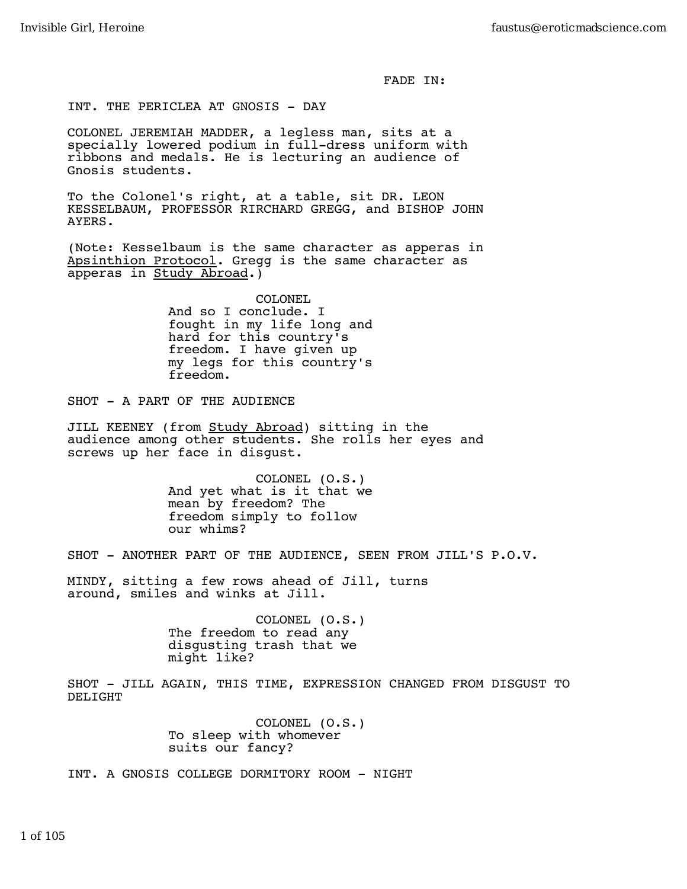FADE IN:

INT. THE PERICLEA AT GNOSIS - DAY

COLONEL JEREMIAH MADDER, a legless man, sits at a specially lowered podium in full-dress uniform with ribbons and medals. He is lecturing an audience of Gnosis students.

To the Colonel's right, at a table, sit DR. LEON KESSELBAUM, PROFESSOR RIRCHARD GREGG, and BISHOP JOHN AYERS.

(Note: Kesselbaum is the same character as apperas in Apsinthion Protocol. Gregg is the same character as apperas in Study Abroad.)

> COLONEL And so I conclude. I fought in my life long and hard for this country's freedom. I have given up my legs for this country's freedom.

SHOT - A PART OF THE AUDIENCE

JILL KEENEY (from Study Abroad) sitting in the audience among other students. She rolls her eyes and screws up her face in disgust.

> COLONEL (O.S.) And yet what is it that  $we$ mean by freedom? The freedom simply to follow our whims?

SHOT - ANOTHER PART OF THE AUDIENCE, SEEN FROM JILL'S P.O.V.

MINDY, sitting a few rows ahead of Jill, turns around, smiles and winks at Jill.

> COLONEL (O.S.) The freedom to read any disgusting trash that we might like?

SHOT - JILL AGAIN, THIS TIME, EXPRESSION CHANGED FROM DISGUST TO DELIGHT

> COLONEL (O.S.) To sleep with whomever suits our fancy?

INT. A GNOSIS COLLEGE DORMITORY ROOM - NIGHT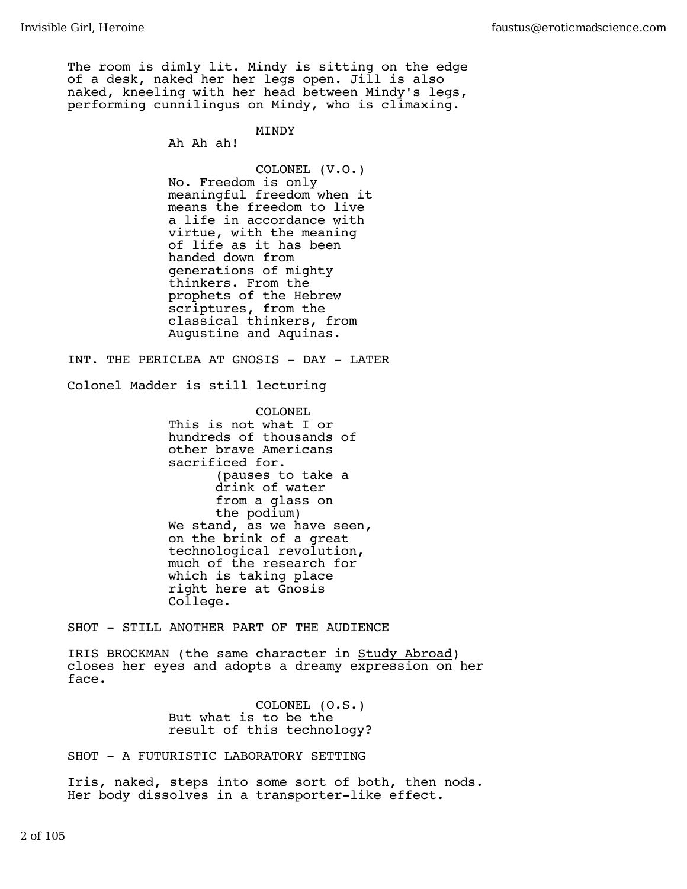The room is dimly lit. Mindy is sitting on the edge of a desk, naked her her legs open. Jill is also naked, kneeling with her head between Mindy's legs, performing cunnilingus on Mindy, who is climaxing. MINDY Ah Ah ah! COLONEL (V.O.) No. Freedom is only meaningful freedom when it means the freedom to live a life in accordance with virtue, with the meaning of life as it has been handed down from generations of mighty thinkers. From the prophets of the Hebrew scriptures, from the classical thinkers, from Augustine and Aquinas. INT. THE PERICLEA AT GNOSIS - DAY - LATER Colonel Madder is still lecturing COLONEL This is not what I or hundreds of thousands of other brave Americans sacrificed for. (pauses to take a drink of water from a glass on the podium) We stand, as we have seen, on the brink of a great technological revolution, much of the research for which is taking place right here at Gnosis College. SHOT - STILL ANOTHER PART OF THE AUDIENCE IRIS BROCKMAN (the same character in Study Abroad) closes her eyes and adopts a dreamy expression on her face. COLONEL (O.S.) But what is to be the result of this technology?

SHOT - A FUTURISTIC LABORATORY SETTING

Iris, naked, steps into some sort of both, then nods. Her body dissolves in a transporter-like effect.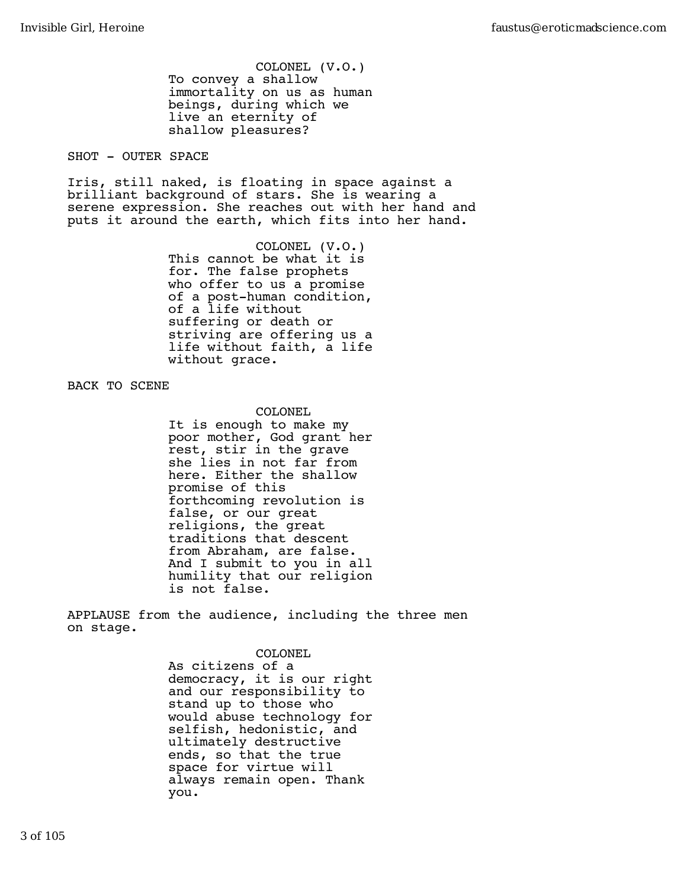COLONEL (V.O.) To convey a shallow immortality on us as human beings, during which we live an eternity of shallow pleasures?

# SHOT - OUTER SPACE

Iris, still naked, is floating in space against a brilliant background of stars. She is wearing a serene expression. She reaches out with her hand and puts it around the earth, which fits into her hand.

> COLONEL (V.O.) This cannot be what it is for. The false prophets who offer to us a promise of a post-human condition, of a life without suffering or death or striving are offering us a life without faith, a life without grace.

BACK TO SCENE

COLONEL It is enough to make my poor mother, God grant her rest, stir in the grave she lies in not far from here. Either the shallow promise of this forthcoming revolution is false, or our great religions, the great traditions that descent from Abraham, are false. And I submit to you in all humility that our religion is not false.

APPLAUSE from the audience, including the three men on stage.

> COLONEL As citizens of a democracy, it is our right and our responsibility to stand up to those who would abuse technology for selfish, hedonistic, and ultimately destructive ends, so that the true space for virtue will always remain open. Thank you.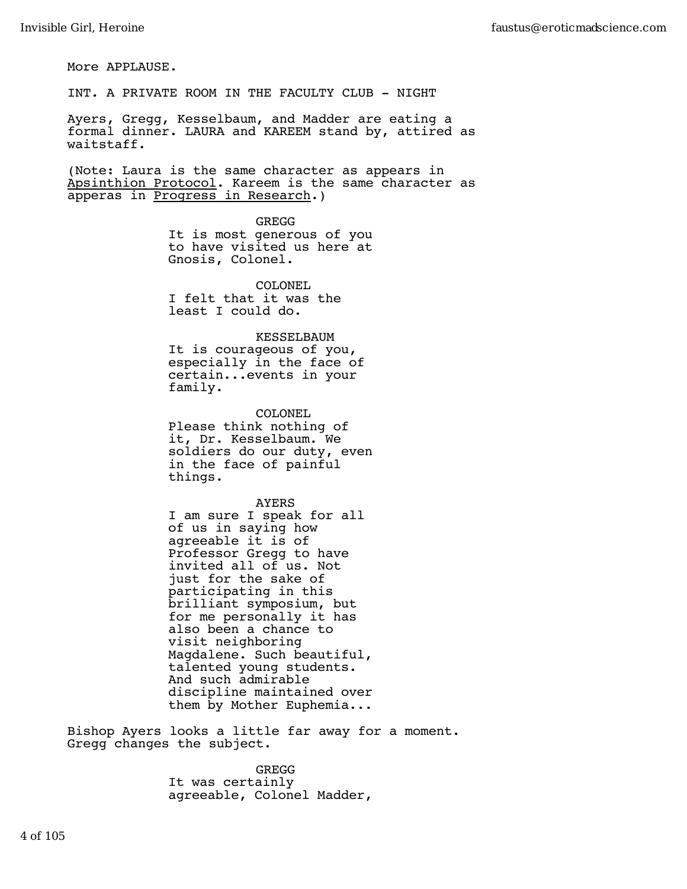More APPLAUSE.

INT. A PRIVATE ROOM IN THE FACULTY CLUB - NIGHT

Ayers, Gregg, Kesselbaum, and Madder are eating a formal dinner. LAURA and KAREEM stand by, attired as waitstaff.

(Note: Laura is the same character as appears in Apsinthion Protocol. Kareem is the same character as apperas in <u>Progress in Research</u>.)

> GREGG It is most generous of you to have visited us here at Gnosis, Colonel.

COLONEL I felt that it was the least I could do.

KESSELBAUM It is courageous of you, especially in the face of certain...events in your family.

COLONEL Please think nothing of it, Dr. Kesselbaum. We soldiers do our duty, even in the face of painful things.

AYERS I am sure I speak for all of us in saying how agreeable it is of Professor Gregg to have invited all of us. Not just for the sake of participating in this brilliant symposium, but for me personally it has also been a chance to visit neighboring Magdalene. Such beautiful, talented young students. And such admirable discipline maintained over them by Mother Euphemia...

Bishop Ayers looks a little far away for a moment. Gregg changes the subject.

> GREGG It was certainly agreeable, Colonel Madder,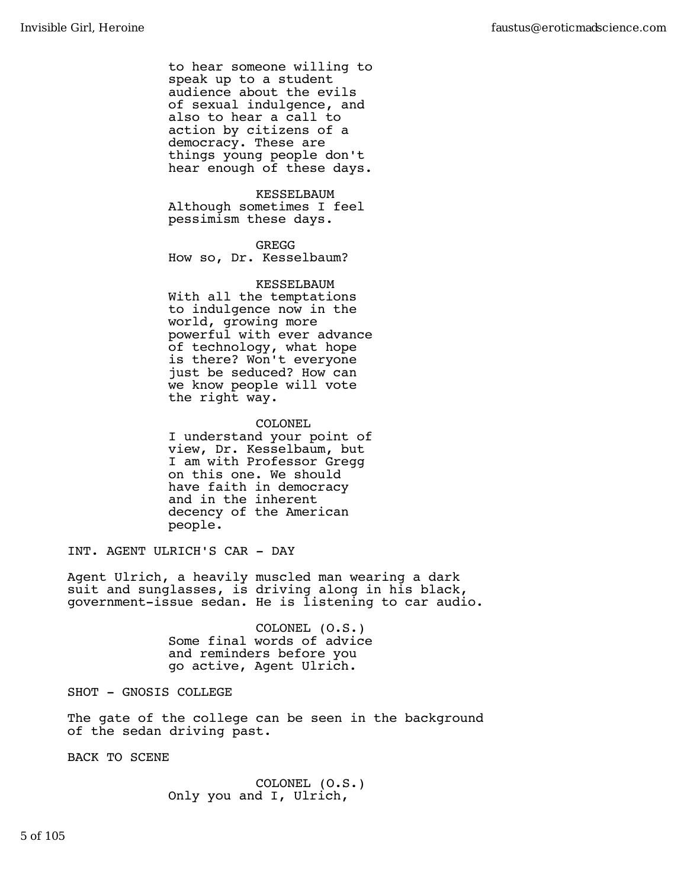to hear someone willing to speak up to a student audience about the evils of sexual indulgence, and also to hear a call to action by citizens of a democracy. These are things young people don't hear enough of these days.

KESSELBAUM Although sometimes I feel pessimism these days.

GREGG How so, Dr. Kesselbaum?

KESSELBAUM With all the temptations to indulgence now in the world, growing more powerful with ever advance of technology, what hope is there? Won't everyone just be seduced? How can we know people will vote the right way.

COLONEL I understand your point of view, Dr. Kesselbaum, but I am with Professor Gregg on this one. We should have faith in democracy and in the inherent decency of the American people.

INT. AGENT ULRICH'S CAR - DAY

Agent Ulrich, a heavily muscled man wearing a dark suit and sunglasses, is driving along in his black, government-issue sedan. He is listening to car audio.

> COLONEL (O.S.) Some final words of advice and reminders before you go active, Agent Ulrich.

SHOT - GNOSIS COLLEGE

The gate of the college can be seen in the background of the sedan driving past.

BACK TO SCENE

COLONEL (O.S.) Only you and I, Ulrich,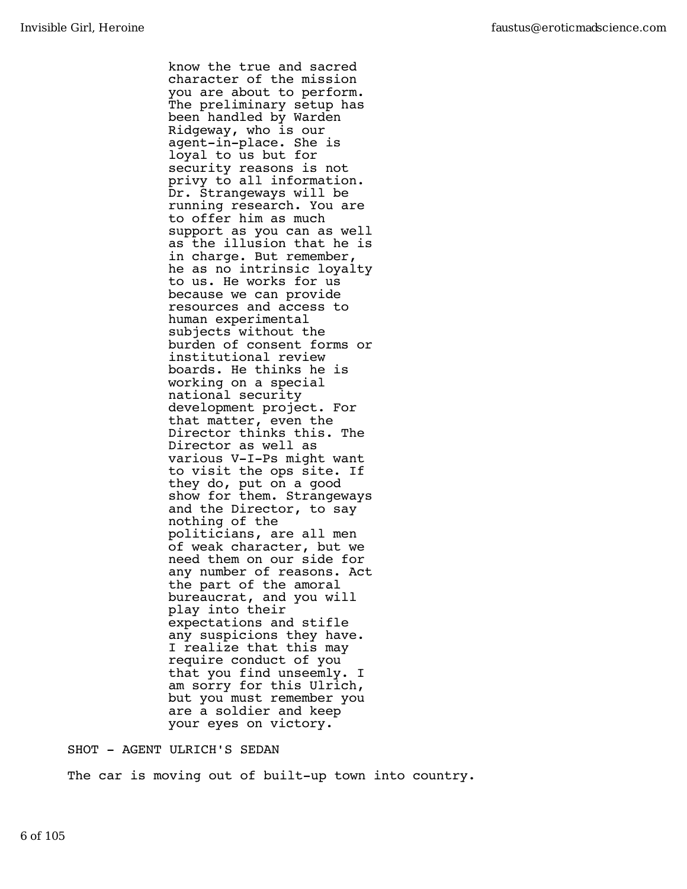know the true and sacred character of the mission you are about to perform. The preliminary setup has been handled by Warden Ridgeway, who is our agent-in-place. She is loyal to us but for security reasons is not privy to all information. Dr. Strangeways will be running research. You are to offer him as much support as you can as well as the illusion that he is in charge. But remember, he as no intrinsic loyalty to us. He works for us because we can provide resources and access to human experimental subjects without the burden of consent forms or institutional review boards. He thinks he is working on a special national security development project. For that matter, even the Director thinks this. The Director as well as various V-I-Ps might want to visit the ops site. If they do, put on a good show for them. Strangeways and the Director, to say nothing of the politicians, are all men of weak character, but we need them on our side for any number of reasons. Act the part of the amoral bureaucrat, and you will play into their expectations and stifle any suspicions they have. I realize that this may require conduct of you that you find unseemly. I am sorry for this Ulrich, but you must remember you are a soldier and keep your eyes on victory.

SHOT - AGENT ULRICH'S SEDAN

The car is moving out of built-up town into country.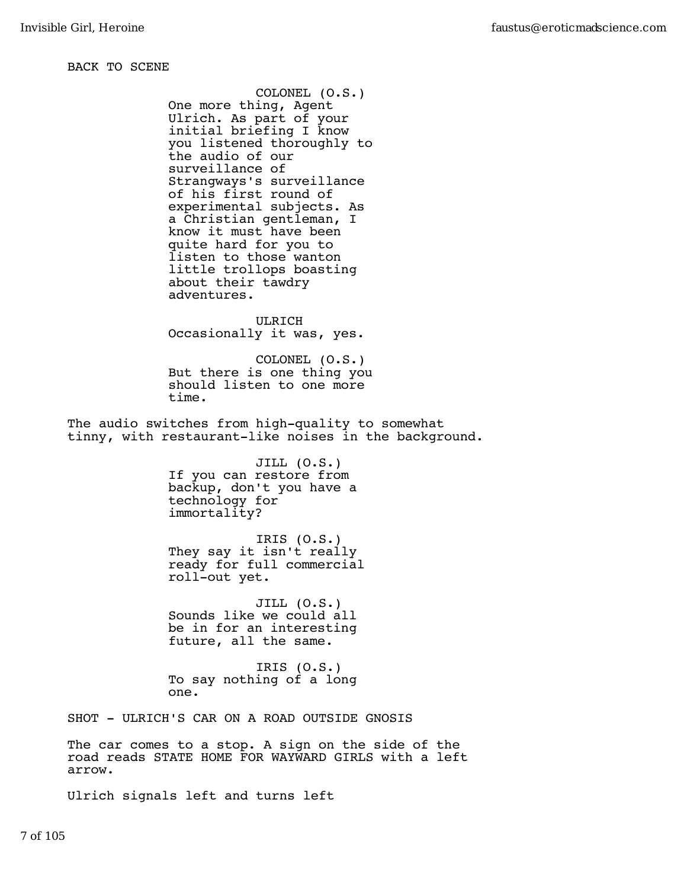BACK TO SCENE

COLONEL (O.S.) One more thing, Agent Ulrich. As part of your initial briefing I know you listened thoroughly to the audio of our surveillance of Strangways's surveillance of his first round of experimental subjects. As a Christian gentleman, I know it must have been quite hard for you to listen to those wanton little trollops boasting about their tawdry adventures.

ULRICH Occasionally it was, yes.

COLONEL (O.S.) But there is one thing you should listen to one more time.

The audio switches from high-quality to somewhat tinny, with restaurant-like noises in the background.

> JILL (O.S.) If you can restore from backup, don't you have a technology for immortality?

IRIS (O.S.) They say it isn't really ready for full commercial roll-out yet.

JILL (O.S.) Sounds like we could all be in for an interesting future, all the same.

IRIS (O.S.) To say nothing of a long one.

SHOT - ULRICH'S CAR ON A ROAD OUTSIDE GNOSIS

The car comes to a stop. A sign on the side of the road reads STATE HOME FOR WAYWARD GIRLS with a left arrow.

Ulrich signals left and turns left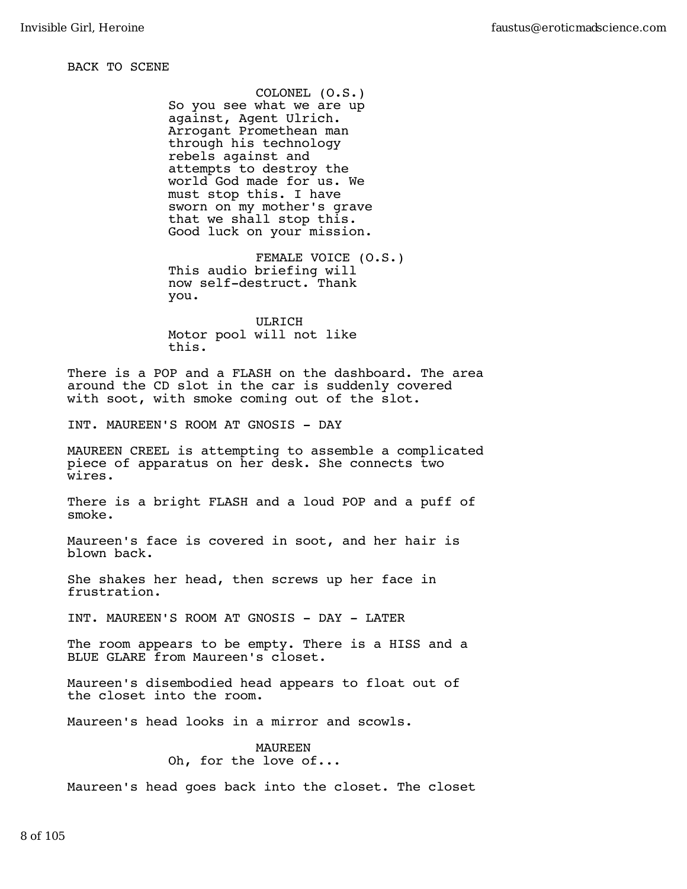BACK TO SCENE

COLONEL (O.S.) So you see what we are up against, Agent Ulrich. Arrogant Promethean man through his technology rebels against and attempts to destroy the world God made for us. We must stop this. I have sworn on my mother's grave that we shall stop this. Good luck on your mission.

FEMALE VOICE (O.S.) This audio briefing will now self-destruct. Thank you.

ULRICH Motor pool will not like this.

There is a POP and a FLASH on the dashboard. The area around the CD slot in the car is suddenly covered with soot, with smoke coming out of the slot.

INT. MAUREEN'S ROOM AT GNOSIS - DAY

MAUREEN CREEL is attempting to assemble a complicated piece of apparatus on her desk. She connects two wires.

There is a bright FLASH and a loud POP and a puff of smoke.

Maureen's face is covered in soot, and her hair is blown back.

She shakes her head, then screws up her face in frustration.

INT. MAUREEN'S ROOM AT GNOSIS - DAY - LATER

The room appears to be empty. There is a HISS and a BLUE GLARE from Maureen's closet.

Maureen's disembodied head appears to float out of the closet into the room.

Maureen's head looks in a mirror and scowls.

MAUREEN Oh, for the love of...

Maureen's head goes back into the closet. The closet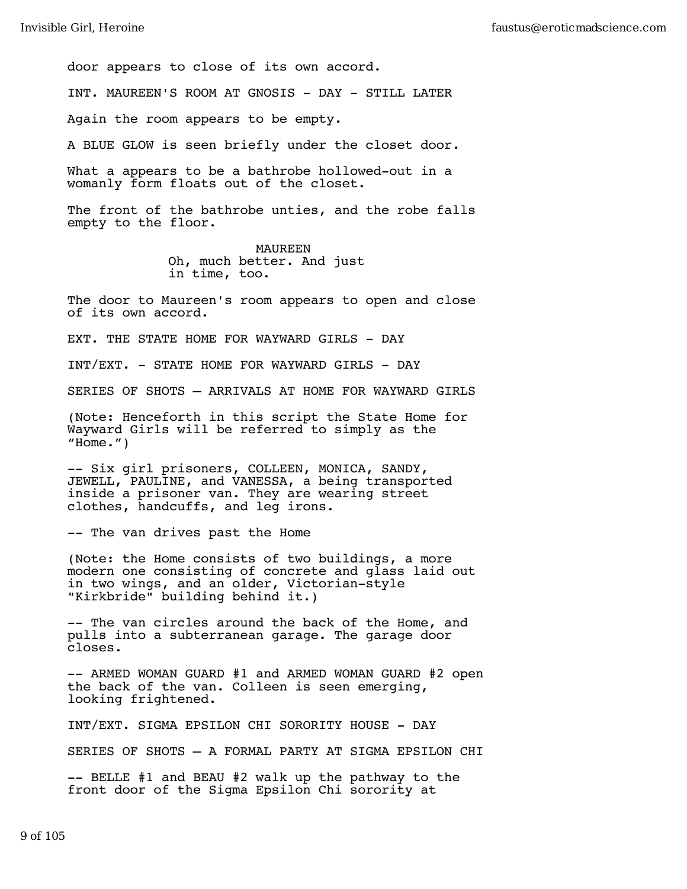door appears to close of its own accord. INT. MAUREEN'S ROOM AT GNOSIS - DAY - STILL LATER Again the room appears to be empty. A BLUE GLOW is seen briefly under the closet door. What a appears to be a bathrobe hollowed-out in a womanly form floats out of the closet. The front of the bathrobe unties, and the robe falls empty to the floor. MAUREEN Oh, much better. And just in time, too. The door to Maureen's room appears to open and close of its own accord. EXT. THE STATE HOME FOR WAYWARD GIRLS - DAY INT/EXT. - STATE HOME FOR WAYWARD GIRLS - DAY SERIES OF SHOTS – ARRIVALS AT HOME FOR WAYWARD GIRLS (Note: Henceforth in this script the State Home for Wayward Girls will be referred to simply as the "Home.") -- Six girl prisoners, COLLEEN, MONICA, SANDY, JEWELL, PAULINE, and VANESSA, a being transported inside a prisoner van. They are wearing street clothes, handcuffs, and leg irons. -- The van drives past the Home (Note: the Home consists of two buildings, a more modern one consisting of concrete and glass laid out in two wings, and an older, Victorian-style "Kirkbride" building behind it.) -- The van circles around the back of the Home, and pulls into a subterranean garage. The garage door closes. -- ARMED WOMAN GUARD #1 and ARMED WOMAN GUARD #2 open the back of the van. Colleen is seen emerging, looking frightened. INT/EXT. SIGMA EPSILON CHI SORORITY HOUSE - DAY SERIES OF SHOTS – A FORMAL PARTY AT SIGMA EPSILON CHI -- BELLE #1 and BEAU #2 walk up the pathway to the front door of the Sigma Epsilon Chi sorority at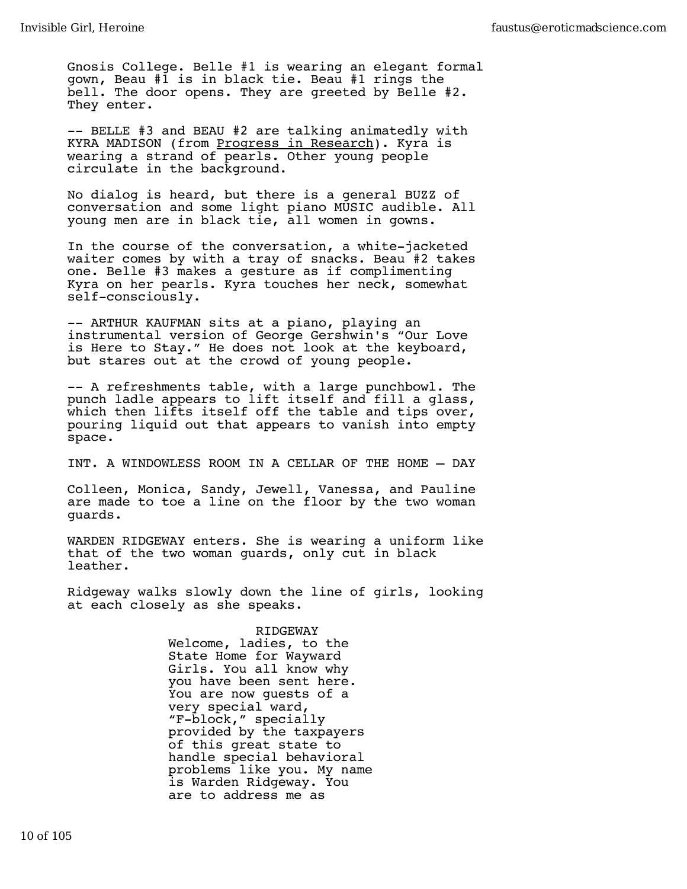Gnosis College. Belle #1 is wearing an elegant formal gown, Beau #1 is in black tie. Beau #1 rings the bell. The door opens. They are greeted by Belle #2. They enter.

-- BELLE #3 and BEAU #2 are talking animatedly with KYRA MADISON (from Progress in Research). Kyra is wearing a strand of pearls. Other young people circulate in the background.

No dialog is heard, but there is a general BUZZ of conversation and some light piano MUSIC audible. All young men are in black tie, all women in gowns.

In the course of the conversation, a white-jacketed waiter comes by with a tray of snacks. Beau #2 takes one. Belle #3 makes a gesture as if complimenting Kyra on her pearls. Kyra touches her neck, somewhat self-consciously.

-- ARTHUR KAUFMAN sits at a piano, playing an instrumental version of George Gershwin's "Our Love is Here to Stay." He does not look at the keyboard, but stares out at the crowd of young people.

-- A refreshments table, with a large punchbowl. The punch ladle appears to lift itself and fill a glass, which then lifts itself off the table and tips over, pouring liquid out that appears to vanish into empty space.

INT. A WINDOWLESS ROOM IN A CELLAR OF THE HOME – DAY

Colleen, Monica, Sandy, Jewell, Vanessa, and Pauline are made to toe a line on the floor by the two woman guards.

WARDEN RIDGEWAY enters. She is wearing a uniform like that of the two woman guards, only cut in black leather.

Ridgeway walks slowly down the line of girls, looking at each closely as she speaks.

> RIDGEWAY Welcome, ladies, to the State Home for Wayward Girls. You all know why you have been sent here. You are now guests of a very special ward, "F-block," specially provided by the taxpayers of this great state to handle special behavioral problems like you. My name is Warden Ridgeway. You are to address me as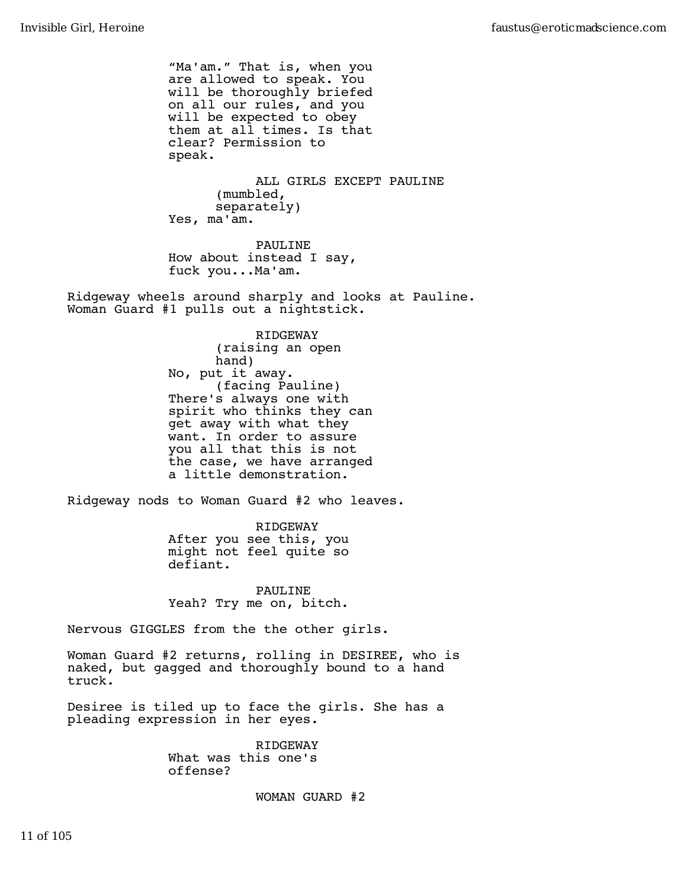"Ma'am." That is, when you are allowed to speak. You will be thoroughly briefed on all our rules, and you will be expected to obey them at all times. Is that clear? Permission to speak. ALL GIRLS EXCEPT PAULINE (mumbled, separately) Yes, ma'am. PAULINE How about instead I say, fuck you...Ma'am. Ridgeway wheels around sharply and looks at Pauline. Woman Guard #1 pulls out a nightstick. RIDGEWAY (raising an open hand) No, put it away. (facing Pauline) There's always one with spirit who thinks they can get away with what they want. In order to assure you all that this is not the case, we have arranged a little demonstration.

Ridgeway nods to Woman Guard #2 who leaves.

RIDGEWAY After you see this, you might not feel quite so defiant.

PAULINE Yeah? Try me on, bitch.

Nervous GIGGLES from the the other girls.

Woman Guard #2 returns, rolling in DESIREE, who is naked, but gagged and thoroughly bound to a hand truck.

Desiree is tiled up to face the girls. She has a pleading expression in her eyes.

> RIDGEWAY What was this one's offense?

> > WOMAN GUARD #2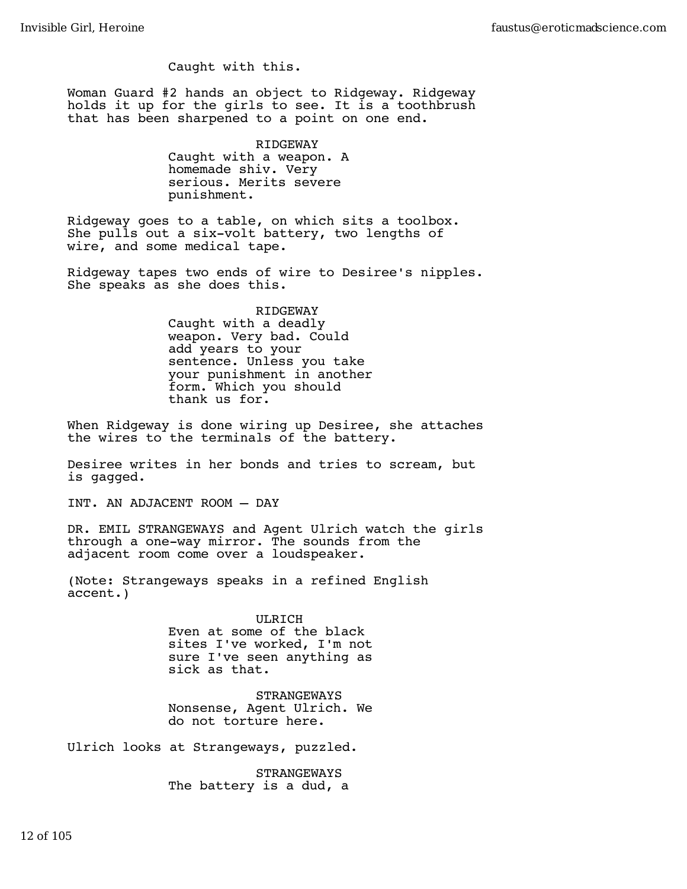Caught with this.

Woman Guard #2 hands an object to Ridgeway. Ridgeway holds it up for the girls to see. It is a toothbrush that has been sharpened to a point on one end.

> RIDGEWAY Caught with a weapon. A homemade shiv. Very serious. Merits severe punishment.

Ridgeway goes to a table, on which sits a toolbox. She pulls out a six-volt battery, two lengths of wire, and some medical tape.

Ridgeway tapes two ends of wire to Desiree's nipples. She speaks as she does this.

> RIDGEWAY Caught with a deadly weapon. Very bad. Could add years to your sentence. Unless you take your punishment in another form. Which you should thank us for.

When Ridgeway is done wiring up Desiree, she attaches the wires to the terminals of the battery.

Desiree writes in her bonds and tries to scream, but is gagged.

INT. AN ADJACENT ROOM – DAY

DR. EMIL STRANGEWAYS and Agent Ulrich watch the girls through a one-way mirror. The sounds from the adjacent room come over a loudspeaker.

(Note: Strangeways speaks in a refined English accent.)

> ULRICH Even at some of the black sites I've worked, I'm not sure I've seen anything as sick as that.

> STRANGEWAYS Nonsense, Agent Ulrich. We do not torture here.

Ulrich looks at Strangeways, puzzled.

STRANGEWAYS The battery is a dud, a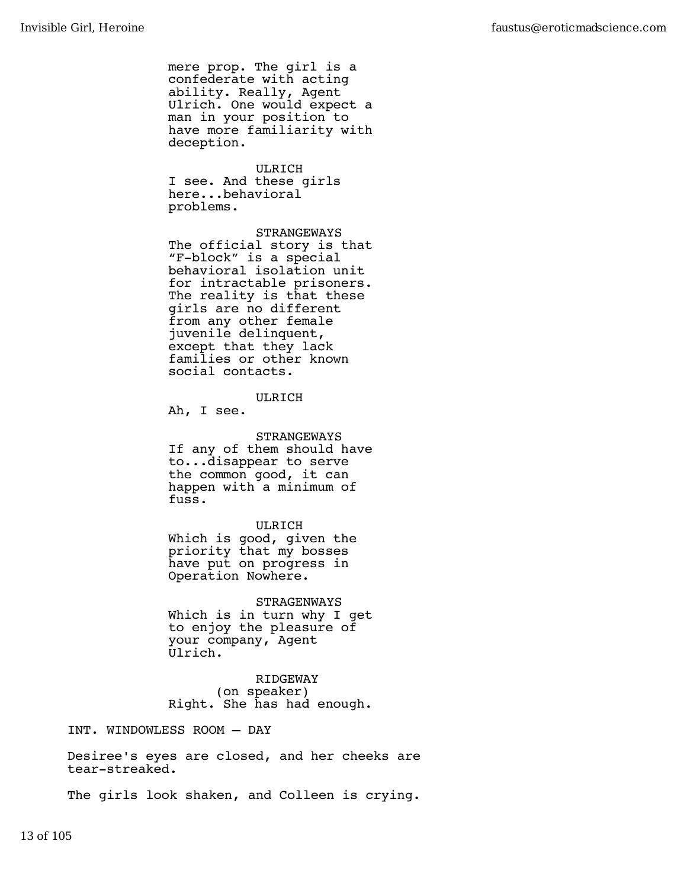mere prop. The girl is a confederate with acting ability. Really, Agent Ulrich. One would expect a man in your position to have more familiarity with deception.

ULRICH I see. And these girls here...behavioral problems.

STRANGEWAYS The official story is that "F-block" is a special behavioral isolation unit for intractable prisoners. The reality is that these girls are no different from any other female juvenile delinquent, except that they lack families or other known social contacts.

## ULRICH

Ah, I see.

STRANGEWAYS If any of them should have to...disappear to serve the common good, it can happen with a minimum of fuss.

ULRICH Which is good, given the priority that my bosses have put on progress in Operation Nowhere.

STRAGENWAYS Which is in turn why I get to enjoy the pleasure of your company, Agent Ulrich.

RIDGEWAY (on speaker) Right. She has had enough.

INT. WINDOWLESS ROOM – DAY

Desiree's eyes are closed, and her cheeks are tear-streaked.

The girls look shaken, and Colleen is crying.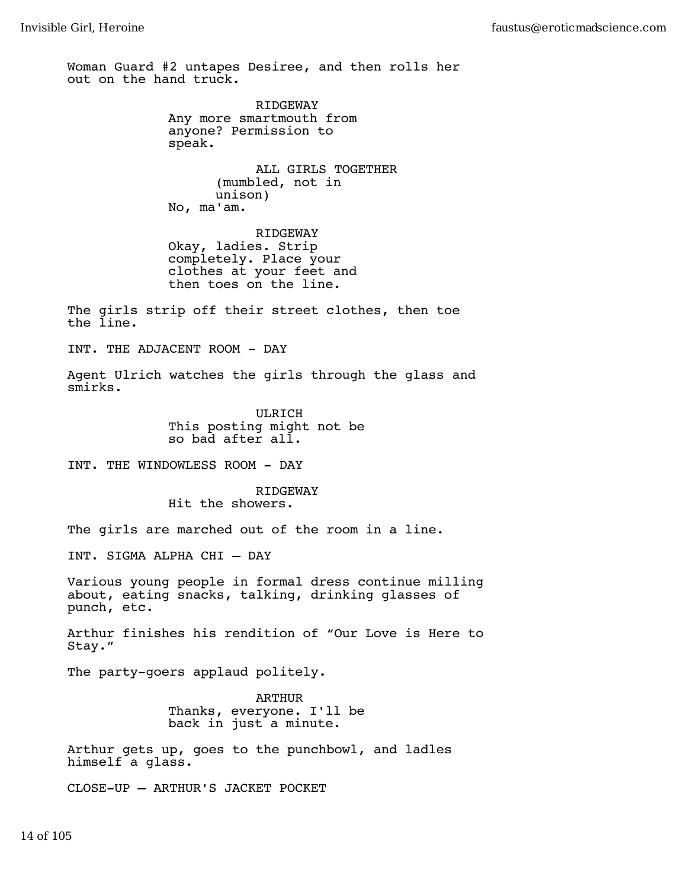Woman Guard #2 untapes Desiree, and then rolls her out on the hand truck. RIDGEWAY Any more smartmouth from anyone? Permission to speak. ALL GIRLS TOGETHER (mumbled, not in unison) No, ma'am. RIDGEWAY Okay, ladies. Strip completely. Place your clothes at your feet and then toes on the line. The girls strip off their street clothes, then toe the line. INT. THE ADJACENT ROOM - DAY Agent Ulrich watches the girls through the glass and smirks. ULRICH This posting might not be so bad after all. INT. THE WINDOWLESS ROOM - DAY RIDGEWAY Hit the showers. The girls are marched out of the room in a line. INT. SIGMA ALPHA CHI – DAY Various young people in formal dress continue milling about, eating snacks, talking, drinking glasses of punch, etc. Arthur finishes his rendition of "Our Love is Here to Stay." The party-goers applaud politely. ARTHUR Thanks, everyone. I'll be back in just a minute. Arthur gets up, goes to the punchbowl, and ladles himself a glass. CLOSE-UP – ARTHUR'S JACKET POCKET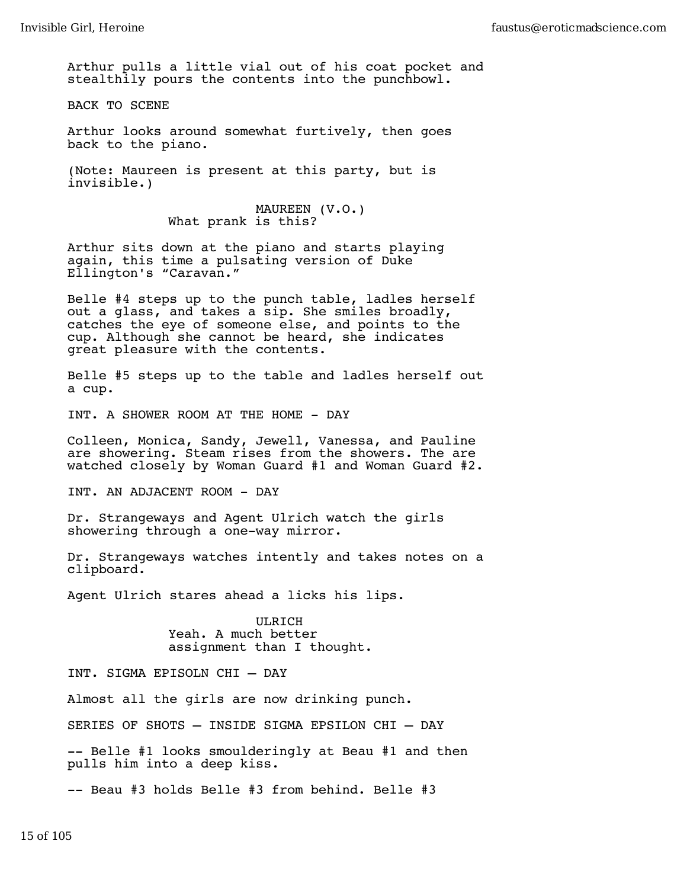Arthur pulls a little vial out of his coat pocket and stealthily pours the contents into the punchbowl.

BACK TO SCENE

Arthur looks around somewhat furtively, then goes back to the piano.

(Note: Maureen is present at this party, but is invisible.)

> MAUREEN (V.O.) What prank is this?

Arthur sits down at the piano and starts playing again, this time a pulsating version of Duke Ellington's "Caravan."

Belle #4 steps up to the punch table, ladles herself out a glass, and takes a sip. She smiles broadly, catches the eye of someone else, and points to the cup. Although she cannot be heard, she indicates great pleasure with the contents.

Belle #5 steps up to the table and ladles herself out a cup.

INT. A SHOWER ROOM AT THE HOME - DAY

Colleen, Monica, Sandy, Jewell, Vanessa, and Pauline are showering. Steam rises from the showers. The are watched closely by Woman Guard #1 and Woman Guard #2.

INT. AN ADJACENT ROOM - DAY

Dr. Strangeways and Agent Ulrich watch the girls showering through a one-way mirror.

Dr. Strangeways watches intently and takes notes on a clipboard.

Agent Ulrich stares ahead a licks his lips.

ULRICH Yeah. A much better assignment than I thought.

INT. SIGMA EPISOLN CHI – DAY

Almost all the girls are now drinking punch.

SERIES OF SHOTS – INSIDE SIGMA EPSILON CHI – DAY

-- Belle #1 looks smoulderingly at Beau #1 and then pulls him into a deep kiss.

-- Beau #3 holds Belle #3 from behind. Belle #3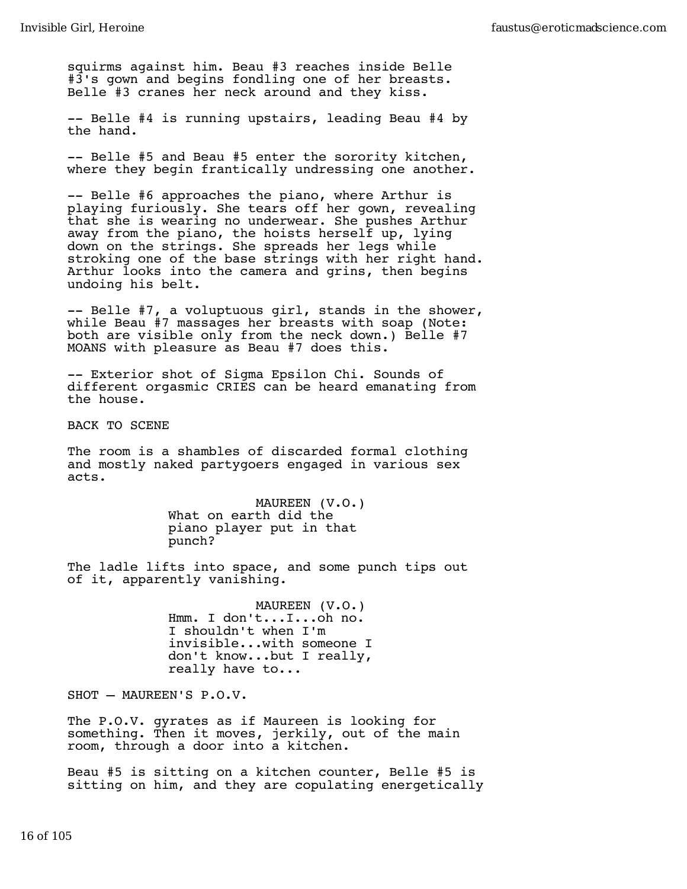squirms against him. Beau #3 reaches inside Belle #3's gown and begins fondling one of her breasts. Belle #3 cranes her neck around and they kiss.

-- Belle #4 is running upstairs, leading Beau #4 by the hand.

-- Belle #5 and Beau #5 enter the sorority kitchen, where they begin frantically undressing one another.

-- Belle #6 approaches the piano, where Arthur is playing furiously. She tears off her gown, revealing that she is wearing no underwear. She pushes Arthur away from the piano, the hoists herself up, lying down on the strings. She spreads her legs while stroking one of the base strings with her right hand. Arthur looks into the camera and grins, then begins undoing his belt.

-- Belle #7, a voluptuous girl, stands in the shower, while Beau #7 massages her breasts with soap (Note: both are visible only from the neck down.) Belle #7 MOANS with pleasure as Beau #7 does this.

-- Exterior shot of Sigma Epsilon Chi. Sounds of different orgasmic CRIES can be heard emanating from the house.

BACK TO SCENE

The room is a shambles of discarded formal clothing and mostly naked partygoers engaged in various sex acts.

> MAUREEN (V.O.) What on earth did the piano player put in that punch?

The ladle lifts into space, and some punch tips out of it, apparently vanishing.

> MAUREEN (V.O.) Hmm. I don't...I...oh no. I shouldn't when I'm invisible...with someone I don't know...but I really, really have to...

SHOT – MAUREEN'S P.O.V.

The P.O.V. gyrates as if Maureen is looking for something. Then it moves, jerkily, out of the main room, through a door into a kitchen.

Beau #5 is sitting on a kitchen counter, Belle #5 is sitting on him, and they are copulating energetically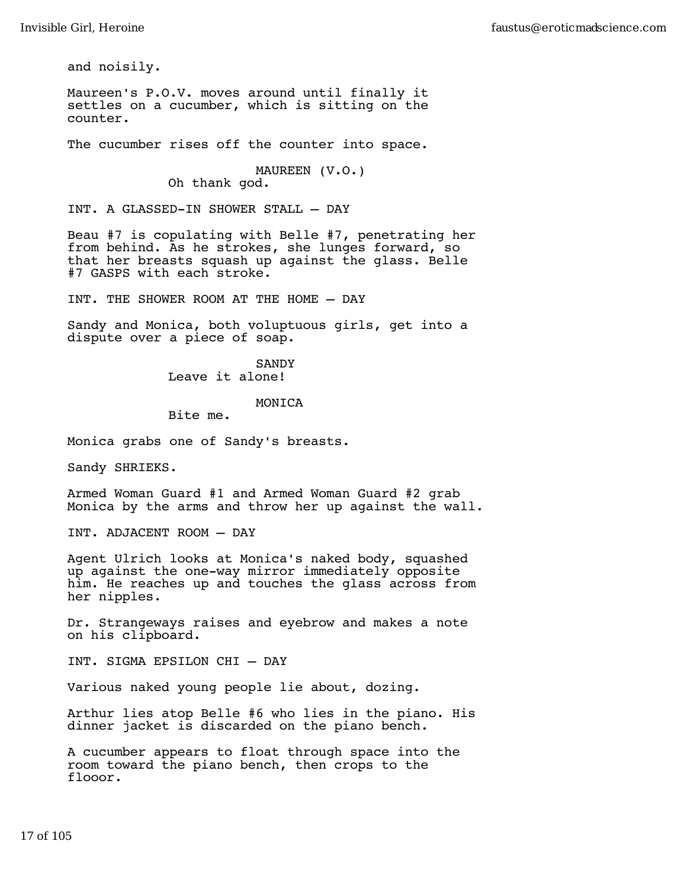and noisily.

Maureen's P.O.V. moves around until finally it settles on a cucumber, which is sitting on the counter.

The cucumber rises off the counter into space.

MAUREEN (V.O.) Oh thank god.

INT. A GLASSED-IN SHOWER STALL – DAY

Beau #7 is copulating with Belle #7, penetrating her from behind. As he strokes, she lunges forward, so that her breasts squash up against the glass. Belle #7 GASPS with each stroke.

INT. THE SHOWER ROOM AT THE HOME – DAY

Sandy and Monica, both voluptuous girls, get into a dispute over a piece of soap.

> SANDY Leave it alone!

#### MONICA

Bite me.

Monica grabs one of Sandy's breasts.

Sandy SHRIEKS.

Armed Woman Guard #1 and Armed Woman Guard #2 grab Monica by the arms and throw her up against the wall.

INT. ADJACENT ROOM – DAY

Agent Ulrich looks at Monica's naked body, squashed up against the one-way mirror immediately opposite him. He reaches up and touches the glass across from her nipples.

Dr. Strangeways raises and eyebrow and makes a note on his clipboard.

INT. SIGMA EPSILON CHI – DAY

Various naked young people lie about, dozing.

Arthur lies atop Belle #6 who lies in the piano. His dinner jacket is discarded on the piano bench.

A cucumber appears to float through space into the room toward the piano bench, then crops to the flooor.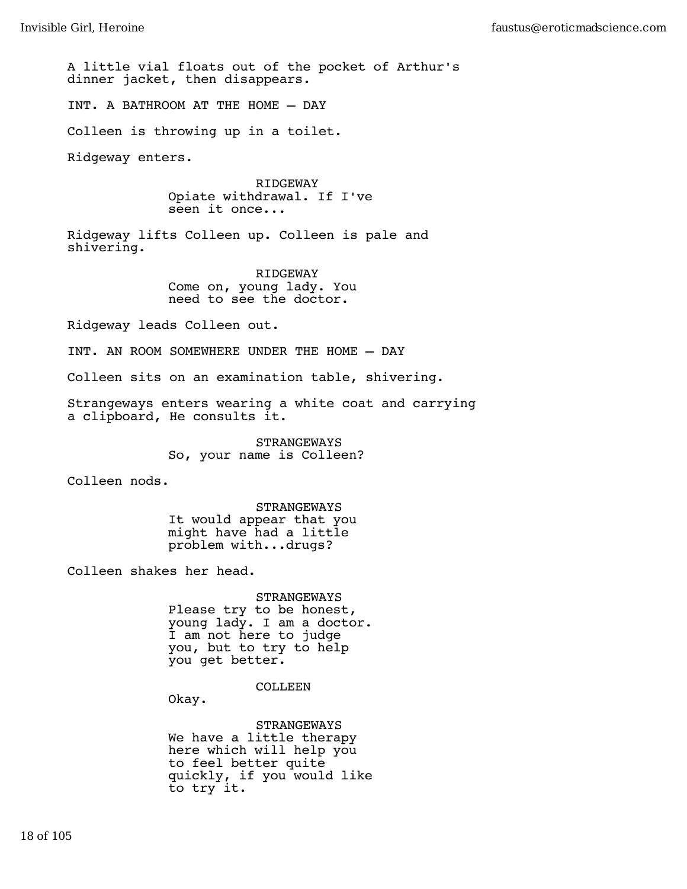A little vial floats out of the pocket of Arthur's dinner jacket, then disappears. INT. A BATHROOM AT THE HOME – DAY Colleen is throwing up in a toilet. Ridgeway enters. RIDGEWAY Opiate withdrawal. If I've seen it once... Ridgeway lifts Colleen up. Colleen is pale and shivering. RIDGEWAY Come on, young lady. You need to see the doctor. Ridgeway leads Colleen out. INT. AN ROOM SOMEWHERE UNDER THE HOME – DAY Colleen sits on an examination table, shivering. Strangeways enters wearing a white coat and carrying a clipboard, He consults it. STRANGEWAYS So, your name is Colleen? Colleen nods. STRANGEWAYS It would appear that you might have had a little problem with...drugs? Colleen shakes her head. STRANGEWAYS Please try to be honest, young lady. I am a doctor. I am not here to judge you, but to try to help you get better. COLLEEN Okay. STRANGEWAYS We have a little therapy here which will help you to feel better quite quickly, if you would like to try it.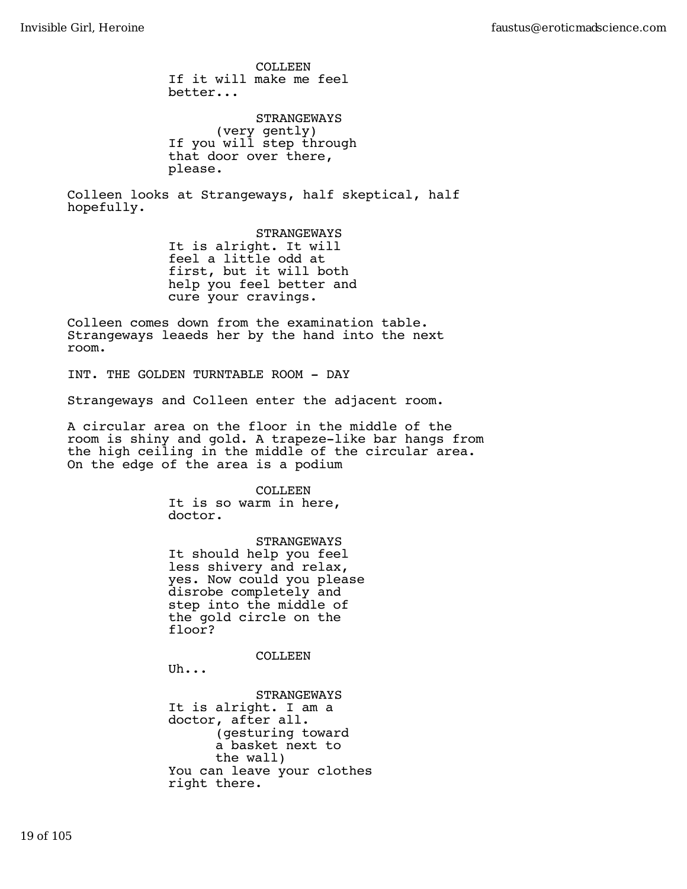COLLEEN If it will make me feel better...

STRANGEWAYS (very gently) If you will step through that door over there, please.

Colleen looks at Strangeways, half skeptical, half hopefully.

> STRANGEWAYS It is alright. It will feel a little odd at first, but it will both help you feel better and cure your cravings.

Colleen comes down from the examination table. Strangeways leaeds her by the hand into the next room.

INT. THE GOLDEN TURNTABLE ROOM - DAY

Strangeways and Colleen enter the adjacent room.

A circular area on the floor in the middle of the room is shiny and gold. A trapeze-like bar hangs from the high ceiling in the middle of the circular area. On the edge of the area is a podium

> COLLEEN It is so warm in here, doctor.

STRANGEWAYS It should help you feel less shivery and relax, yes. Now could you please disrobe completely and step into the middle of the gold circle on the floor?

COLLEEN

Uh...

STRANGEWAYS It is alright. I am a doctor, after all. (gesturing toward a basket next to the wall) You can leave your clothes right there.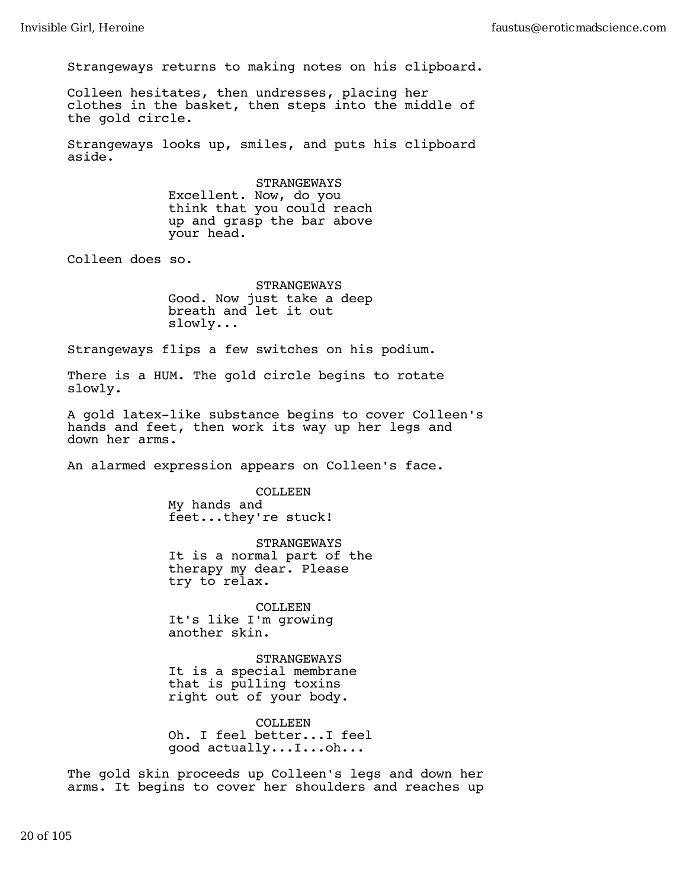Strangeways returns to making notes on his clipboard.

Colleen hesitates, then undresses, placing her clothes in the basket, then steps into the middle of the gold circle.

Strangeways looks up, smiles, and puts his clipboard aside.

> STRANGEWAYS Excellent. Now, do you think that you could reach up and grasp the bar above your head.

Colleen does so.

STRANGEWAYS Good. Now just take a deep breath and let it out slowly...

Strangeways flips a few switches on his podium.

There is a HUM. The gold circle begins to rotate slowly.

A gold latex-like substance begins to cover Colleen's hands and feet, then work its way up her legs and down her arms.

An alarmed expression appears on Colleen's face.

COLLEEN My hands and feet...they're stuck!

STRANGEWAYS It is a normal part of the therapy my dear. Please try to relax.

COLLEEN It's like I'm growing another skin.

STRANGEWAYS It is a special membrane that is pulling toxins right out of your body.

COLLEEN Oh. I feel better...I feel good actually...I...oh...

The gold skin proceeds up Colleen's legs and down her arms. It begins to cover her shoulders and reaches up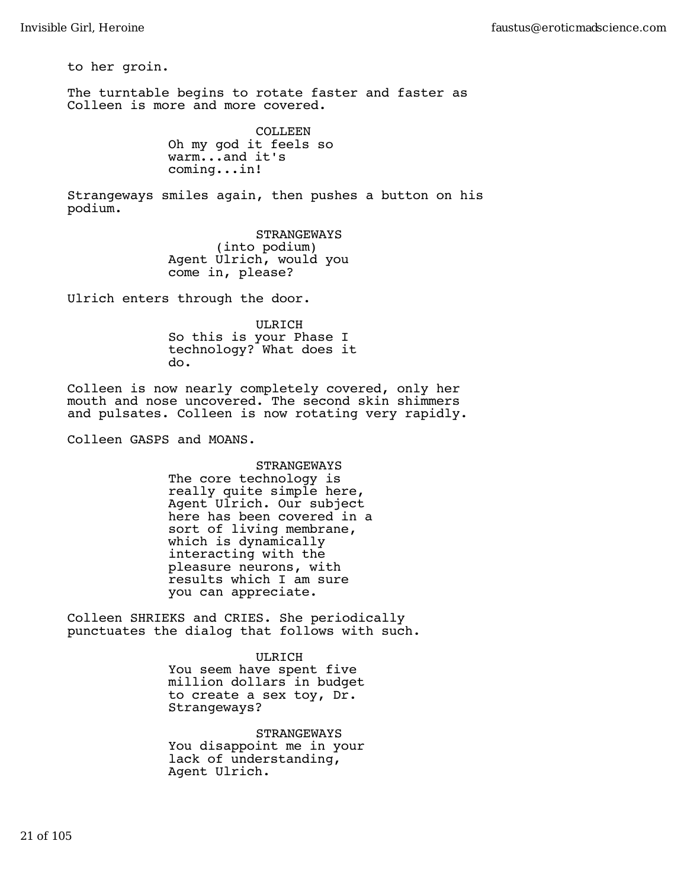to her groin.

The turntable begins to rotate faster and faster as Colleen is more and more covered.

> COLLEEN Oh my god it feels so warm...and it's coming...in!

Strangeways smiles again, then pushes a button on his podium.

> STRANGEWAYS (into podium) Agent Ulrich, would you come in, please?

Ulrich enters through the door.

ULRICH So this is your Phase I technology? What does it do.

Colleen is now nearly completely covered, only her mouth and nose uncovered. The second skin shimmers and pulsates. Colleen is now rotating very rapidly.

Colleen GASPS and MOANS.

STRANGEWAYS The core technology is really quite simple here, Agent Ulrich. Our subject here has been covered in a sort of living membrane, which is dynamically interacting with the pleasure neurons, with results which I am sure you can appreciate.

Colleen SHRIEKS and CRIES. She periodically punctuates the dialog that follows with such.

> ULRICH You seem have spent five million dollars in budget to create a sex toy, Dr. Strangeways?

> STRANGEWAYS You disappoint me in your lack of understanding, Agent Ulrich.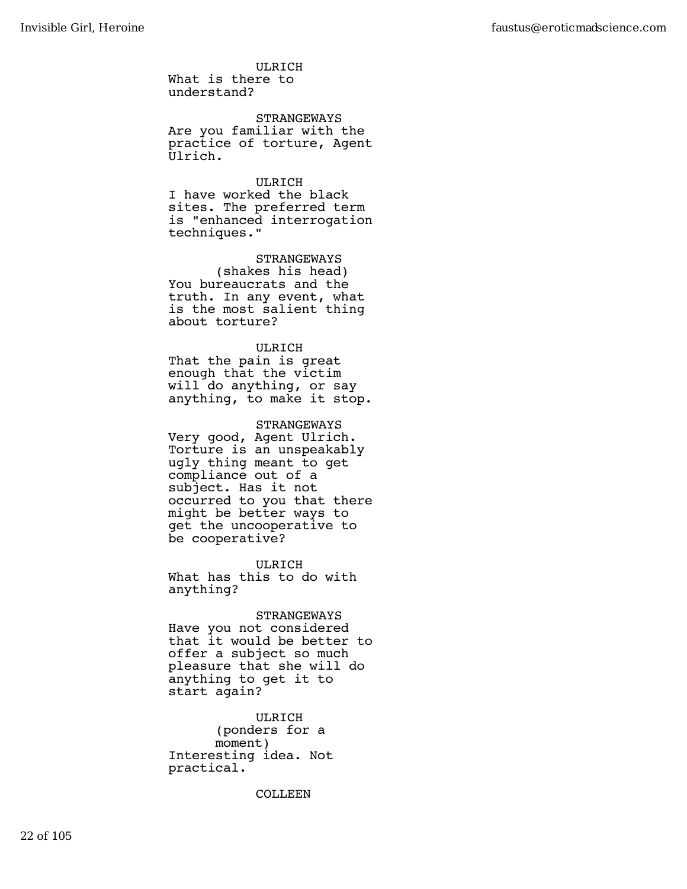ULRICH What is there to understand?

STRANGEWAYS Are you familiar with the practice of torture, Agent Ulrich.

ULRICH I have worked the black sites. The preferred term is "enhanced interrogation techniques."

STRANGEWAYS (shakes his head) You bureaucrats and the truth. In any event, what is the most salient thing about torture?

ULRICH That the pain is great enough that the victim will do anything, or say anything, to make it stop.

STRANGEWAYS Very good, Agent Ulrich. Torture is an unspeakably ugly thing meant to get compliance out of a subject. Has it not occurred to you that there might be better ways to get the uncooperative to be cooperative?

ULRICH What has this to do with anything?

STRANGEWAYS Have you not considered that it would be better to offer a subject so much pleasure that she will do anything to get it to start again?

ULRICH (ponders for a moment) Interesting idea. Not practical.

COLLEEN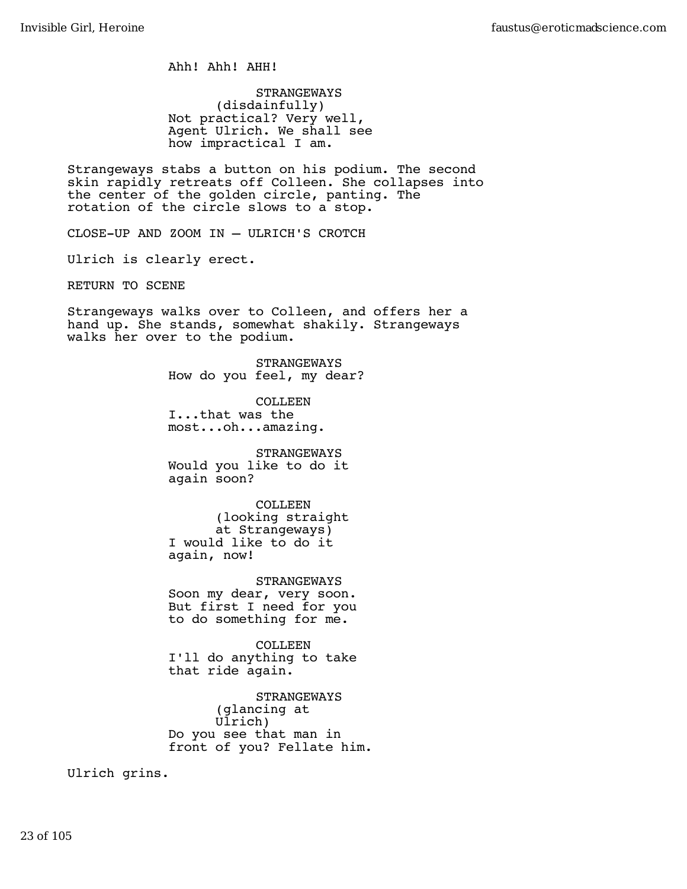Ahh! Ahh! AHH!

STRANGEWAYS (disdainfully) Not practical? Very well, Agent Ulrich. We shall see how impractical I am.

Strangeways stabs a button on his podium. The second skin rapidly retreats off Colleen. She collapses into the center of the golden circle, panting. The rotation of the circle slows to a stop.

CLOSE-UP AND ZOOM IN – ULRICH'S CROTCH

Ulrich is clearly erect.

RETURN TO SCENE

Strangeways walks over to Colleen, and offers her a hand up. She stands, somewhat shakily. Strangeways walks her over to the podium.

> STRANGEWAYS How do you feel, my dear?

COLLEEN I...that was the most...oh...amazing.

STRANGEWAYS Would you like to do it again soon?

COLLEEN (looking straight at Strangeways) I would like to do it again, now!

STRANGEWAYS Soon my dear, very soon. But first I need for you to do something for me.

COLLEEN I'll do anything to take that ride again.

STRANGEWAYS (glancing at Ulrich) Do you see that man in front of you? Fellate him.

Ulrich grins.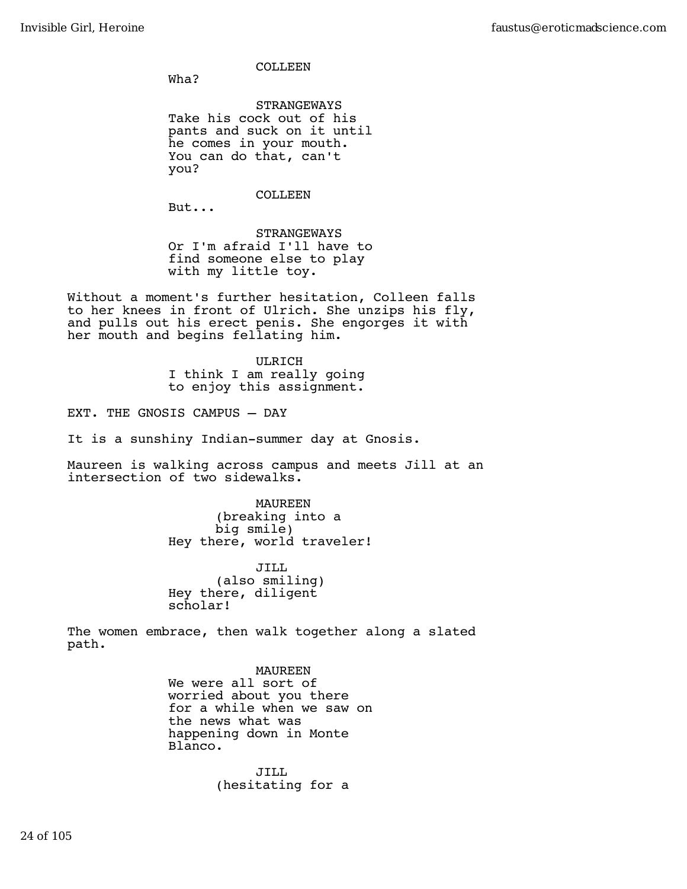### COLLEEN

Wha?

STRANGEWAYS Take his cock out of his pants and suck on it until he comes in your mouth. You can do that, can't you?

### COLLEEN

But...

STRANGEWAYS Or I'm afraid I'll have to find someone else to play with my little toy.

Without a moment's further hesitation, Colleen falls to her knees in front of Ulrich. She unzips his fly, and pulls out his erect penis. She engorges it with her mouth and begins fellating him.

> ULRICH I think I am really going to enjoy this assignment.

EXT. THE GNOSIS CAMPUS – DAY

It is a sunshiny Indian-summer day at Gnosis.

Maureen is walking across campus and meets Jill at an intersection of two sidewalks.

> MAUREEN (breaking into a big smile) Hey there, world traveler!

JILL (also smiling) Hey there, diligent scholar!

The women embrace, then walk together along a slated path.

> MAUREEN We were all sort of worried about you there for a while when we saw on the news what was happening down in Monte Blanco.

> > JILL (hesitating for a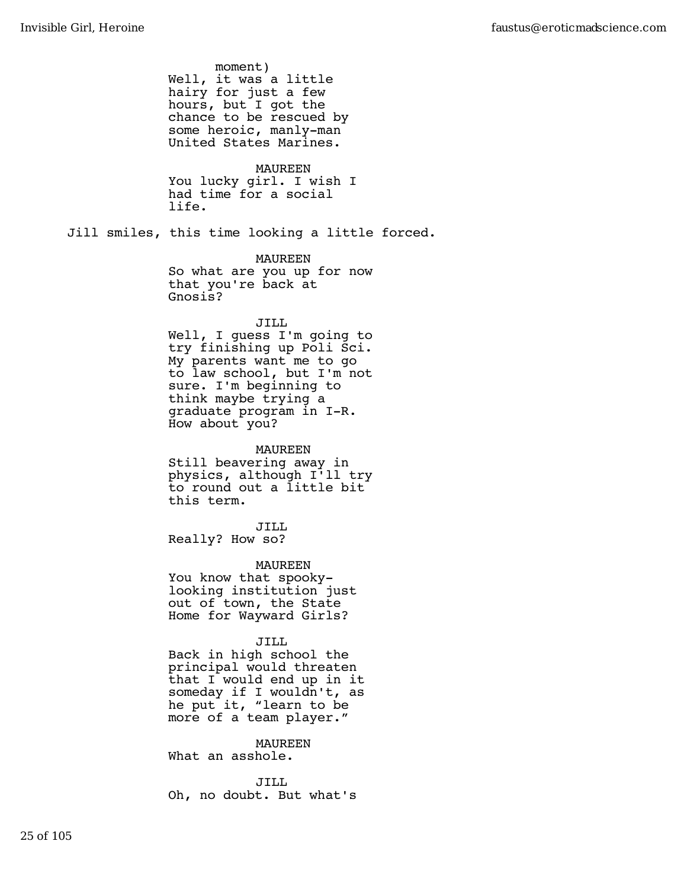moment) Well, it was a little hairy for just a few hours, but I got the chance to be rescued by some heroic, manly-man United States Marines. MAUREEN You lucky girl. I wish I had time for a social life. Jill smiles, this time looking a little forced. MAUREEN So what are you up for now that you're back at Gnosis? JILL Well, I guess I'm going to try finishing up Poli Sci. My parents want me to go to law school, but I'm not sure. I'm beginning to think maybe trying a graduate program in I-R. How about you? MAUREEN Still beavering away in physics, although I'll try to round out a little bit this term. JILL Really? How so? MAUREEN You know that spookylooking institution just out of town, the State Home for Wayward Girls? JILL Back in high school the principal would threaten that I would end up in it someday if I wouldn't, as he put it, "learn to be more of a team player." MAUREEN What an asshole. JILL Oh, no doubt. But what's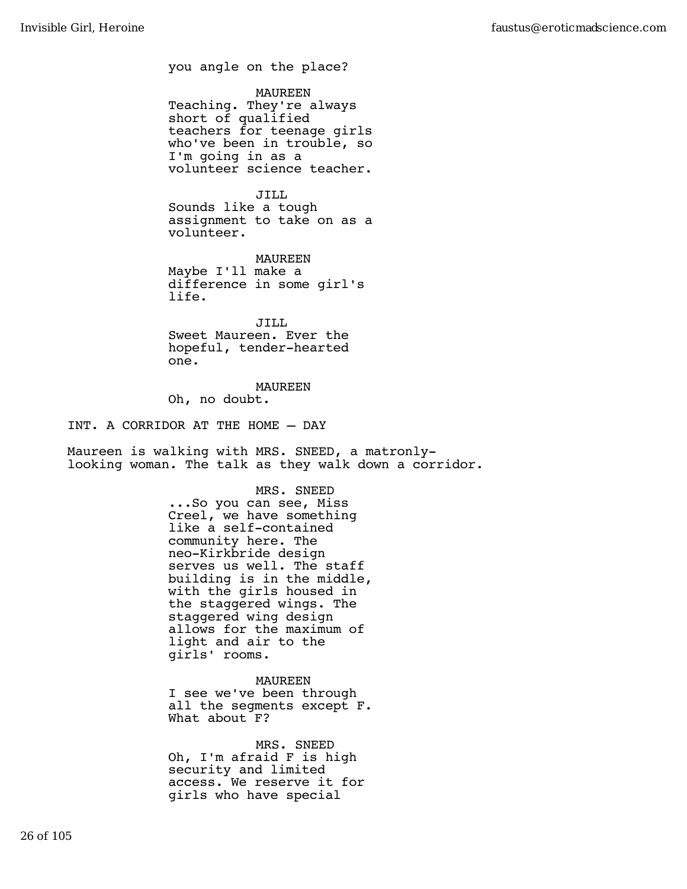you angle on the place?

MAUREEN Teaching. They're always short of qualified teachers for teenage girls who've been in trouble, so I'm going in as a volunteer science teacher.

JILL Sounds like a tough assignment to take on as a volunteer.

MAUREEN Maybe I'll make a difference in some girl's life.

JILL Sweet Maureen. Ever the hopeful, tender-hearted one.

MAUREEN

Oh, no doubt.

INT. A CORRIDOR AT THE HOME – DAY

Maureen is walking with MRS. SNEED, a matronlylooking woman. The talk as they walk down a corridor.

> MRS. SNEED ...So you can see, Miss Creel, we have something like a self-contained community here. The neo-Kirkbride design serves us well. The staff building is in the middle, with the girls housed in the staggered wings. The staggered wing design allows for the maximum of light and air to the girls' rooms.

> MAUREEN I see we've been through all the segments except F. What about F?

MRS. SNEED Oh, I'm afraid F is high security and limited access. We reserve it for girls who have special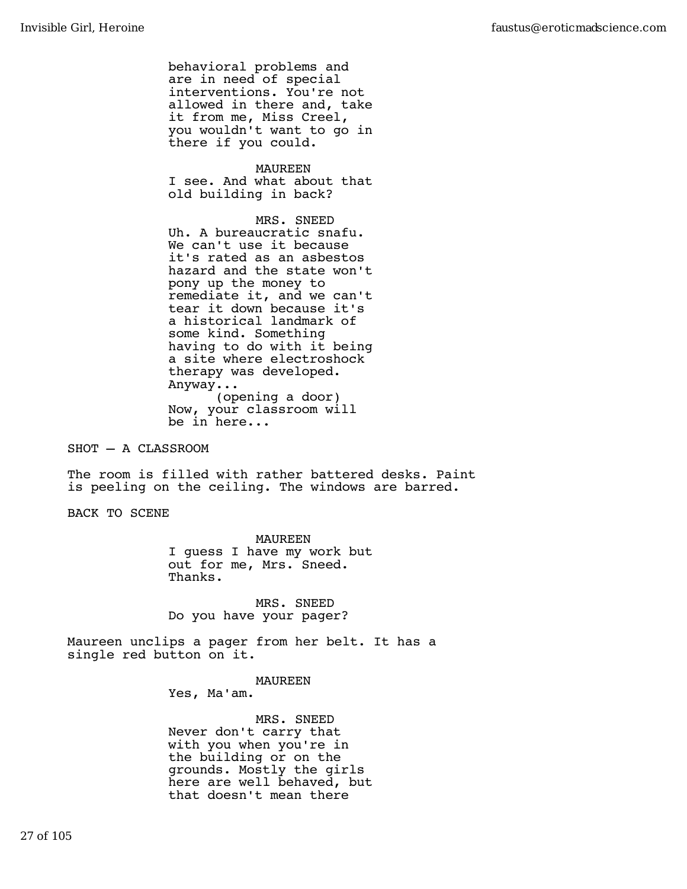behavioral problems and are in need of special interventions. You're not allowed in there and, take it from me, Miss Creel, you wouldn't want to go in there if you could.

MAUREEN I see. And what about that old building in back?

MRS. SNEED Uh. A bureaucratic snafu. We can't use it because it's rated as an asbestos hazard and the state won't pony up the money to remediate it, and we can't tear it down because it's a historical landmark of some kind. Something having to do with it being a site where electroshock therapy was developed. Anyway... (opening a door) Now, your classroom will be in here...

SHOT – A CLASSROOM

The room is filled with rather battered desks. Paint is peeling on the ceiling. The windows are barred.

BACK TO SCENE

MAUREEN I guess I have my work but out for me, Mrs. Sneed. Thanks.

MRS. SNEED Do you have your pager?

Maureen unclips a pager from her belt. It has a single red button on it.

# MAUREEN

Yes, Ma'am.

MRS. SNEED Never don't carry that with you when you're in the building or on the grounds. Mostly the girls here are well behaved, but that doesn't mean there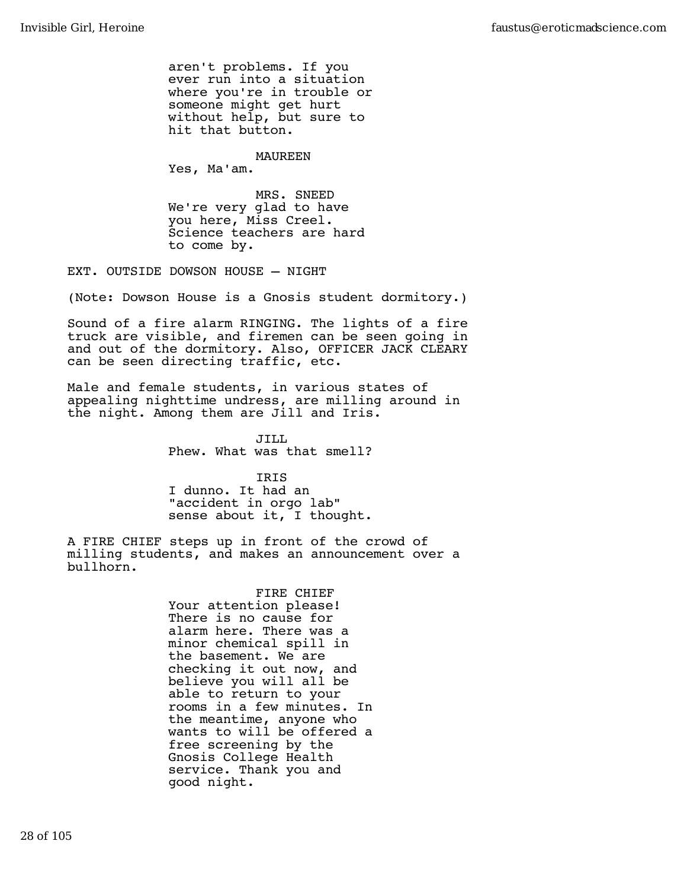aren't problems. If you ever run into a situation where you're in trouble or someone might get hurt without help, but sure to hit that button.

## MAUREEN

Yes, Ma'am.

MRS. SNEED We're very glad to have you here, Miss Creel. Science teachers are hard to come by.

EXT. OUTSIDE DOWSON HOUSE – NIGHT

(Note: Dowson House is a Gnosis student dormitory.)

Sound of a fire alarm RINGING. The lights of a fire truck are visible, and firemen can be seen going in and out of the dormitory. Also, OFFICER JACK CLEARY can be seen directing traffic, etc.

Male and female students, in various states of appealing nighttime undress, are milling around in the night. Among them are Jill and Iris.

> JILL Phew. What was that smell?

IRIS I dunno. It had an "accident in orgo lab" sense about it, I thought.

A FIRE CHIEF steps up in front of the crowd of milling students, and makes an announcement over a bullhorn.

> FIRE CHIEF Your attention please! There is no cause for alarm here. There was a minor chemical spill in the basement. We are checking it out now, and believe you will all be able to return to your rooms in a few minutes. In the meantime, anyone who wants to will be offered a free screening by the Gnosis College Health service. Thank you and good night.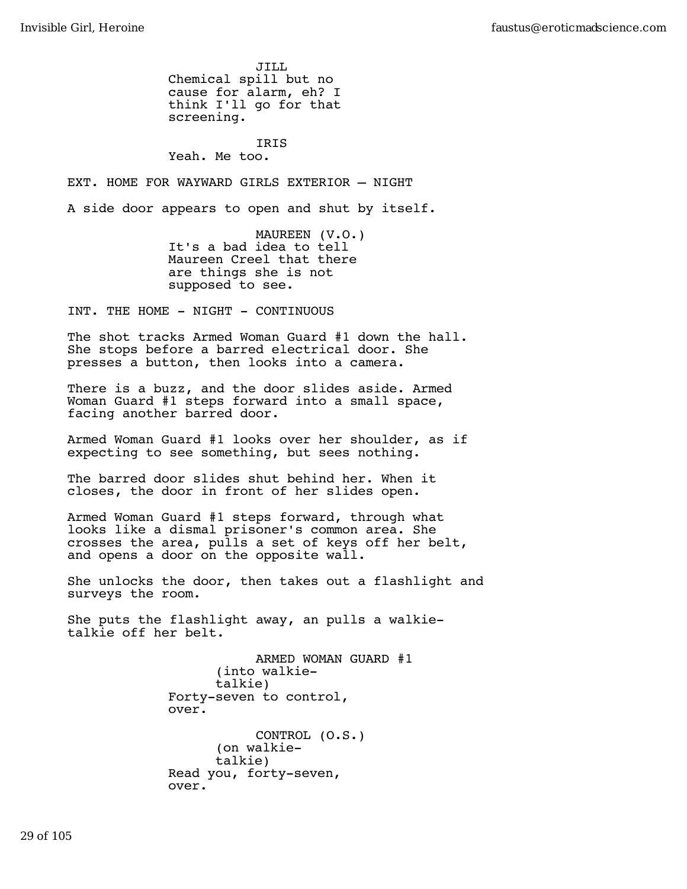JILL Chemical spill but no cause for alarm, eh? I think I'll go for that screening.

IRIS Yeah. Me too.

EXT. HOME FOR WAYWARD GIRLS EXTERIOR – NIGHT

A side door appears to open and shut by itself.

MAUREEN (V.O.) It's a bad idea to tell Maureen Creel that there are things she is not supposed to see.

INT. THE HOME - NIGHT - CONTINUOUS

The shot tracks Armed Woman Guard #1 down the hall. She stops before a barred electrical door. She presses a button, then looks into a camera.

There is a buzz, and the door slides aside. Armed Woman Guard #1 steps forward into a small space, facing another barred door.

Armed Woman Guard #1 looks over her shoulder, as if expecting to see something, but sees nothing.

The barred door slides shut behind her. When it closes, the door in front of her slides open.

Armed Woman Guard #1 steps forward, through what looks like a dismal prisoner's common area. She crosses the area, pulls a set of keys off her belt, and opens a door on the opposite wall.

She unlocks the door, then takes out a flashlight and surveys the room.

She puts the flashlight away, an pulls a walkietalkie off her belt.

> ARMED WOMAN GUARD #1 (into walkietalkie) Forty-seven to control, over. CONTROL (O.S.)

```
(on walkie-
      talkie)
Read you, forty-seven,
over.
```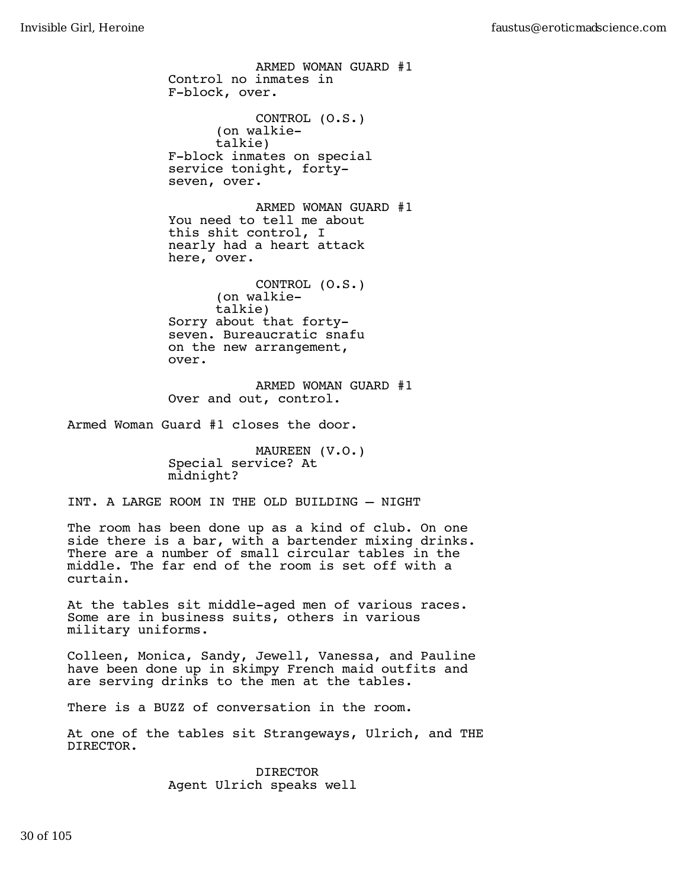ARMED WOMAN GUARD #1 Control no inmates in F-block, over. CONTROL (O.S.) (on walkietalkie) F-block inmates on special service tonight, fortyseven, over. ARMED WOMAN GUARD #1 You need to tell me about this shit control, I nearly had a heart attack here, over. CONTROL (O.S.) (on walkietalkie) Sorry about that fortyseven. Bureaucratic snafu on the new arrangement, over. ARMED WOMAN GUARD #1 Over and out, control. Armed Woman Guard #1 closes the door. MAUREEN (V.O.) Special service? At midnight? INT. A LARGE ROOM IN THE OLD BUILDING – NIGHT The room has been done up as a kind of club. On one side there is a bar, with a bartender mixing drinks. There are a number of small circular tables in the middle. The far end of the room is set off with a At the tables sit middle-aged men of various races. Some are in business suits, others in various military uniforms. Colleen, Monica, Sandy, Jewell, Vanessa, and Pauline have been done up in skimpy French maid outfits and are serving drinks to the men at the tables. There is a BUZZ of conversation in the room.

At one of the tables sit Strangeways, Ulrich, and THE DIRECTOR.

> DIRECTOR Agent Ulrich speaks well

curtain.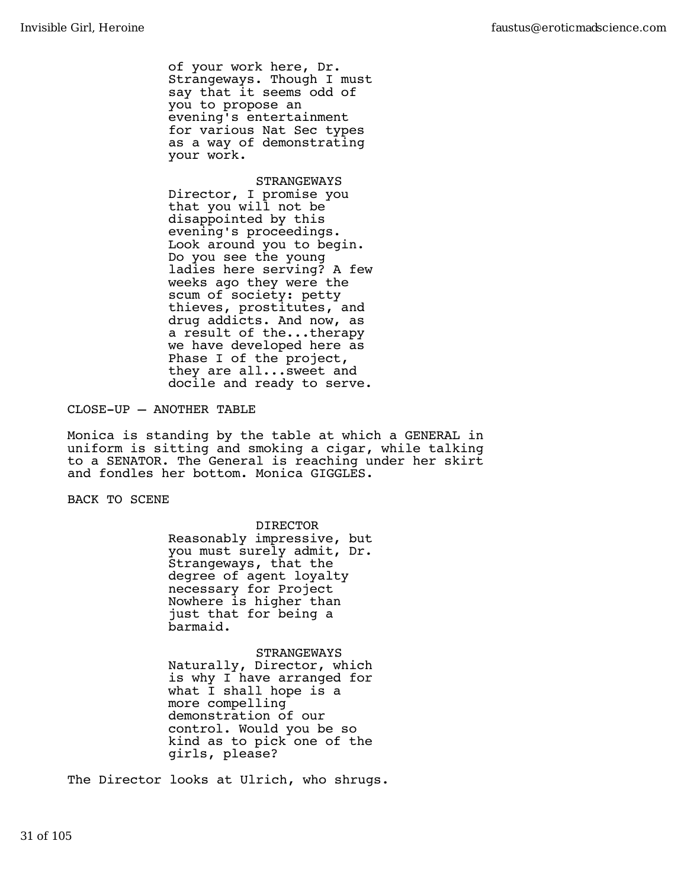of your work here, Dr. Strangeways. Though I must say that it seems odd of you to propose an evening's entertainment for various Nat Sec types as a way of demonstrating your work.

STRANGEWAYS Director, I promise you that you will not be disappointed by this evening's proceedings. Look around you to begin. Do you see the young ladies here serving? A few weeks ago they were the scum of society: petty thieves, prostitutes, and drug addicts. And now, as a result of the...therapy we have developed here as Phase I of the project, they are all...sweet and docile and ready to serve.

CLOSE-UP – ANOTHER TABLE

Monica is standing by the table at which a GENERAL in uniform is sitting and smoking a cigar, while talking to a SENATOR. The General is reaching under her skirt and fondles her bottom. Monica GIGGLES.

BACK TO SCENE

DIRECTOR Reasonably impressive, but you must surely admit, Dr. Strangeways, that the degree of agent loyalty necessary for Project Nowhere is higher than just that for being a barmaid.

STRANGEWAYS Naturally, Director, which is why I have arranged for what I shall hope is a more compelling demonstration of our control. Would you be so kind as to pick one of the girls, please?

The Director looks at Ulrich, who shrugs.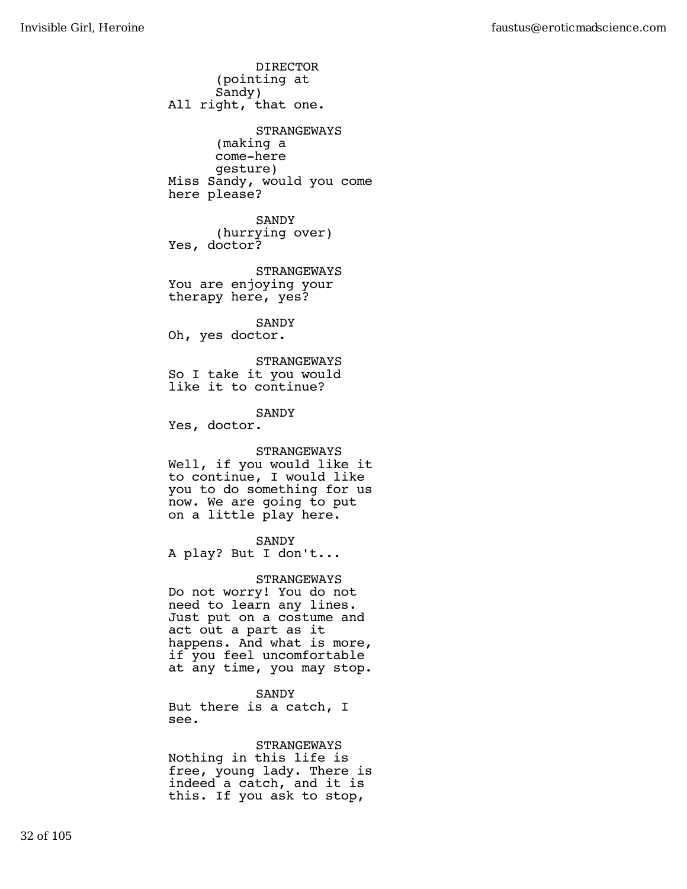DIRECTOR (pointing at Sandy) All right, that one. STRANGEWAYS (making a come-here gesture) Miss Sandy, would you come here please? SANDY (hurrying over) Yes, doctor? STRANGEWAYS You are enjoying your therapy here, yes? SANDY Oh, yes doctor. STRANGEWAYS So I take it you would like it to continue? SANDY Yes, doctor. STRANGEWAYS Well, if you would like it to continue, I would like you to do something for us now. We are going to put on a little play here. SANDY A play? But I don't... STRANGEWAYS Do not worry! You do not need to learn any lines. Just put on a costume and act out a part as it happens. And what is more, if you feel uncomfortable at any time, you may stop. SANDY But there is a catch, I see. STRANGEWAYS Nothing in this life is free, young lady. There is indeed a catch, and it is

this. If you ask to stop,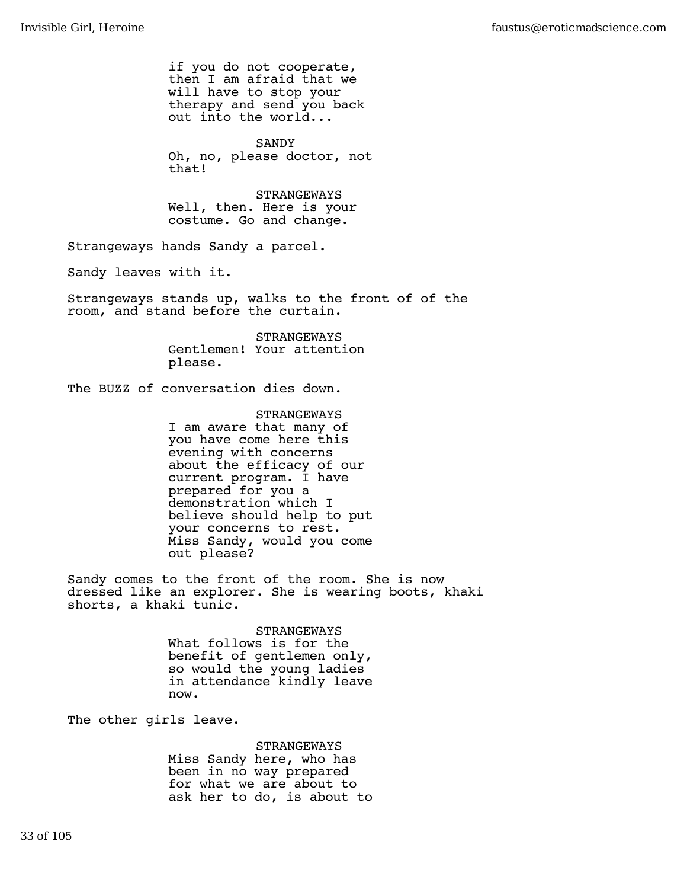if you do not cooperate, then I am afraid that we will have to stop your therapy and send you back out into the world... SANDY Oh, no, please doctor, not that! STRANGEWAYS Well, then. Here is your costume. Go and change. Strangeways hands Sandy a parcel. Sandy leaves with it. Strangeways stands up, walks to the front of of the room, and stand before the curtain. STRANGEWAYS Gentlemen! Your attention please. The BUZZ of conversation dies down. STRANGEWAYS I am aware that many of you have come here this evening with concerns about the efficacy of our current program. I have prepared for you a demonstration which I believe should help to put your concerns to rest. Miss Sandy, would you come out please? Sandy comes to the front of the room. She is now dressed like an explorer. She is wearing boots, khaki shorts, a khaki tunic. STRANGEWAYS What follows is for the benefit of gentlemen only, so would the young ladies in attendance kindly leave now. The other girls leave.

STRANGEWAYS Miss Sandy here, who has been in no way prepared for what we are about to ask her to do, is about to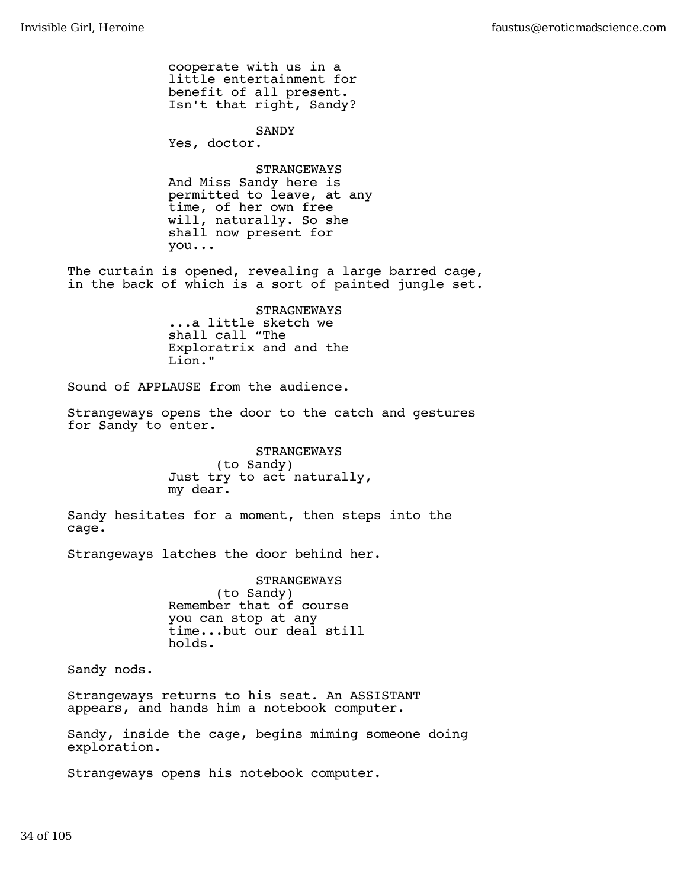cooperate with us in a little entertainment for benefit of all present. Isn't that right, Sandy? SANDY Yes, doctor. STRANGEWAYS And Miss Sandy here is permitted to leave, at any time, of her own free will, naturally. So she shall now present for you... The curtain is opened, revealing a large barred cage, in the back of which is a sort of painted jungle set. STRAGNEWAYS ...a little sketch we shall call "The Exploratrix and and the Lion." Sound of APPLAUSE from the audience. Strangeways opens the door to the catch and gestures for Sandy to enter. STRANGEWAYS (to Sandy) Just try to act naturally, my dear. Sandy hesitates for a moment, then steps into the Strangeways latches the door behind her. STRANGEWAYS (to Sandy) Remember that of course you can stop at any time...but our deal still holds. Sandy nods. Strangeways returns to his seat. An ASSISTANT appears, and hands him a notebook computer. Sandy, inside the cage, begins miming someone doing exploration. Strangeways opens his notebook computer.

cage.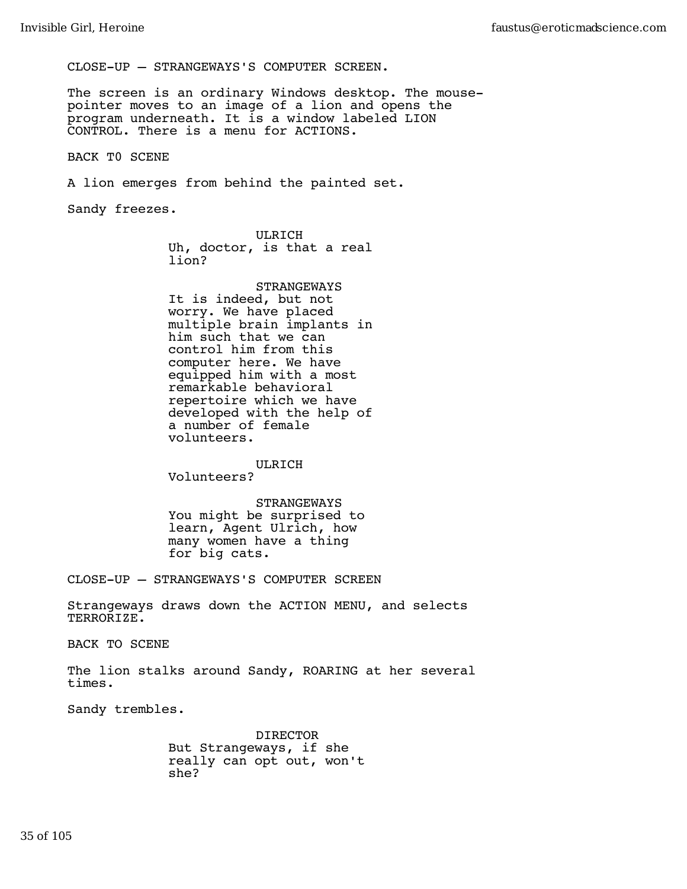CLOSE-UP – STRANGEWAYS'S COMPUTER SCREEN.

The screen is an ordinary Windows desktop. The mousepointer moves to an image of a lion and opens the program underneath. It is a window labeled LION CONTROL. There is a menu for ACTIONS.

BACK T0 SCENE

A lion emerges from behind the painted set.

Sandy freezes.

ULRICH Uh, doctor, is that a real lion?

STRANGEWAYS It is indeed, but not worry. We have placed multiple brain implants in him such that we can control him from this computer here. We have equipped him with a most remarkable behavioral repertoire which we have developed with the help of a number of female volunteers.

ULRICH Volunteers?

STRANGEWAYS You might be surprised to learn, Agent Ulrich, how many women have a thing for big cats.

CLOSE-UP – STRANGEWAYS'S COMPUTER SCREEN

Strangeways draws down the ACTION MENU, and selects TERRORIZE.

BACK TO SCENE

The lion stalks around Sandy, ROARING at her several times.

Sandy trembles.

DIRECTOR But Strangeways, if she really can opt out, won't she?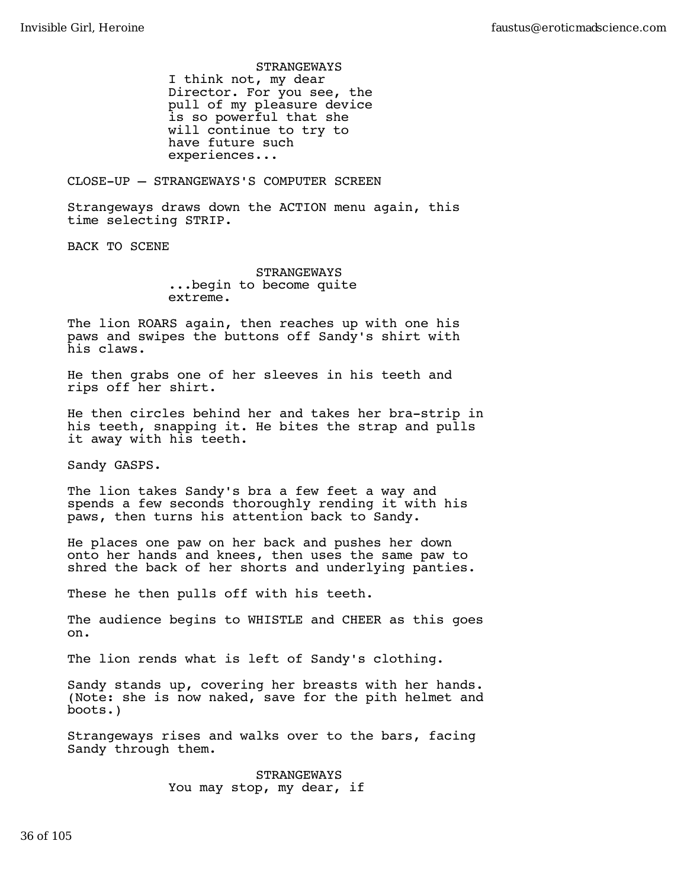STRANGEWAYS I think not, my dear Director. For you see, the pull of my pleasure device is so powerful that she will continue to try to have future such experiences...

CLOSE-UP – STRANGEWAYS'S COMPUTER SCREEN

Strangeways draws down the ACTION menu again, this time selecting STRIP.

BACK TO SCENE

STRANGEWAYS ...begin to become quite extreme.

The lion ROARS again, then reaches up with one his paws and swipes the buttons off Sandy's shirt with his claws.

He then grabs one of her sleeves in his teeth and rips off her shirt.

He then circles behind her and takes her bra-strip in his teeth, snapping it. He bites the strap and pulls it away with his teeth.

Sandy GASPS.

The lion takes Sandy's bra a few feet a way and spends a few seconds thoroughly rending it with his paws, then turns his attention back to Sandy.

He places one paw on her back and pushes her down onto her hands and knees, then uses the same paw to shred the back of her shorts and underlying panties.

These he then pulls off with his teeth.

The audience begins to WHISTLE and CHEER as this goes on.

The lion rends what is left of Sandy's clothing.

Sandy stands up, covering her breasts with her hands. (Note: she is now naked, save for the pith helmet and boots.)

Strangeways rises and walks over to the bars, facing Sandy through them.

> STRANGEWAYS You may stop, my dear, if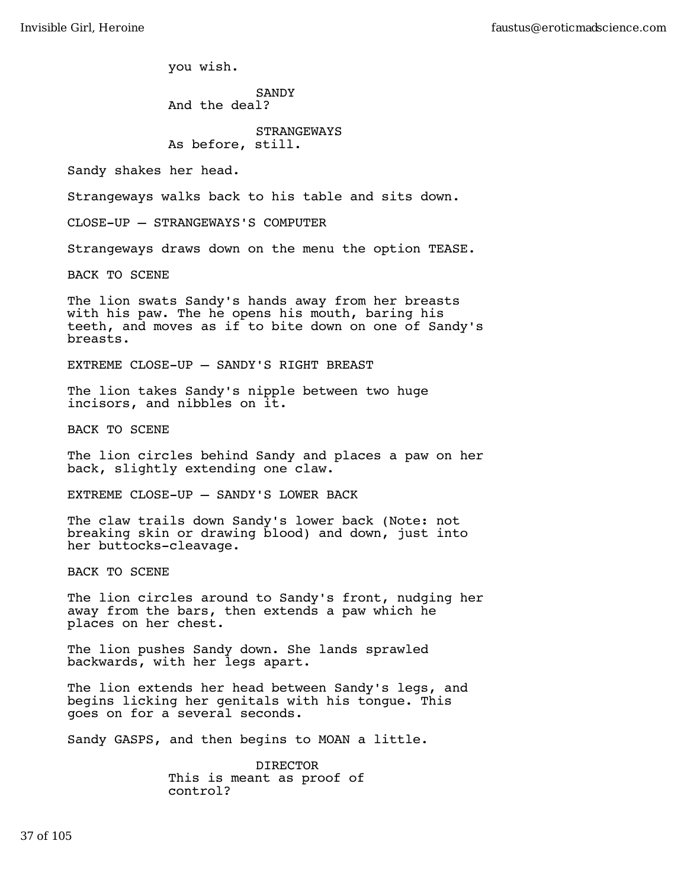you wish.

SANDY And the deal?

STRANGEWAYS As before, still.

Sandy shakes her head.

Strangeways walks back to his table and sits down.

CLOSE-UP – STRANGEWAYS'S COMPUTER

Strangeways draws down on the menu the option TEASE.

BACK TO SCENE

The lion swats Sandy's hands away from her breasts with his paw. The he opens his mouth, baring his teeth, and moves as if to bite down on one of Sandy's breasts.

EXTREME CLOSE-UP – SANDY'S RIGHT BREAST

The lion takes Sandy's nipple between two huge incisors, and nibbles on it.

BACK TO SCENE

The lion circles behind Sandy and places a paw on her back, slightly extending one claw.

EXTREME CLOSE-UP – SANDY'S LOWER BACK

The claw trails down Sandy's lower back (Note: not breaking skin or drawing blood) and down, just into her buttocks-cleavage.

BACK TO SCENE

The lion circles around to Sandy's front, nudging her away from the bars, then extends a paw which he places on her chest.

The lion pushes Sandy down. She lands sprawled backwards, with her legs apart.

The lion extends her head between Sandy's legs, and begins licking her genitals with his tongue. This goes on for a several seconds.

Sandy GASPS, and then begins to MOAN a little.

DIRECTOR This is meant as proof of control?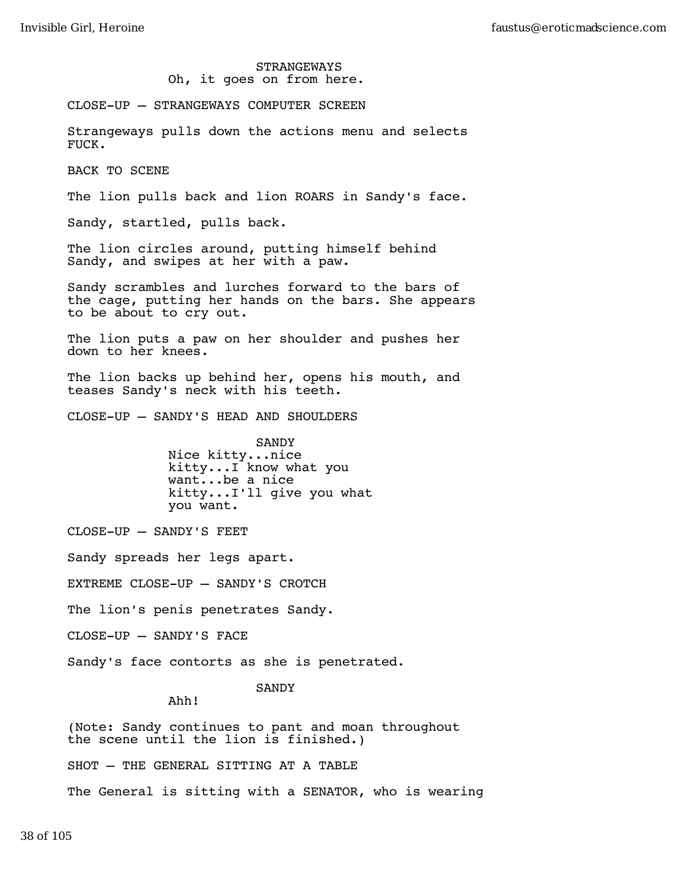STRANGEWAYS Oh, it goes on from here.

CLOSE-UP – STRANGEWAYS COMPUTER SCREEN

Strangeways pulls down the actions menu and selects FUCK.

BACK TO SCENE

The lion pulls back and lion ROARS in Sandy's face.

Sandy, startled, pulls back.

The lion circles around, putting himself behind Sandy, and swipes at her with a paw.

Sandy scrambles and lurches forward to the bars of the cage, putting her hands on the bars. She appears to be about to cry out.

The lion puts a paw on her shoulder and pushes her down to her knees.

The lion backs up behind her, opens his mouth, and teases Sandy's neck with his teeth.

CLOSE-UP – SANDY'S HEAD AND SHOULDERS

SANDY Nice kitty...nice kitty...I know what you want...be a nice kitty...I'll give you what you want.

CLOSE-UP – SANDY'S FEET

Sandy spreads her legs apart.

EXTREME CLOSE-UP – SANDY'S CROTCH

The lion's penis penetrates Sandy.

CLOSE-UP – SANDY'S FACE

Sandy's face contorts as she is penetrated.

**SANDY** 

Ahh!

(Note: Sandy continues to pant and moan throughout the scene until the lion is finished.)

SHOT – THE GENERAL SITTING AT A TABLE

The General is sitting with a SENATOR, who is wearing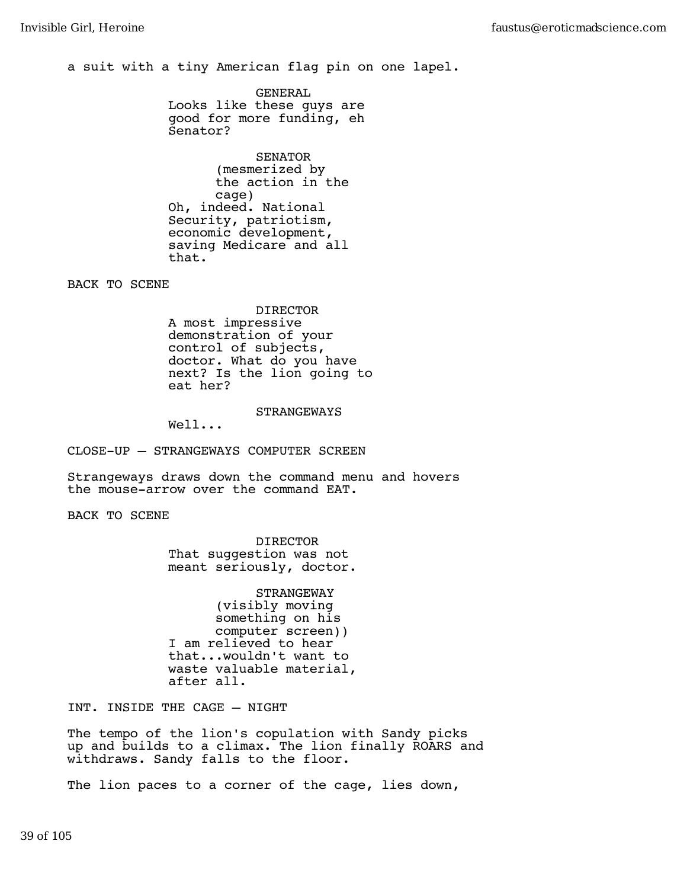a suit with a tiny American flag pin on one lapel.

GENERAL Looks like these guys are good for more funding, eh Senator?

SENATOR (mesmerized by the action in the cage) Oh, indeed. National Security, patriotism, economic development, saving Medicare and all that.

BACK TO SCENE

DIRECTOR A most impressive demonstration of your control of subjects, doctor. What do you have next? Is the lion going to eat her?

#### STRANGEWAYS

Well...

CLOSE-UP – STRANGEWAYS COMPUTER SCREEN

Strangeways draws down the command menu and hovers the mouse-arrow over the command EAT.

BACK TO SCENE

DIRECTOR That suggestion was not meant seriously, doctor.

STRANGEWAY (visibly moving something on his computer screen)) I am relieved to hear that...wouldn't want to waste valuable material, after all.

INT. INSIDE THE CAGE – NIGHT

The tempo of the lion's copulation with Sandy picks up and builds to a climax. The lion finally ROARS and withdraws. Sandy falls to the floor.

The lion paces to a corner of the cage, lies down,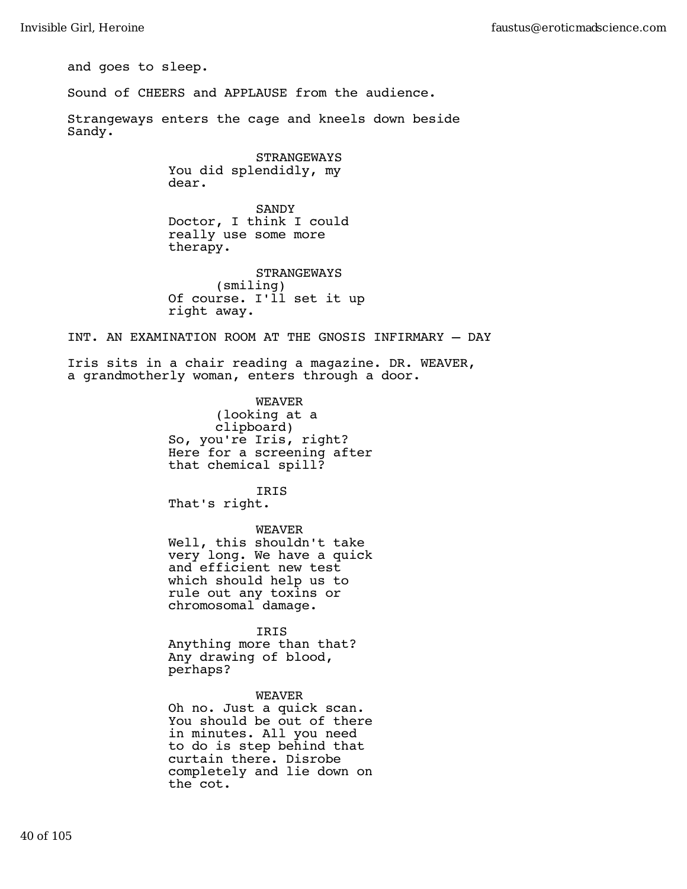and goes to sleep.

Sound of CHEERS and APPLAUSE from the audience.

Strangeways enters the cage and kneels down beside Sandy.

> STRANGEWAYS You did splendidly, my dear.

SANDY Doctor, I think I could really use some more therapy.

STRANGEWAYS (smiling) Of course. I'll set it up right away.

INT. AN EXAMINATION ROOM AT THE GNOSIS INFIRMARY – DAY

Iris sits in a chair reading a magazine. DR. WEAVER, a grandmotherly woman, enters through a door.

> WEAVER (looking at a clipboard) So, you're Iris, right? Here for a screening after that chemical spill?

IRIS That's right.

WEAVER Well, this shouldn't take very long. We have a quick and efficient new test which should help us to rule out any toxins or chromosomal damage.

IRIS Anything more than that? Any drawing of blood, perhaps?

WEAVER Oh no. Just a quick scan. You should be out of there in minutes. All you need to do is step behind that curtain there. Disrobe completely and lie down on the cot.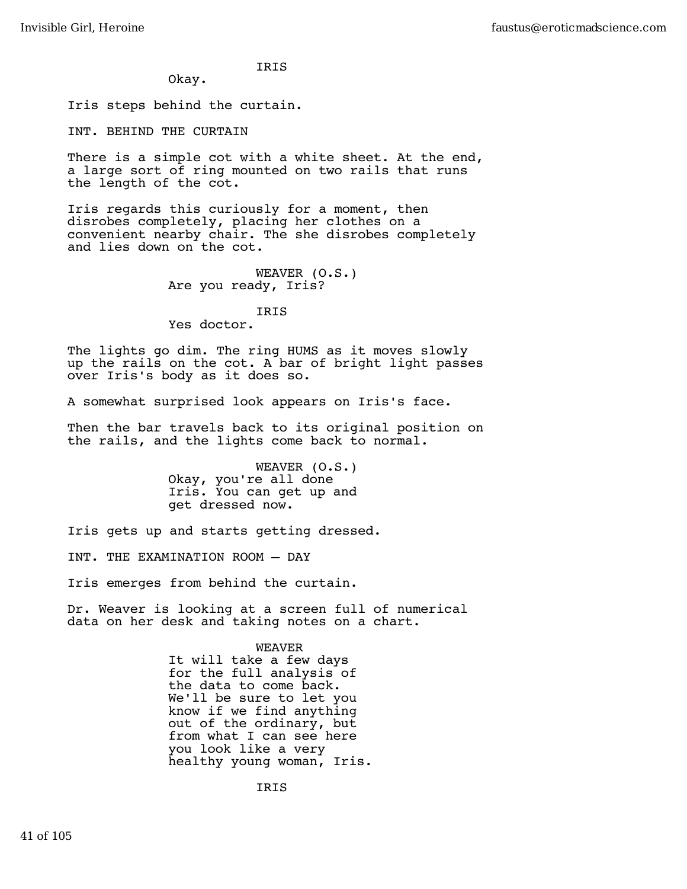IRIS

Okay.

Iris steps behind the curtain.

INT. BEHIND THE CURTAIN

There is a simple cot with a white sheet. At the end, a large sort of ring mounted on two rails that runs the length of the cot.

Iris regards this curiously for a moment, then disrobes completely, placing her clothes on a convenient nearby chair. The she disrobes completely and lies down on the cot.

> WEAVER (O.S.) Are you ready, Iris?

> > IRIS

Yes doctor.

The lights go dim. The ring HUMS as it moves slowly up the rails on the cot. A bar of bright light passes over Iris's body as it does so.

A somewhat surprised look appears on Iris's face.

Then the bar travels back to its original position on the rails, and the lights come back to normal.

> WEAVER (O.S.) Okay, you're all done Iris. You can get up and get dressed now.

Iris gets up and starts getting dressed.

INT. THE EXAMINATION ROOM – DAY

Iris emerges from behind the curtain.

Dr. Weaver is looking at a screen full of numerical data on her desk and taking notes on a chart.

#### WEAVER

It will take a few days for the full analysis of the data to come back. We'll be sure to let you know if we find anything out of the ordinary, but from what I can see here you look like a very healthy young woman, Iris.

IRIS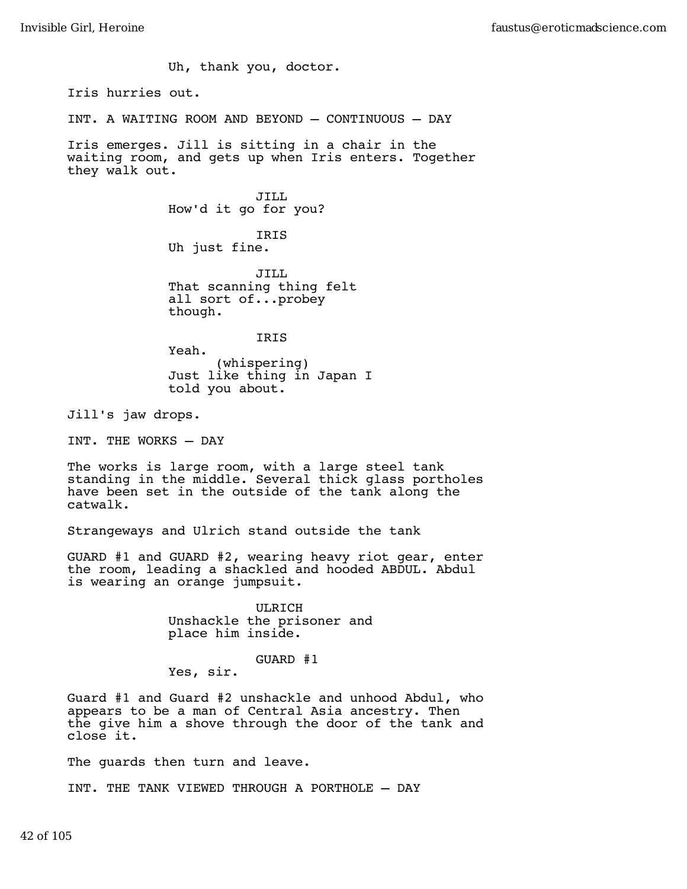Uh, thank you, doctor. Iris hurries out. INT. A WAITING ROOM AND BEYOND – CONTINUOUS – DAY Iris emerges. Jill is sitting in a chair in the waiting room, and gets up when Iris enters. Together they walk out. JILL How'd it go for you? IRIS Uh just fine. JILL That scanning thing felt all sort of...probey though. IRIS Yeah. (whispering) Just like thing in Japan I told you about. Jill's jaw drops. INT. THE WORKS – DAY The works is large room, with a large steel tank standing in the middle. Several thick glass portholes have been set in the outside of the tank along the catwalk. Strangeways and Ulrich stand outside the tank GUARD #1 and GUARD #2, wearing heavy riot gear, enter the room, leading a shackled and hooded ABDUL. Abdul is wearing an orange jumpsuit. ULRICH Unshackle the prisoner and place him inside. GUARD #1 Yes, sir. Guard #1 and Guard #2 unshackle and unhood Abdul, who appears to be a man of Central Asia ancestry. Then the give him a shove through the door of the tank and close it. The guards then turn and leave.

INT. THE TANK VIEWED THROUGH A PORTHOLE – DAY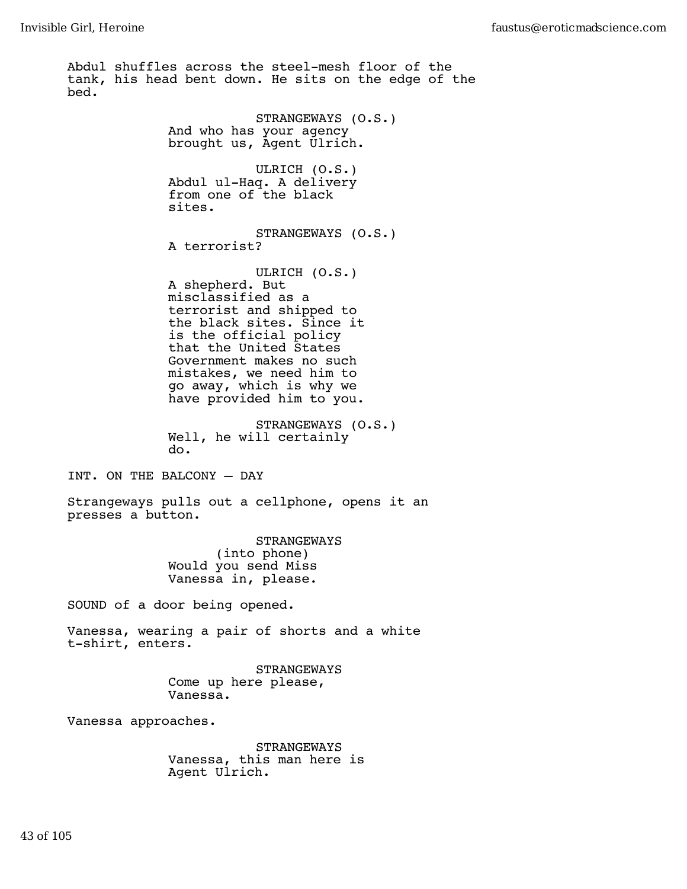Abdul shuffles across the steel-mesh floor of the tank, his head bent down. He sits on the edge of the bed. STRANGEWAYS (O.S.) And who has your agency brought us, Agent Ulrich. ULRICH (O.S.) Abdul ul-Haq. A delivery from one of the black sites. STRANGEWAYS (O.S.) A terrorist? ULRICH (O.S.) A shepherd. But misclassified as a terrorist and shipped to the black sites. Since it is the official policy that the United States Government makes no such mistakes, we need him to go away, which is why we have provided him to you. STRANGEWAYS (O.S.) Well, he will certainly do. INT. ON THE BALCONY – DAY Strangeways pulls out a cellphone, opens it an presses a button. STRANGEWAYS (into phone) Would you send Miss Vanessa in, please. SOUND of a door being opened. Vanessa, wearing a pair of shorts and a white t-shirt, enters. STRANGEWAYS Come up here please, Vanessa. Vanessa approaches. STRANGEWAYS Vanessa, this man here is Agent Ulrich.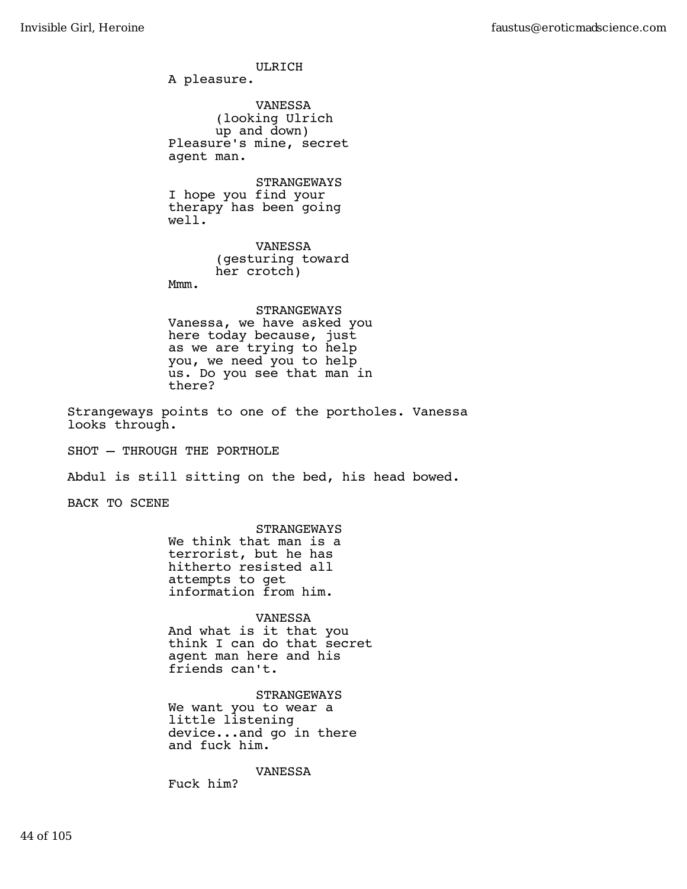ULRICH A pleasure. VANESSA (looking Ulrich up and down) Pleasure's mine, secret agent man. STRANGEWAYS I hope you find your therapy has been going well. VANESSA (gesturing toward her crotch) Mmm. STRANGEWAYS Vanessa, we have asked you here today because, just as we are trying to help you, we need you to help us. Do you see that man in there? Strangeways points to one of the portholes. Vanessa looks through. SHOT – THROUGH THE PORTHOLE Abdul is still sitting on the bed, his head bowed. BACK TO SCENE STRANGEWAYS We think that man is a terrorist, but he has hitherto resisted all attempts to get information from him. VANESSA And what is it that you think I can do that secret agent man here and his friends can't. STRANGEWAYS We want you to wear a little listening device...and go in there and fuck him.

VANESSA

Fuck him?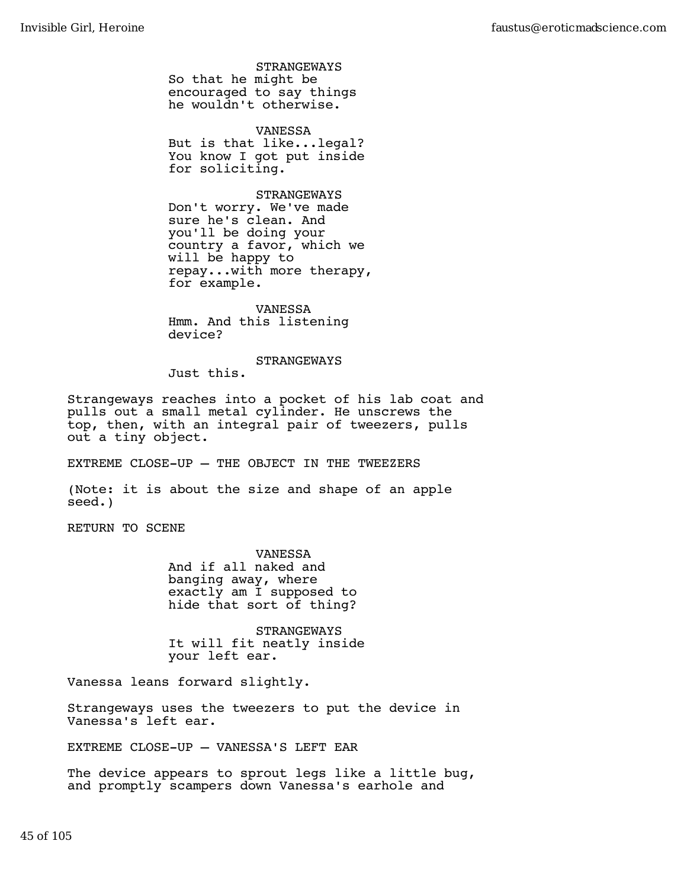STRANGEWAYS So that he might be encouraged to say things he wouldn't otherwise.

VANESSA But is that like...legal? You know I got put inside for soliciting.

STRANGEWAYS Don't worry. We've made sure he's clean. And you'll be doing your country a favor, which we will be happy to repay...with more therapy, for example.

VANESSA Hmm. And this listening device?

#### STRANGEWAYS

Just this.

Strangeways reaches into a pocket of his lab coat and pulls out a small metal cylinder. He unscrews the top, then, with an integral pair of tweezers, pulls out a tiny object.

EXTREME CLOSE-UP – THE OBJECT IN THE TWEEZERS

(Note: it is about the size and shape of an apple seed.)

RETURN TO SCENE

VANESSA And if all naked and banging away, where exactly am I supposed to hide that sort of thing?

STRANGEWAYS It will fit neatly inside your left ear.

Vanessa leans forward slightly.

Strangeways uses the tweezers to put the device in Vanessa's left ear.

EXTREME CLOSE-UP – VANESSA'S LEFT EAR

The device appears to sprout legs like a little bug, and promptly scampers down Vanessa's earhole and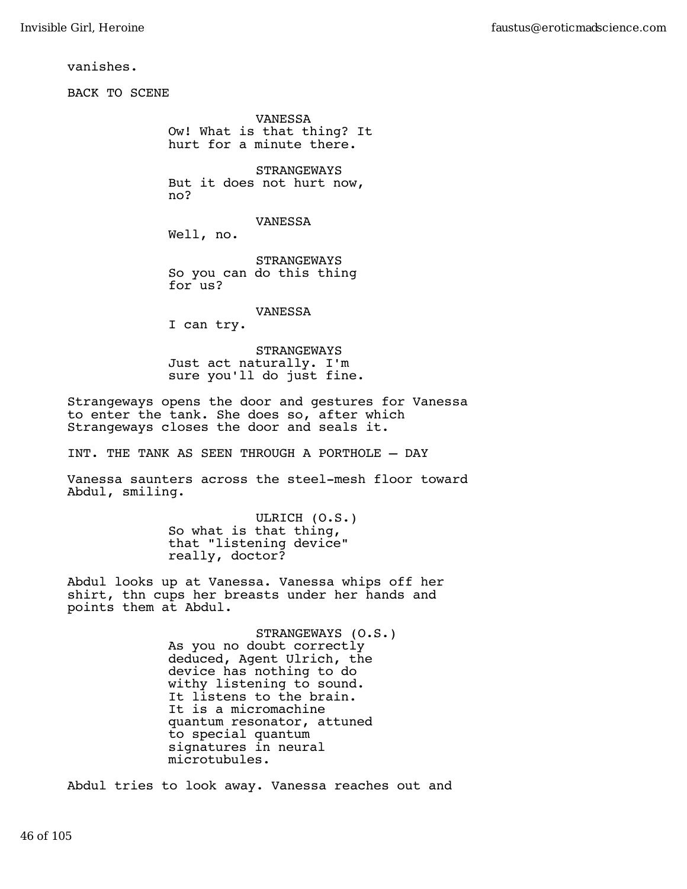vanishes.

BACK TO SCENE

VANESSA Ow! What is that thing? It hurt for a minute there.

STRANGEWAYS But it does not hurt now, no?

VANESSA

Well, no.

STRANGEWAYS So you can do this thing for us?

VANESSA

I can try.

STRANGEWAYS Just act naturally. I'm sure you'll do just fine.

Strangeways opens the door and gestures for Vanessa to enter the tank. She does so, after which Strangeways closes the door and seals it.

INT. THE TANK AS SEEN THROUGH A PORTHOLE – DAY

Vanessa saunters across the steel-mesh floor toward Abdul, smiling.

> ULRICH (O.S.) So what is that thing, that "listening device" really, doctor?

Abdul looks up at Vanessa. Vanessa whips off her shirt, thn cups her breasts under her hands and points them at Abdul.

> STRANGEWAYS (O.S.) As you no doubt correctly deduced, Agent Ulrich, the device has nothing to do withy listening to sound. It listens to the brain. It is a micromachine quantum resonator, attuned to special quantum signatures in neural microtubules.

Abdul tries to look away. Vanessa reaches out and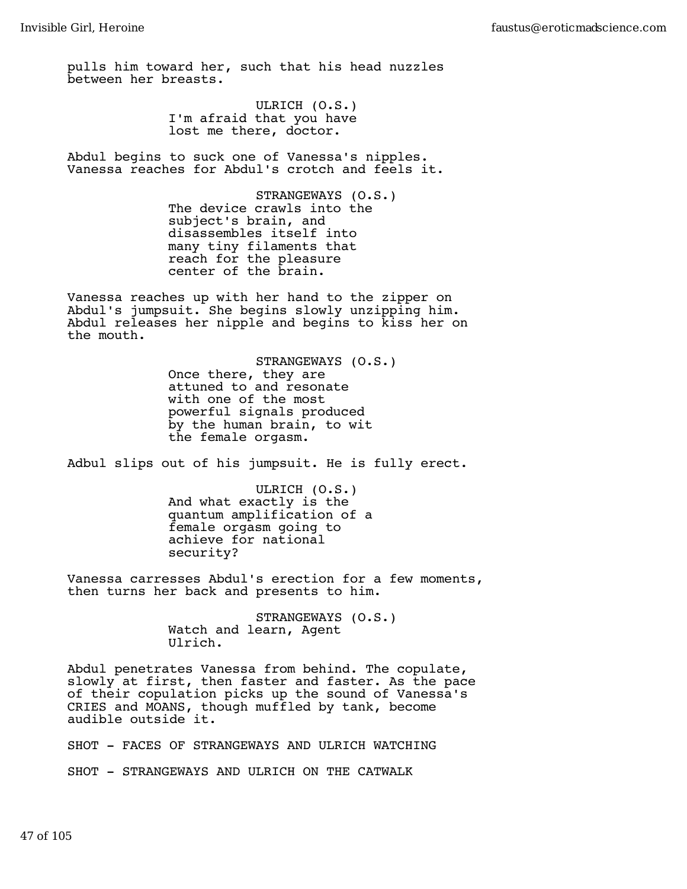pulls him toward her, such that his head nuzzles between her breasts.

> ULRICH (O.S.) I'm afraid that you have lost me there, doctor.

Abdul begins to suck one of Vanessa's nipples. Vanessa reaches for Abdul's crotch and feels it.

> STRANGEWAYS (O.S.) The device crawls into the subject's brain, and disassembles itself into many tiny filaments that reach for the pleasure center of the brain.

Vanessa reaches up with her hand to the zipper on Abdul's jumpsuit. She begins slowly unzipping him. Abdul releases her nipple and begins to kiss her on the mouth.

> STRANGEWAYS (O.S.) Once there, they are attuned to and resonate with one of the most powerful signals produced by the human brain, to wit the female orgasm.

Adbul slips out of his jumpsuit. He is fully erect.

ULRICH (O.S.) And what exactly is the quantum amplification of a female orgasm going to achieve for national security?

Vanessa carresses Abdul's erection for a few moments, then turns her back and presents to him.

> STRANGEWAYS (O.S.) Watch and learn, Agent Ulrich.

Abdul penetrates Vanessa from behind. The copulate, slowly at first, then faster and faster. As the pace of their copulation picks up the sound of Vanessa's CRIES and MOANS, though muffled by tank, become audible outside it.

SHOT - FACES OF STRANGEWAYS AND ULRICH WATCHING

SHOT - STRANGEWAYS AND ULRICH ON THE CATWALK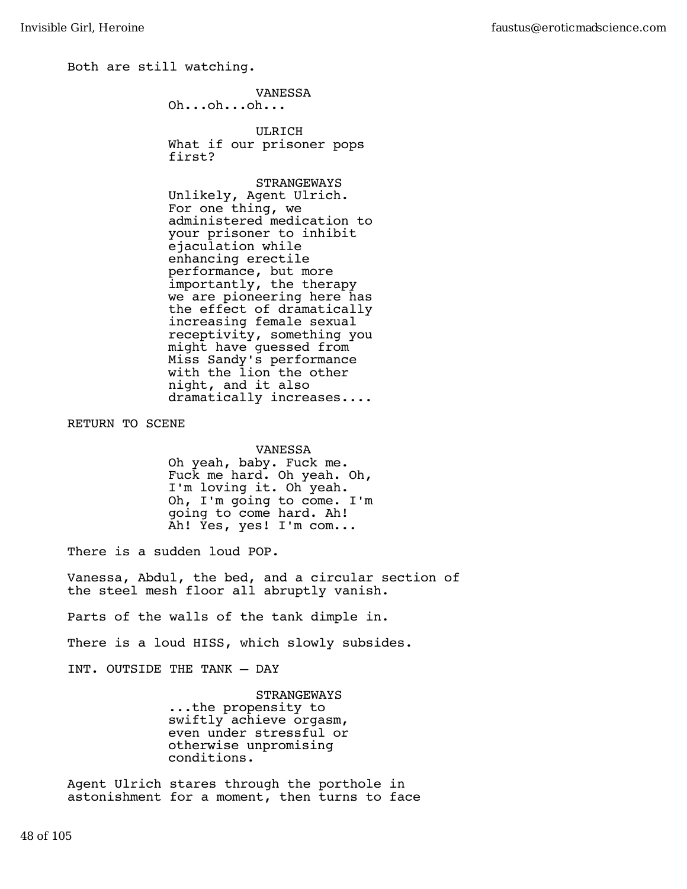Both are still watching. VANESSA Oh...oh...oh... ULRICH What if our prisoner pops first? STRANGEWAYS Unlikely, Agent Ulrich. For one thing, we administered medication to your prisoner to inhibit ejaculation while enhancing erectile performance, but more importantly, the therapy we are pioneering here has the effect of dramatically increasing female sexual receptivity, something you might have guessed from Miss Sandy's performance with the lion the other night, and it also dramatically increases.... RETURN TO SCENE VANESSA Oh yeah, baby. Fuck me. Fuck me hard. Oh yeah. Oh, I'm loving it. Oh yeah. Oh, I'm going to come. I'm going to come hard. Ah!

There is a sudden loud POP.

Vanessa, Abdul, the bed, and a circular section of the steel mesh floor all abruptly vanish.

Ah! Yes, yes! I'm com...

Parts of the walls of the tank dimple in.

There is a loud HISS, which slowly subsides.

INT. OUTSIDE THE TANK – DAY

STRANGEWAYS ...the propensity to swiftly achieve orgasm, even under stressful or otherwise unpromising conditions.

Agent Ulrich stares through the porthole in astonishment for a moment, then turns to face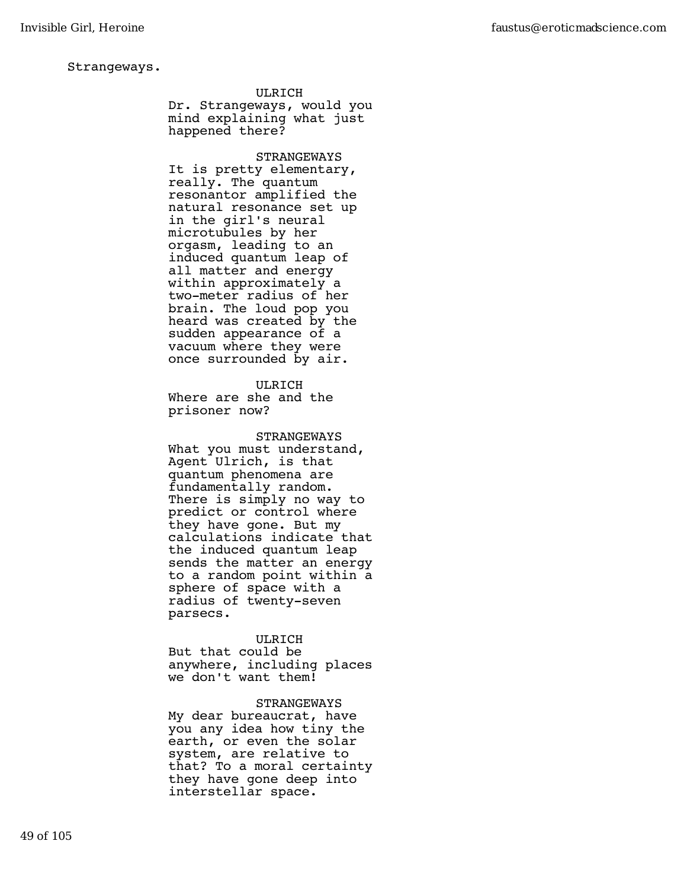# Strangeways.

ULRICH

Dr. Strangeways, would you mind explaining what just happened there?

STRANGEWAYS It is pretty elementary, really. The quantum resonantor amplified the natural resonance set up in the girl's neural microtubules by her orgasm, leading to an induced quantum leap of all matter and energy within approximately a two-meter radius of her brain. The loud pop you heard was created by the sudden appearance of a vacuum where they were once surrounded by air.

ULRICH Where are she and the prisoner now?

STRANGEWAYS What you must understand, Agent Ulrich, is that quantum phenomena are fundamentally random. There is simply no way to predict or control where they have gone. But my calculations indicate that the induced quantum leap sends the matter an energy to a random point within a sphere of space with a radius of twenty-seven parsecs.

ULRICH But that could be anywhere, including places we don't want them!

# STRANGEWAYS

My dear bureaucrat, have you any idea how tiny the earth, or even the solar system, are relative to that? To a moral certainty they have gone deep into interstellar space.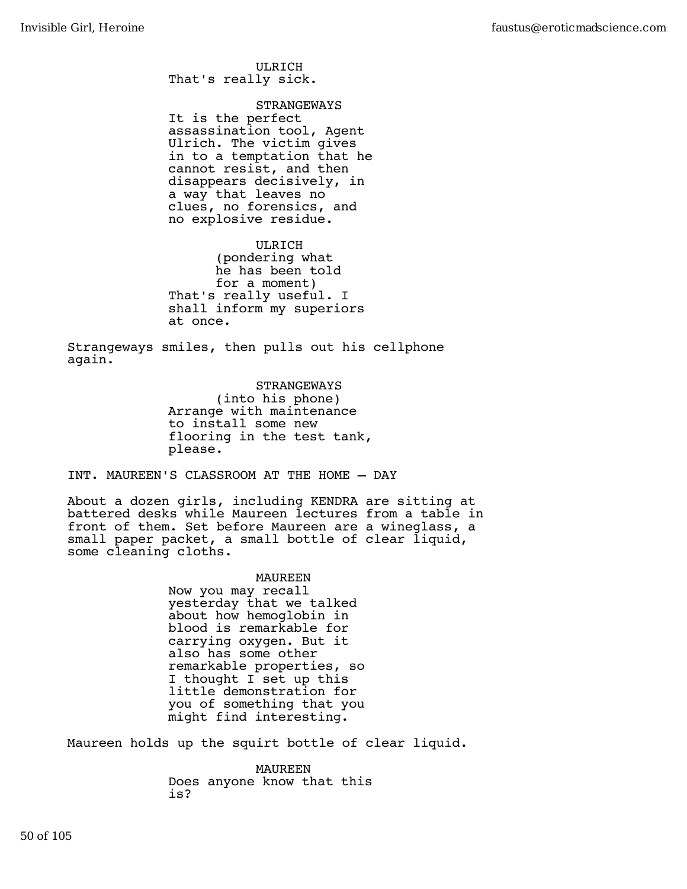ULRICH That's really sick.

# STRANGEWAYS

It is the perfect assassination tool, Agent Ulrich. The victim gives in to a temptation that he cannot resist, and then disappears decisively, in a way that leaves no clues, no forensics, and no explosive residue.

ULRICH (pondering what he has been told for a moment) That's really useful. I shall inform my superiors at once.

Strangeways smiles, then pulls out his cellphone again.

> STRANGEWAYS (into his phone) Arrange with maintenance to install some new flooring in the test tank, please.

INT. MAUREEN'S CLASSROOM AT THE HOME – DAY

About a dozen girls, including KENDRA are sitting at battered desks while Maureen lectures from a table in front of them. Set before Maureen are a wineglass, a small paper packet, a small bottle of clear liquid, some cleaning cloths.

> MAUREEN Now you may recall yesterday that we talked about how hemoglobin in blood is remarkable for carrying oxygen. But it also has some other remarkable properties, so I thought I set up this little demonstration for you of something that you might find interesting.

Maureen holds up the squirt bottle of clear liquid.

MAUREEN Does anyone know that this is?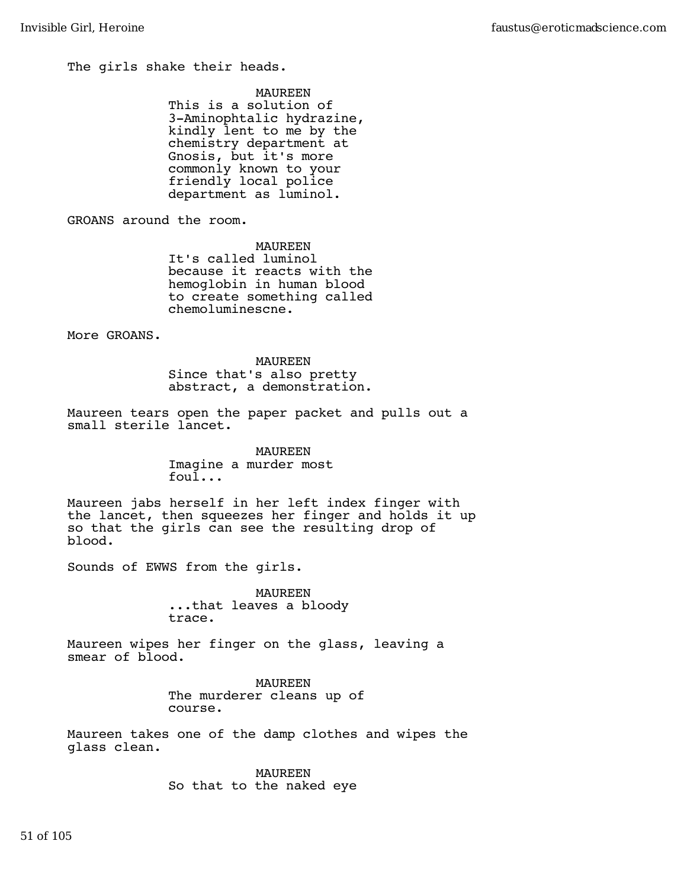The girls shake their heads.

MAUREEN This is a solution of 3-Aminophtalic hydrazine, kindly lent to me by the chemistry department at Gnosis, but it's more commonly known to your friendly local police department as luminol.

GROANS around the room.

MAUREEN It's called luminol because it reacts with the hemoglobin in human blood to create something called chemoluminescne.

More GROANS.

MAUREEN Since that's also pretty abstract, a demonstration.

Maureen tears open the paper packet and pulls out a small sterile lancet.

> MAUREEN Imagine a murder most foul...

Maureen jabs herself in her left index finger with the lancet, then squeezes her finger and holds it up so that the girls can see the resulting drop of blood.

Sounds of EWWS from the girls.

MAUREEN ...that leaves a bloody trace.

Maureen wipes her finger on the glass, leaving a smear of blood.

> MAUREEN The murderer cleans up of course.

Maureen takes one of the damp clothes and wipes the glass clean.

> MAUREEN So that to the naked eye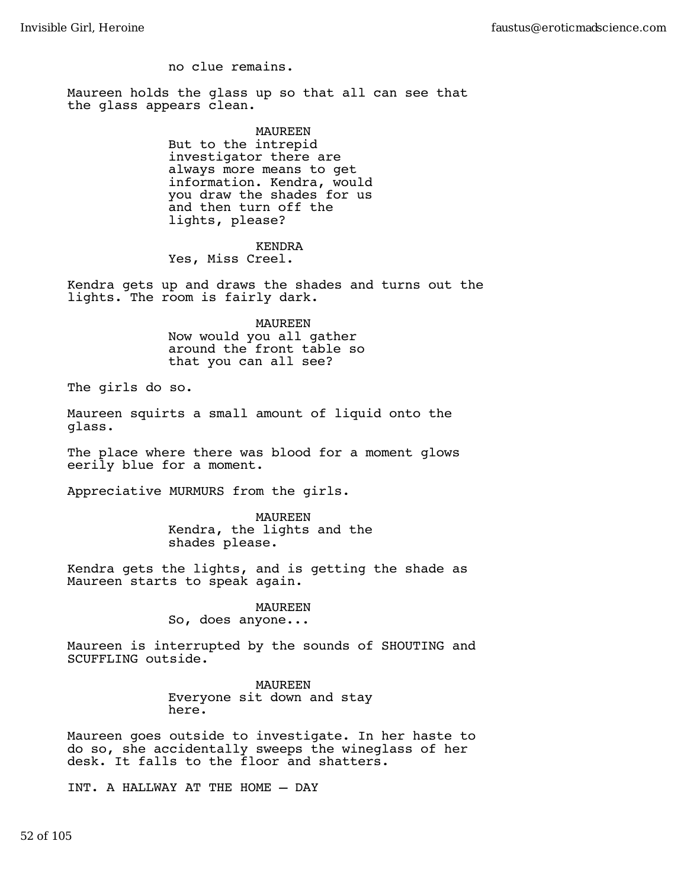### no clue remains.

Maureen holds the glass up so that all can see that the glass appears clean.

> MAUREEN But to the intrepid investigator there are always more means to get information. Kendra, would you draw the shades for us and then turn off the lights, please?

KENDRA Yes, Miss Creel.

Kendra gets up and draws the shades and turns out the lights. The room is fairly dark.

> MAUREEN Now would you all gather around the front table so that you can all see?

The girls do so.

Maureen squirts a small amount of liquid onto the glass.

The place where there was blood for a moment glows eerily blue for a moment.

Appreciative MURMURS from the girls.

MAUREEN Kendra, the lights and the shades please.

Kendra gets the lights, and is getting the shade as Maureen starts to speak again.

> MAUREEN So, does anyone...

Maureen is interrupted by the sounds of SHOUTING and SCUFFLING outside.

> MAUREEN Everyone sit down and stay here.

Maureen goes outside to investigate. In her haste to do so, she accidentally sweeps the wineglass of her desk. It falls to the floor and shatters.

INT. A HALLWAY AT THE HOME – DAY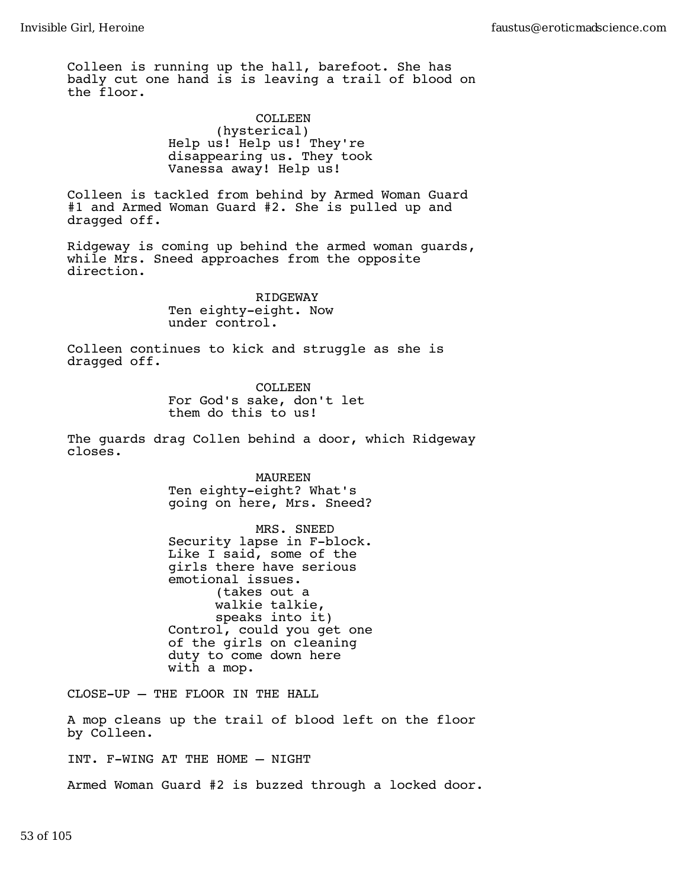Colleen is running up the hall, barefoot. She has badly cut one hand is is leaving a trail of blood on the floor.

> COLLEEN (hysterical) Help us! Help us! They're disappearing us. They took Vanessa away! Help us!

Colleen is tackled from behind by Armed Woman Guard #1 and Armed Woman Guard #2. She is pulled up and dragged off.

Ridgeway is coming up behind the armed woman guards, while Mrs. Sneed approaches from the opposite direction.

> RIDGEWAY Ten eighty-eight. Now under control.

Colleen continues to kick and struggle as she is dragged off.

> COLLEEN For God's sake, don't let them do this to us!

The guards drag Collen behind a door, which Ridgeway closes.

> MAUREEN Ten eighty-eight? What's going on here, Mrs. Sneed?

> MRS. SNEED Security lapse in F-block. Like I said, some of the girls there have serious emotional issues. (takes out a walkie talkie, speaks into it) Control, could you get one of the girls on cleaning duty to come down here with a mop.

CLOSE-UP – THE FLOOR IN THE HALL

A mop cleans up the trail of blood left on the floor by Colleen.

INT. F-WING AT THE HOME – NIGHT

Armed Woman Guard #2 is buzzed through a locked door.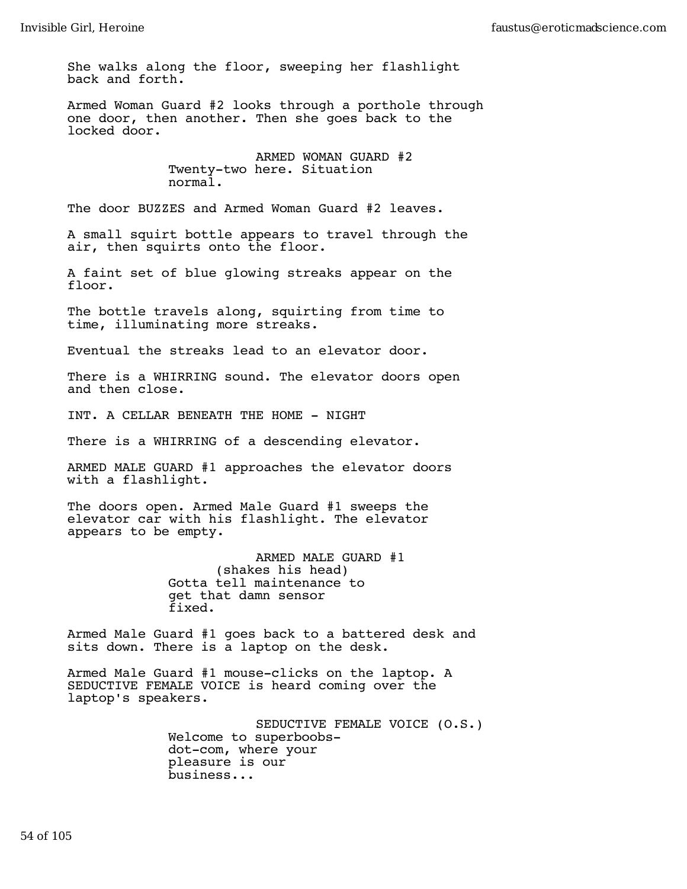She walks along the floor, sweeping her flashlight back and forth. Armed Woman Guard #2 looks through a porthole through one door, then another. Then she goes back to the locked door. ARMED WOMAN GUARD #2 Twenty-two here. Situation normal. The door BUZZES and Armed Woman Guard #2 leaves. A small squirt bottle appears to travel through the air, then squirts onto the floor. A faint set of blue glowing streaks appear on the floor. The bottle travels along, squirting from time to time, illuminating more streaks. Eventual the streaks lead to an elevator door. There is a WHIRRING sound. The elevator doors open and then close. INT. A CELLAR BENEATH THE HOME - NIGHT There is a WHIRRING of a descending elevator. ARMED MALE GUARD #1 approaches the elevator doors with a flashlight. The doors open. Armed Male Guard #1 sweeps the elevator car with his flashlight. The elevator appears to be empty. ARMED MALE GUARD #1 (shakes his head) Gotta tell maintenance to get that damn sensor fixed. Armed Male Guard #1 goes back to a battered desk and sits down. There is a laptop on the desk. Armed Male Guard #1 mouse-clicks on the laptop. A SEDUCTIVE FEMALE VOICE is heard coming over the laptop's speakers. SEDUCTIVE FEMALE VOICE (O.S.) Welcome to superboobsdot-com, where your pleasure is our business...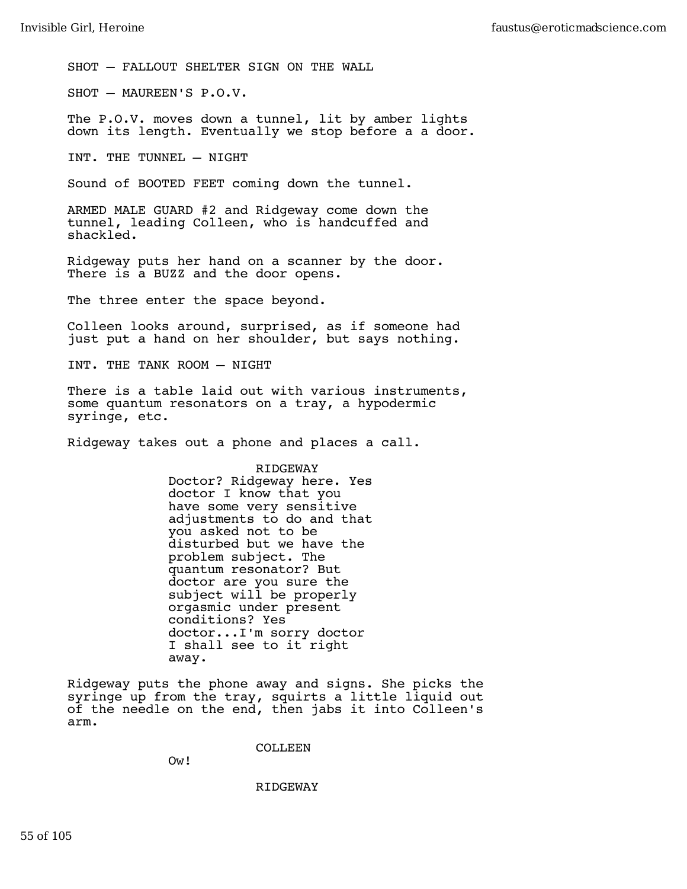SHOT – FALLOUT SHELTER SIGN ON THE WALL

SHOT – MAUREEN'S P.O.V.

The P.O.V. moves down a tunnel, lit by amber lights down its length. Eventually we stop before a a door.

INT. THE TUNNEL – NIGHT

Sound of BOOTED FEET coming down the tunnel.

ARMED MALE GUARD #2 and Ridgeway come down the tunnel, leading Colleen, who is handcuffed and shackled.

Ridgeway puts her hand on a scanner by the door. There is a BUZZ and the door opens.

The three enter the space beyond.

Colleen looks around, surprised, as if someone had just put a hand on her shoulder, but says nothing.

INT. THE TANK ROOM – NIGHT

There is a table laid out with various instruments, some quantum resonators on a tray, a hypodermic syringe, etc.

Ridgeway takes out a phone and places a call.

RIDGEWAY Doctor? Ridgeway here. Yes doctor I know that you have some very sensitive adjustments to do and that you asked not to be disturbed but we have the problem subject. The quantum resonator? But doctor are you sure the subject will be properly orgasmic under present conditions? Yes doctor...I'm sorry doctor I shall see to it right away.

Ridgeway puts the phone away and signs. She picks the syringe up from the tray, squirts a little liquid out of the needle on the end, then jabs it into Colleen's arm.

COLLEEN

Ow!

RIDGEWAY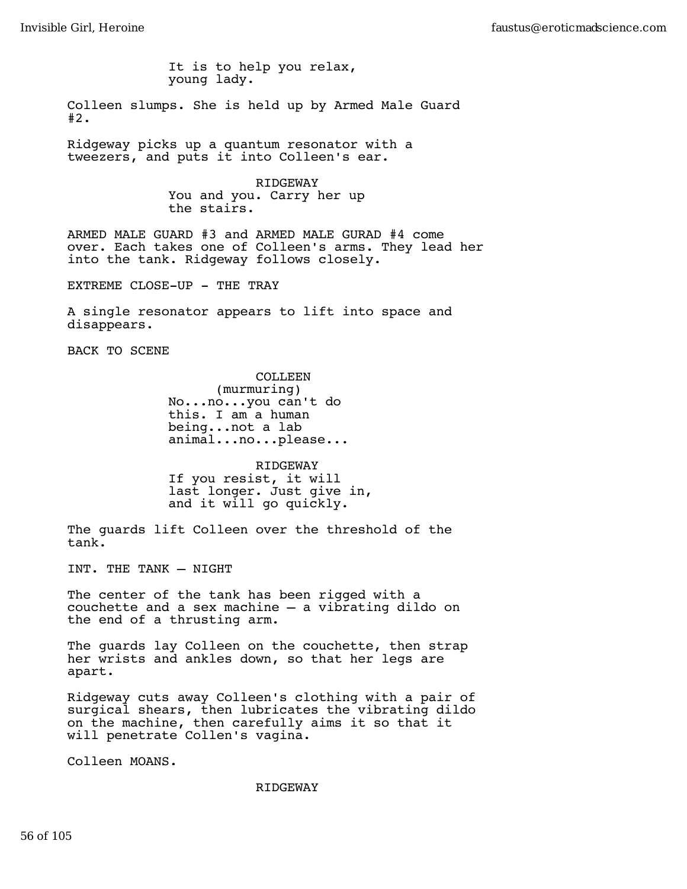It is to help you relax, young lady. Colleen slumps. She is held up by Armed Male Guard #2. Ridgeway picks up a quantum resonator with a tweezers, and puts it into Colleen's ear. RIDGEWAY You and you. Carry her up the stairs. ARMED MALE GUARD #3 and ARMED MALE GURAD #4 come over. Each takes one of Colleen's arms. They lead her into the tank. Ridgeway follows closely. EXTREME CLOSE-UP - THE TRAY A single resonator appears to lift into space and disappears. BACK TO SCENE COLLEEN (murmuring) No...no...you can't do this. I am a human being...not a lab animal...no...please... RIDGEWAY If you resist, it will last longer. Just give in, and it will go quickly. The guards lift Colleen over the threshold of the tank. INT. THE TANK – NIGHT The center of the tank has been rigged with a couchette and a sex machine – a vibrating dildo on the end of a thrusting arm. The guards lay Colleen on the couchette, then strap her wrists and ankles down, so that her legs are apart. Ridgeway cuts away Colleen's clothing with a pair of surgical shears, then lubricates the vibrating dildo on the machine, then carefully aims it so that it will penetrate Collen's vagina. Colleen MOANS. RIDGEWAY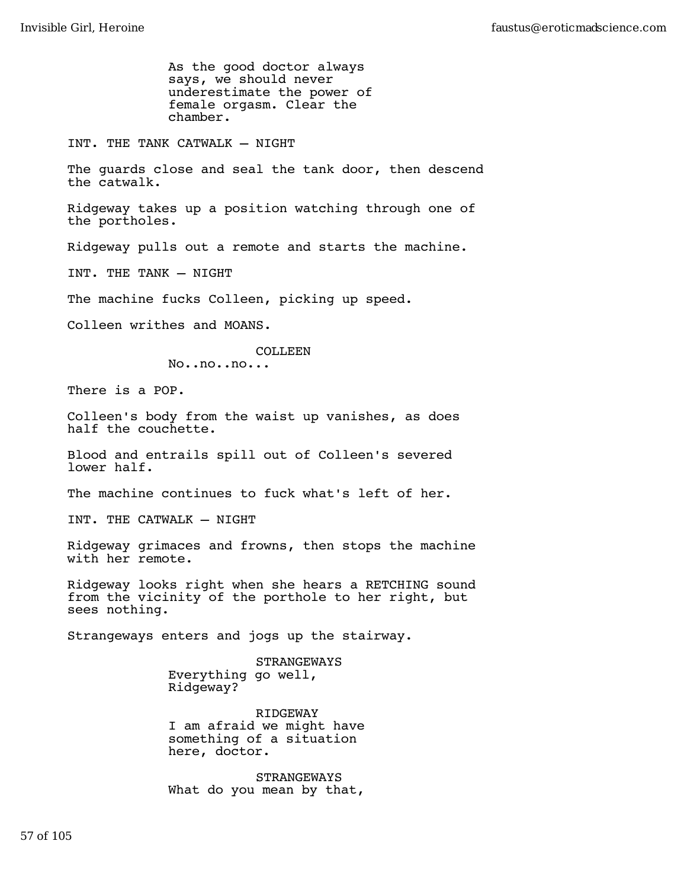As the good doctor always says, we should never underestimate the power of female orgasm. Clear the chamber.

INT. THE TANK CATWALK – NIGHT

The guards close and seal the tank door, then descend the catwalk.

Ridgeway takes up a position watching through one of the portholes.

Ridgeway pulls out a remote and starts the machine.

INT. THE TANK – NIGHT

The machine fucks Colleen, picking up speed.

Colleen writhes and MOANS.

COLLEEN

No..no..no...

There is a POP.

Colleen's body from the waist up vanishes, as does half the couchette.

Blood and entrails spill out of Colleen's severed lower half.

The machine continues to fuck what's left of her.

INT. THE CATWALK – NIGHT

Ridgeway grimaces and frowns, then stops the machine with her remote.

Ridgeway looks right when she hears a RETCHING sound from the vicinity of the porthole to her right, but sees nothing.

Strangeways enters and jogs up the stairway.

STRANGEWAYS Everything go well, Ridgeway?

RIDGEWAY I am afraid we might have something of a situation here, doctor.

STRANGEWAYS What do you mean by that,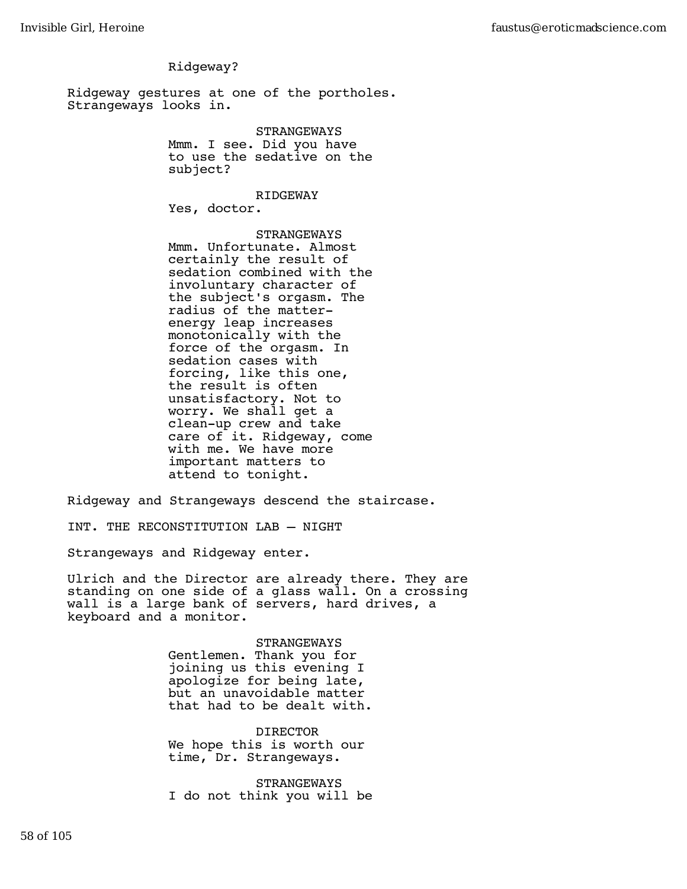## Ridgeway?

Ridgeway gestures at one of the portholes. Strangeways looks in.

> STRANGEWAYS Mmm. I see. Did you have to use the sedative on the subject?

#### RIDGEWAY

Yes, doctor.

STRANGEWAYS Mmm. Unfortunate. Almost certainly the result of sedation combined with the involuntary character of the subject's orgasm. The radius of the matterenergy leap increases monotonically with the force of the orgasm. In sedation cases with forcing, like this one, the result is often unsatisfactory. Not to worry. We shall get a clean-up crew and take care of it. Ridgeway, come with me. We have more important matters to attend to tonight.

Ridgeway and Strangeways descend the staircase.

INT. THE RECONSTITUTION LAB – NIGHT

Strangeways and Ridgeway enter.

Ulrich and the Director are already there. They are standing on one side of a glass wall. On a crossing wall is a large bank of servers, hard drives, a keyboard and a monitor.

#### STRANGEWAYS

Gentlemen. Thank you for joining us this evening I apologize for being late, but an unavoidable matter that had to be dealt with.

DIRECTOR We hope this is worth our time, Dr. Strangeways.

STRANGEWAYS I do not think you will be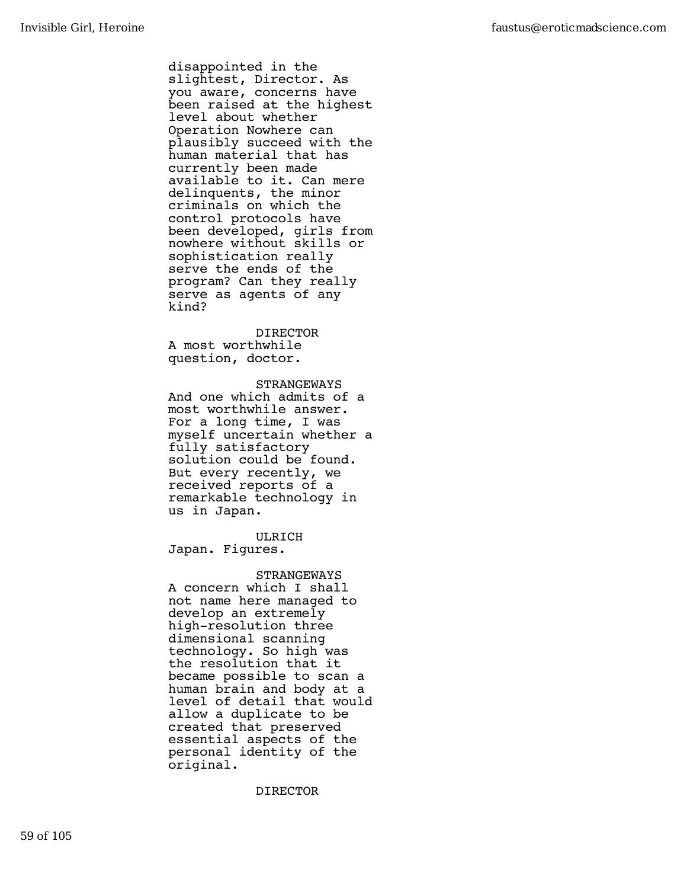disappointed in the slightest, Director. As you aware, concerns have been raised at the highest level about whether Operation Nowhere can plausibly succeed with the human material that has currently been made available to it. Can mere delinquents, the minor criminals on which the control protocols have been developed, girls from nowhere without skills or sophistication really serve the ends of the program? Can they really serve as agents of any kind?

DIRECTOR A most worthwhile question, doctor.

STRANGEWAYS And one which admits of a most worthwhile answer. For a long time, I was myself uncertain whether a fully satisfactory solution could be found. But every recently, we received reports of a remarkable technology in us in Japan.

ULRICH Japan. Figures.

STRANGEWAYS A concern which I shall not name here managed to develop an extremely high-resolution three dimensional scanning technology. So high was the resolution that it became possible to scan a human brain and body at a level of detail that would allow a duplicate to be created that preserved essential aspects of the personal identity of the original.

DIRECTOR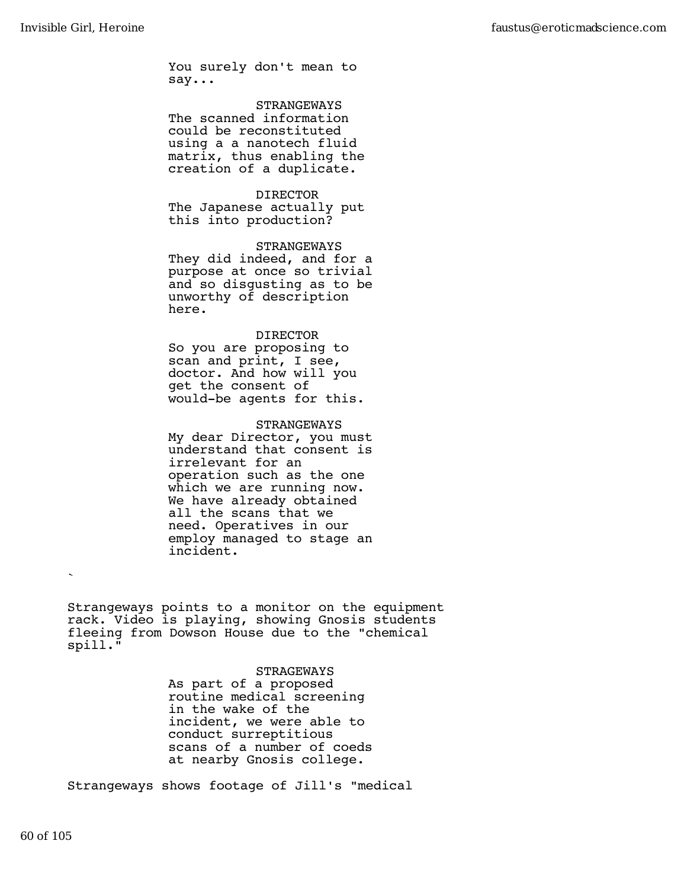You surely don't mean to say...

STRANGEWAYS The scanned information could be reconstituted using a a nanotech fluid matrix, thus enabling the creation of a duplicate.

DIRECTOR The Japanese actually put this into production?

STRANGEWAYS They did indeed, and for a purpose at once so trivial and so disgusting as to be unworthy of description here.

DIRECTOR So you are proposing to scan and print, I see, doctor. And how will you get the consent of would-be agents for this.

STRANGEWAYS My dear Director, you must understand that consent is irrelevant for an operation such as the one which we are running now. We have already obtained all the scans that we need. Operatives in our employ managed to stage an incident.

Strangeways points to a monitor on the equipment rack. Video is playing, showing Gnosis students fleeing from Dowson House due to the "chemical spill."

> STRAGEWAYS As part of a proposed routine medical screening in the wake of the incident, we were able to conduct surreptitious scans of a number of coeds at nearby Gnosis college.

Strangeways shows footage of Jill's "medical

 $\overline{\phantom{a}}$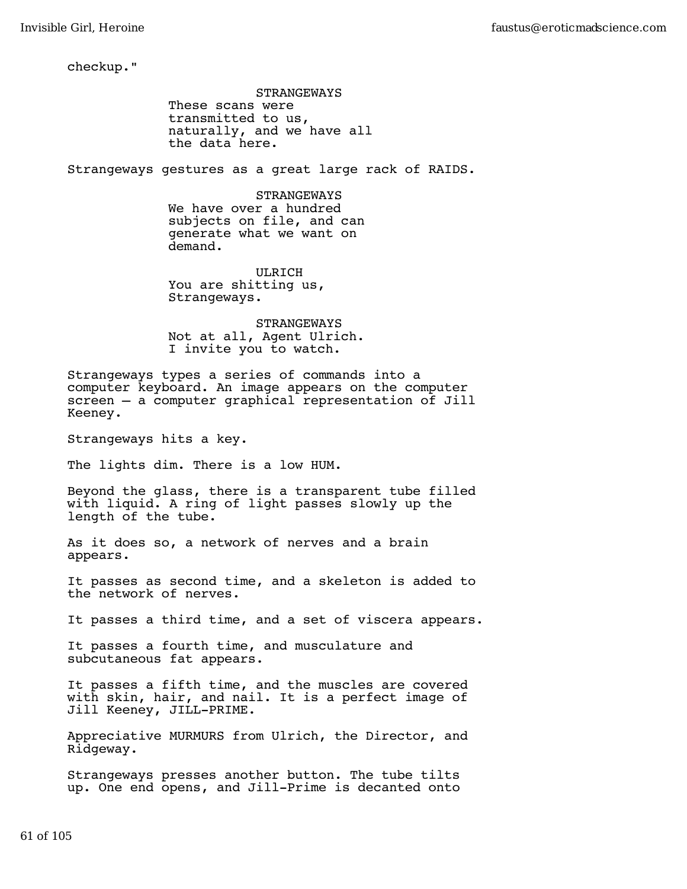checkup."

STRANGEWAYS These scans were transmitted to us, naturally, and we have all the data here.

Strangeways gestures as a great large rack of RAIDS.

STRANGEWAYS We have over a hundred subjects on file, and can generate what we want on demand.

ULRICH You are shitting us, Strangeways.

STRANGEWAYS Not at all, Agent Ulrich. I invite you to watch.

Strangeways types a series of commands into a computer keyboard. An image appears on the computer screen – a computer graphical representation of Jill Keeney.

Strangeways hits a key.

The lights dim. There is a low HUM.

Beyond the glass, there is a transparent tube filled with liquid. A ring of light passes slowly up the length of the tube.

As it does so, a network of nerves and a brain appears.

It passes as second time, and a skeleton is added to the network of nerves.

It passes a third time, and a set of viscera appears.

It passes a fourth time, and musculature and subcutaneous fat appears.

It passes a fifth time, and the muscles are covered with skin, hair, and nail. It is a perfect image of Jill Keeney, JILL-PRIME.

Appreciative MURMURS from Ulrich, the Director, and Ridgeway.

Strangeways presses another button. The tube tilts up. One end opens, and Jill-Prime is decanted onto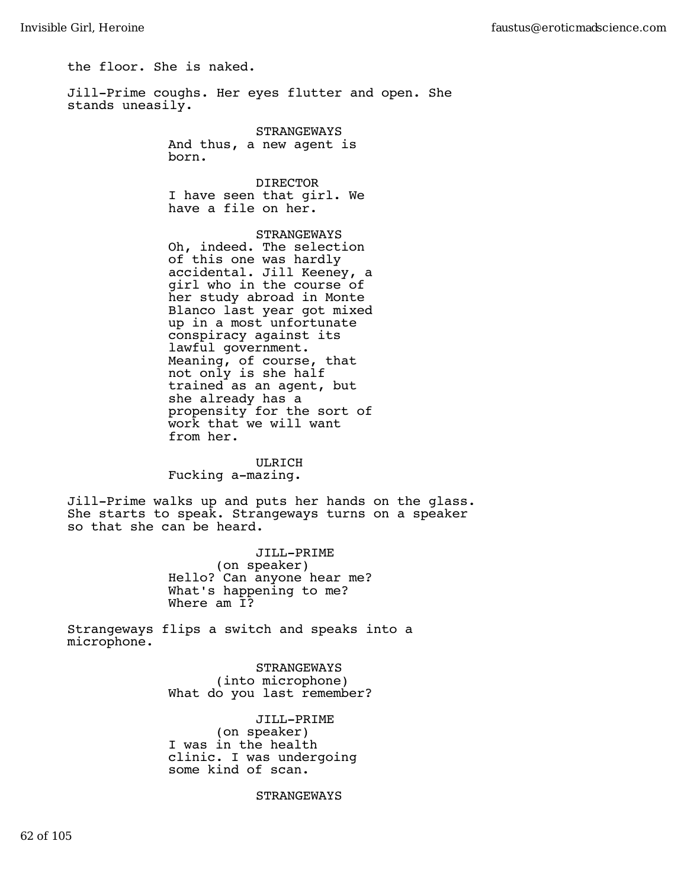the floor. She is naked. Jill-Prime coughs. Her eyes flutter and open. She stands uneasily. STRANGEWAYS And thus, a new agent is born. DIRECTOR I have seen that girl. We have a file on her. STRANGEWAYS Oh, indeed. The selection of this one was hardly accidental. Jill Keeney, a girl who in the course of her study abroad in Monte Blanco last year got mixed up in a most unfortunate conspiracy against its lawful government. Meaning, of course, that not only is she half trained as an agent, but she already has a propensity for the sort of work that we will want from her. ULRICH Fucking a-mazing. Jill-Prime walks up and puts her hands on the glass. She starts to speak. Strangeways turns on a speaker so that she can be heard. JILL-PRIME (on speaker) Hello? Can anyone hear me? What's happening to me? Where am I? Strangeways flips a switch and speaks into a microphone. STRANGEWAYS (into microphone) What do you last remember? JILL-PRIME (on speaker) I was in the health clinic. I was undergoing some kind of scan. STRANGEWAYS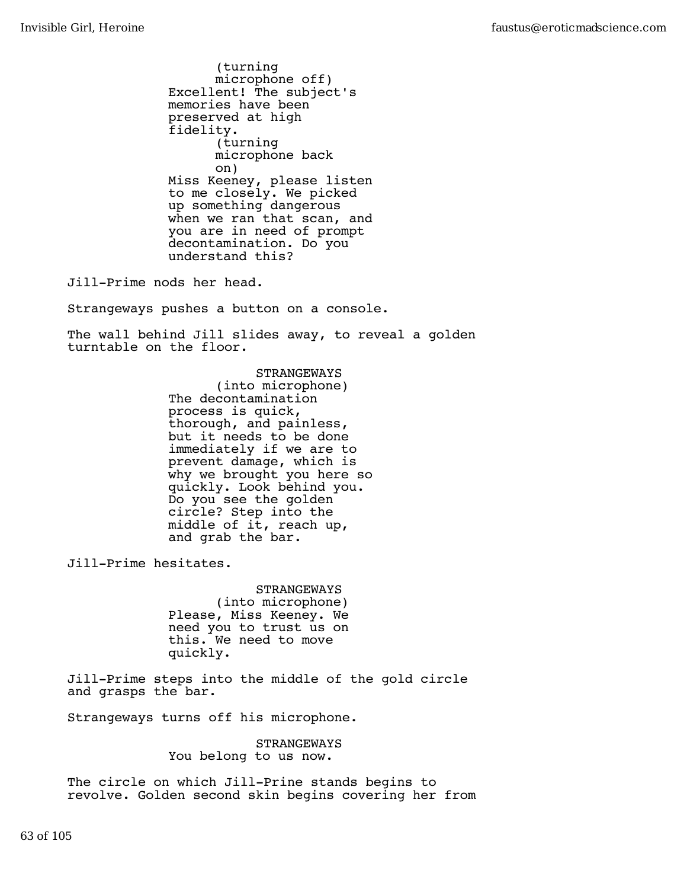(turning microphone off) Excellent! The subject's memories have been preserved at high fidelity. (turning microphone back on) Miss Keeney, please listen to me closely. We picked up something dangerous when we ran that scan, and you are in need of prompt decontamination. Do you understand this?

Jill-Prime nods her head.

Strangeways pushes a button on a console.

The wall behind Jill slides away, to reveal a golden turntable on the floor.

> STRANGEWAYS (into microphone) The decontamination process is quick, thorough, and painless, but it needs to be done immediately if we are to prevent damage, which is why we brought you here so quickly. Look behind you. Do you see the golden circle? Step into the middle of it, reach up, and grab the bar.

Jill-Prime hesitates.

STRANGEWAYS (into microphone) Please, Miss Keeney. We need you to trust us on this. We need to move quickly.

Jill-Prime steps into the middle of the gold circle and grasps the bar.

Strangeways turns off his microphone.

STRANGEWAYS You belong to us now.

The circle on which Jill-Prine stands begins to revolve. Golden second skin begins covering her from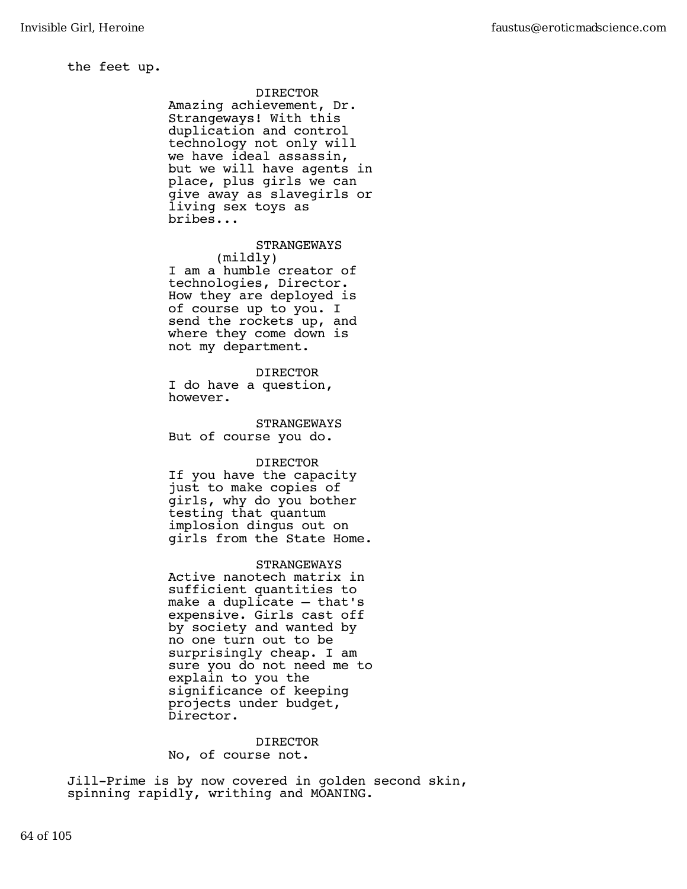the feet up.

DIRECTOR Amazing achievement, Dr. Strangeways! With this duplication and control technology not only will we have ideal assassin, but we will have agents in place, plus girls we can give away as slavegirls or living sex toys as bribes...

STRANGEWAYS (mildly) I am a humble creator of technologies, Director. How they are deployed is of course up to you. I send the rockets up, and where they come down is not my department.

DIRECTOR I do have a question, however.

STRANGEWAYS But of course you do.

DIRECTOR If you have the capacity just to make copies of girls, why do you bother testing that quantum implosion dingus out on girls from the State Home.

# STRANGEWAYS

Active nanotech matrix in sufficient quantities to make a duplicate – that's expensive. Girls cast off by society and wanted by no one turn out to be surprisingly cheap. I am sure you do not need me to explain to you the significance of keeping projects under budget, Director.

DIRECTOR No, of course not.

Jill-Prime is by now covered in golden second skin, spinning rapidly, writhing and MOANING.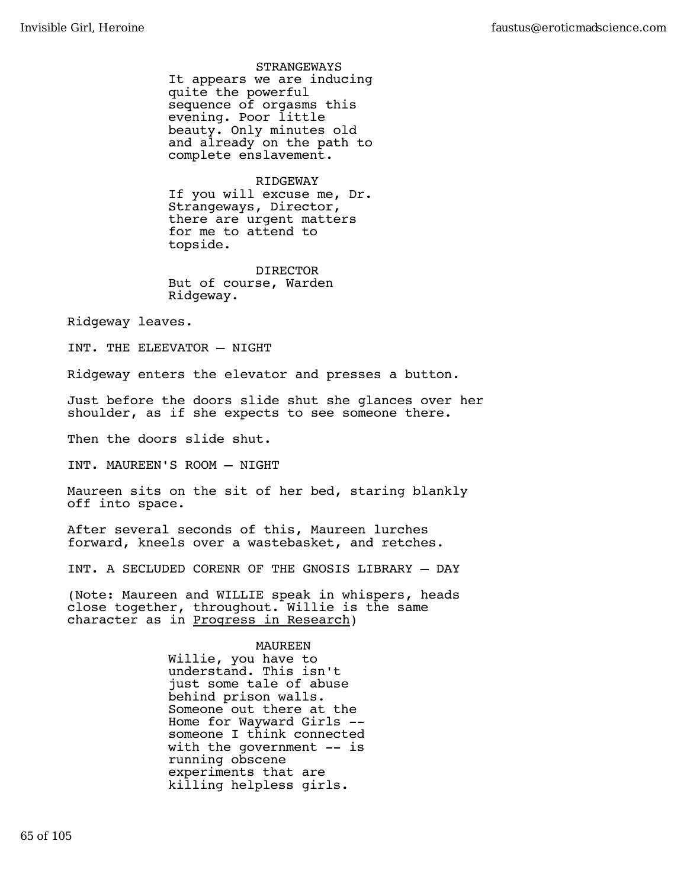STRANGEWAYS It appears we are inducing quite the powerful sequence of orgasms this evening. Poor little beauty. Only minutes old and already on the path to complete enslavement.

RIDGEWAY If you will excuse me, Dr. Strangeways, Director, there are urgent matters for me to attend to topside.

DIRECTOR But of course, Warden Ridgeway.

Ridgeway leaves.

INT. THE ELEEVATOR – NIGHT

Ridgeway enters the elevator and presses a button.

Just before the doors slide shut she glances over her shoulder, as if she expects to see someone there.

Then the doors slide shut.

INT. MAUREEN'S ROOM – NIGHT

Maureen sits on the sit of her bed, staring blankly off into space.

After several seconds of this, Maureen lurches forward, kneels over a wastebasket, and retches.

INT. A SECLUDED CORENR OF THE GNOSIS LIBRARY – DAY

(Note: Maureen and WILLIE speak in whispers, heads close together, throughout. Willie is the same character as in Progress in Research)

#### MAUREEN

Willie, you have to understand. This isn't just some tale of abuse behind prison walls. Someone out there at the Home for Wayward Girls - someone I think connected with the government -- is running obscene experiments that are killing helpless girls.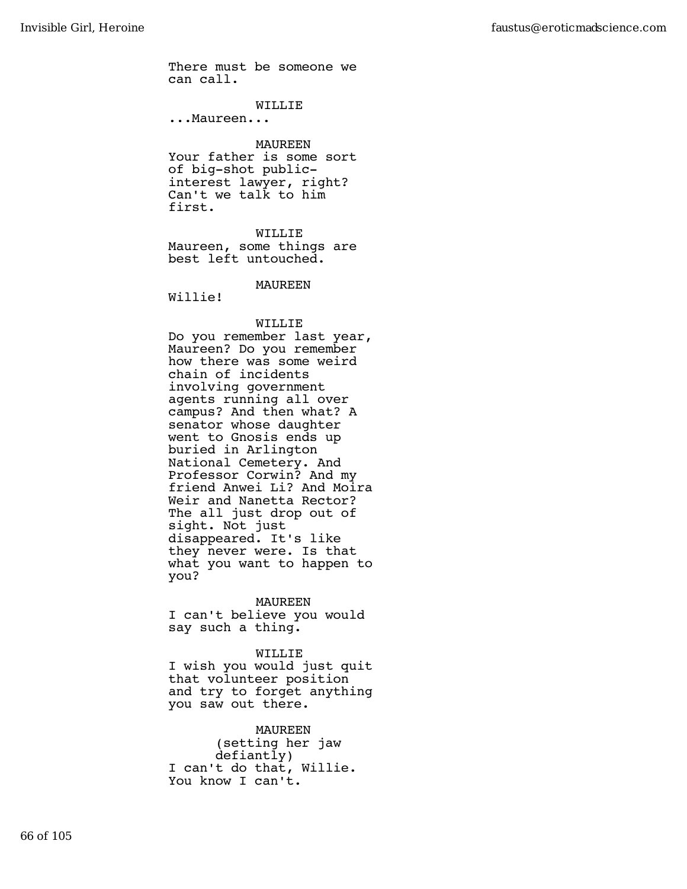There must be someone we can call. WILLIE ...Maureen... MAUREEN Your father is some sort<br>of big-shot publicinterest lawyer, right? Can't we talk to him first. WILLIE Maureen, some things are best left untouched. MAUREEN Willie! WILLIE Do you remember last year, Maureen? Do you remember how there was some weird chain of incidents involving government agents running all over campus? And then what? A senator whose daughter went to Gnosis ends up buried in Arlington National Cemetery. And Professor Corwin? And my friend Anwei Li? And Moira Weir and Nanetta Rector? The all just drop out of sight. Not just disappeared. It's like they never were. Is that what you want to happen to you?

MAUREEN I can't believe you would say such a thing.

WILLIE I wish you would just quit that volunteer position and try to forget anything you saw out there.

MAUREEN (setting her jaw defiantly) I can't do that, Willie. You know I can't.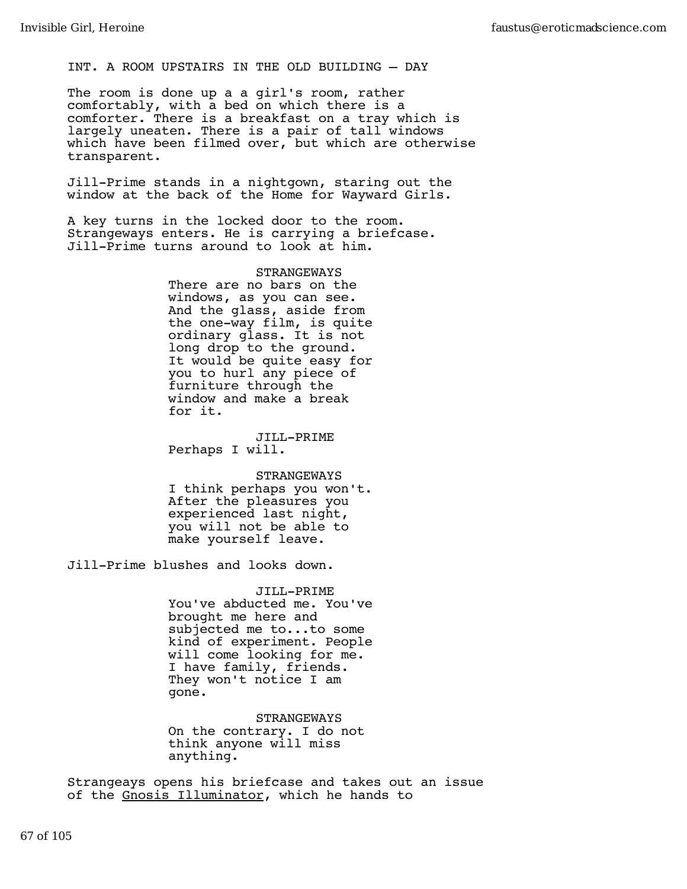INT. A ROOM UPSTAIRS IN THE OLD BUILDING – DAY

The room is done up a a girl's room, rather comfortably, with a bed on which there is a comforter. There is a breakfast on a tray which is largely uneaten. There is a pair of tall windows which have been filmed over, but which are otherwise transparent.

Jill-Prime stands in a nightgown, staring out the window at the back of the Home for Wayward Girls.

A key turns in the locked door to the room. Strangeways enters. He is carrying a briefcase. Jill-Prime turns around to look at him.

> STRANGEWAYS There are no bars on the windows, as you can see. And the glass, aside from the one-way film, is quite ordinary glass. It is not long drop to the ground. It would be quite easy for you to hurl any piece of furniture through the window and make a break for it.

JILL-PRIME Perhaps I will.

STRANGEWAYS I think perhaps you won't. After the pleasures you experienced last night, you will not be able to make yourself leave.

Jill-Prime blushes and looks down.

JILL-PRIME You've abducted me. You've brought me here and subjected me to...to some kind of experiment. People will come looking for me. I have family, friends. They won't notice I am gone.

STRANGEWAYS On the contrary. I do not think anyone will miss anything.

Strangeays opens his briefcase and takes out an issue of the Gnosis Illuminator, which he hands to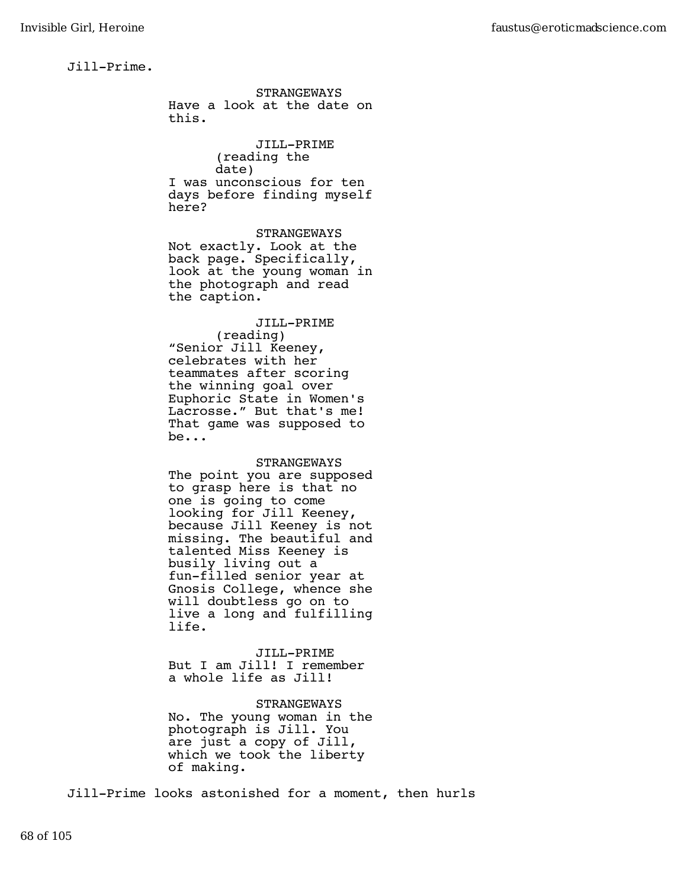Jill-Prime.

STRANGEWAYS Have a look at the date on this.

JILL-PRIME (reading the date) I was unconscious for ten days before finding myself here?

STRANGEWAYS Not exactly. Look at the back page. Specifically, look at the young woman in the photograph and read the caption.

JILL-PRIME (reading) "Senior Jill Keeney, celebrates with her teammates after scoring the winning goal over Euphoric State in Women's Lacrosse." But that's me! That game was supposed to be...

STRANGEWAYS The point you are supposed to grasp here is that no one is going to come looking for Jill Keeney, because Jill Keeney is not missing. The beautiful and talented Miss Keeney is busily living out a fun-filled senior year at Gnosis College, whence she will doubtless go on to live a long and fulfilling life.

JILL-PRIME But I am Jill! I remember a whole life as Jill!

STRANGEWAYS No. The young woman in the photograph is Jill. You are just a copy of Jill, which we took the liberty of making.

Jill-Prime looks astonished for a moment, then hurls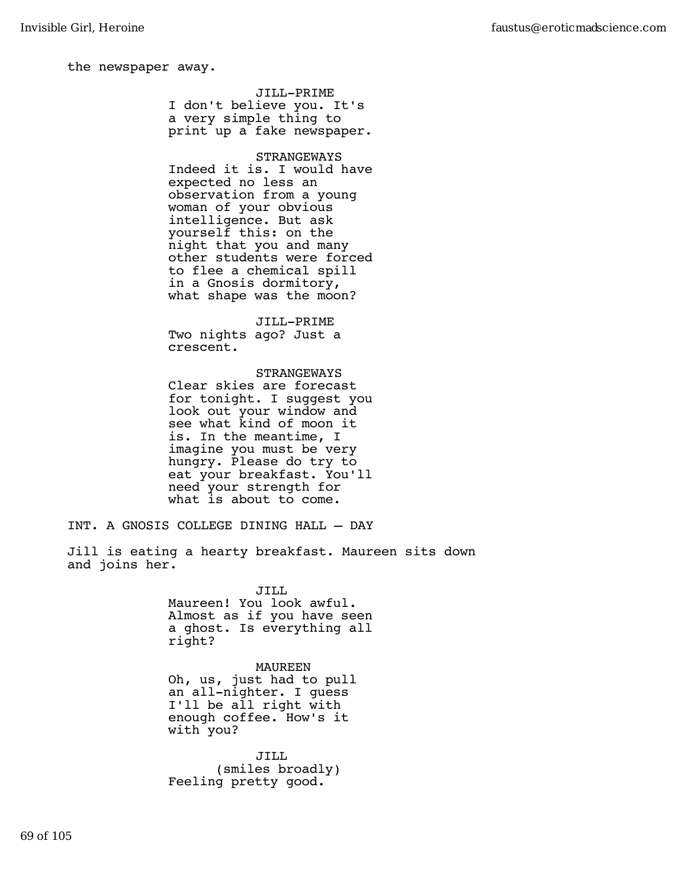the newspaper away.

JILL-PRIME I don't believe you. It's a very simple thing to print up a fake newspaper.

STRANGEWAYS Indeed it is. I would have expected no less an observation from a young woman of your obvious intelligence. But ask yourself this: on the night that you and many other students were forced to flee a chemical spill in a Gnosis dormitory, what shape was the moon?

JILL-PRIME Two nights ago? Just a crescent.

STRANGEWAYS Clear skies are forecast for tonight. I suggest you look out your window and see what kind of moon it is. In the meantime, I imagine you must be very hungry. Please do try to eat your breakfast. You'll need your strength for what is about to come.

INT. A GNOSIS COLLEGE DINING HALL – DAY

Jill is eating a hearty breakfast. Maureen sits down and joins her.

> JILL Maureen! You look awful. Almost as if you have seen a ghost. Is everything all right?

MAUREEN Oh, us, just had to pull an all-nighter. I guess I'll be all right with enough coffee. How's it with you?

JILL (smiles broadly) Feeling pretty good.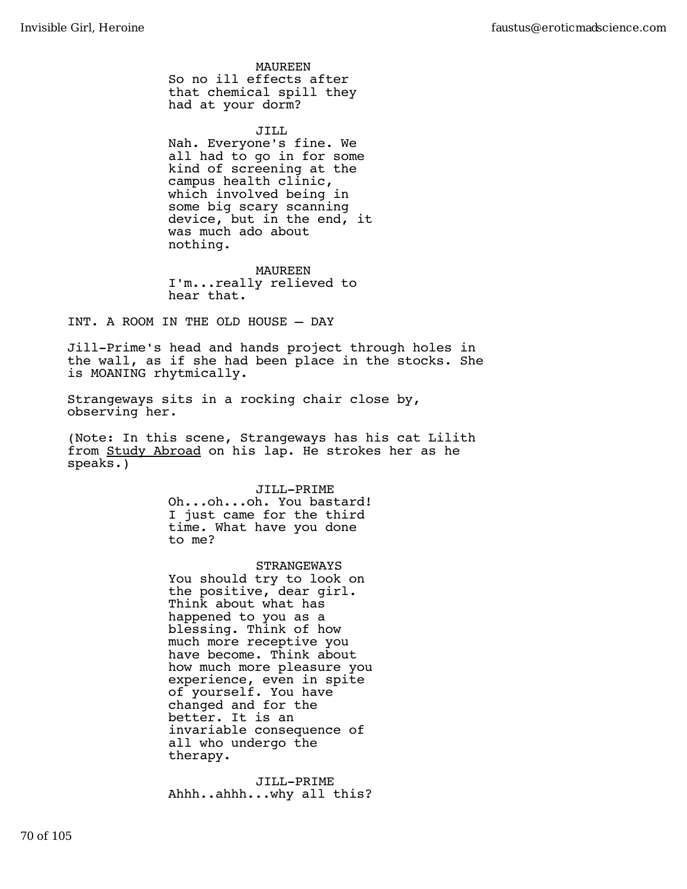MAUREEN So no ill effects after that chemical spill they had at your dorm?

JILL Nah. Everyone's fine. We all had to go in for some kind of screening at the campus health clinic, which involved being in some big scary scanning device, but in the end, it was much ado about nothing.

MAUREEN I'm...really relieved to hear that.

INT. A ROOM IN THE OLD HOUSE – DAY

Jill-Prime's head and hands project through holes in the wall, as if she had been place in the stocks. She is MOANING rhytmically.

Strangeways sits in a rocking chair close by, observing her.

(Note: In this scene, Strangeways has his cat Lilith from Study Abroad on his lap. He strokes her as he speaks.)

> JILL-PRIME Oh...oh...oh. You bastard! I just came for the third time. What have you done to me?

> STRANGEWAYS You should try to look on the positive, dear girl. Think about what has happened to you as a blessing. Think of how much more receptive you have become. Think about how much more pleasure you experience, even in spite of yourself. You have changed and for the better. It is an invariable consequence of all who undergo the therapy.

> JILL-PRIME Ahhh..ahhh...why all this?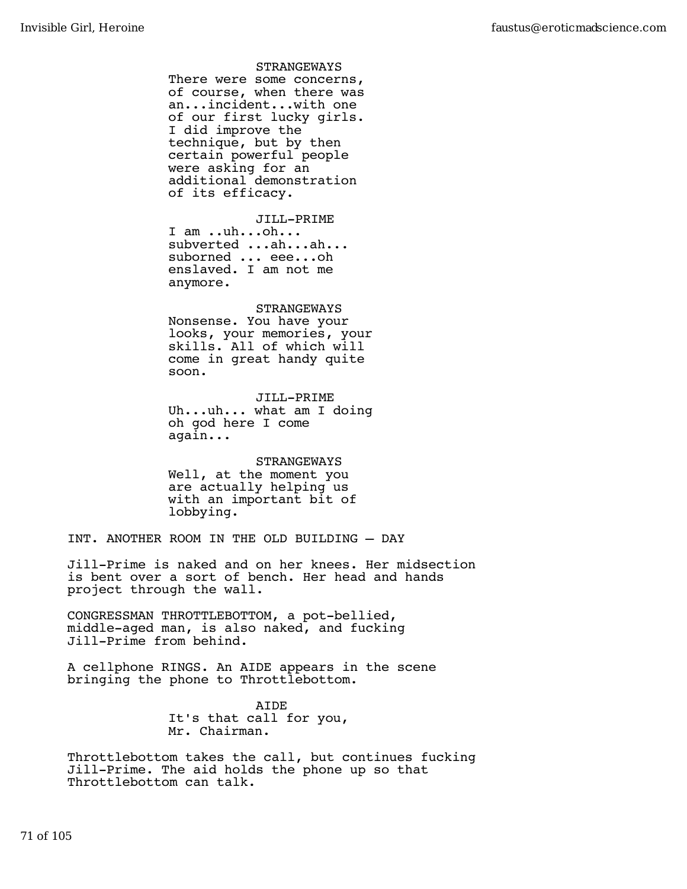STRANGEWAYS There were some concerns, of course, when there was an...incident...with one of our first lucky girls. I did improve the technique, but by then certain powerful people were asking for an additional demonstration of its efficacy.

JILL-PRIME I am ..uh...oh... subverted ...ah...ah... suborned ... eee...oh enslaved. I am not me anymore.

STRANGEWAYS Nonsense. You have your looks, your memories, your skills. All of which will come in great handy quite soon.

JILL-PRIME Uh...uh... what am I doing oh god here I come again...

STRANGEWAYS Well, at the moment you are actually helping us with an important bit of lobbying.

INT. ANOTHER ROOM IN THE OLD BUILDING – DAY

Jill-Prime is naked and on her knees. Her midsection is bent over a sort of bench. Her head and hands project through the wall.

CONGRESSMAN THROTTLEBOTTOM, a pot-bellied, middle-aged man, is also naked, and fucking Jill-Prime from behind.

A cellphone RINGS. An AIDE appears in the scene bringing the phone to Throttlebottom.

> AIDE It's that call for you, Mr. Chairman.

Throttlebottom takes the call, but continues fucking Jill-Prime. The aid holds the phone up so that Throttlebottom can talk.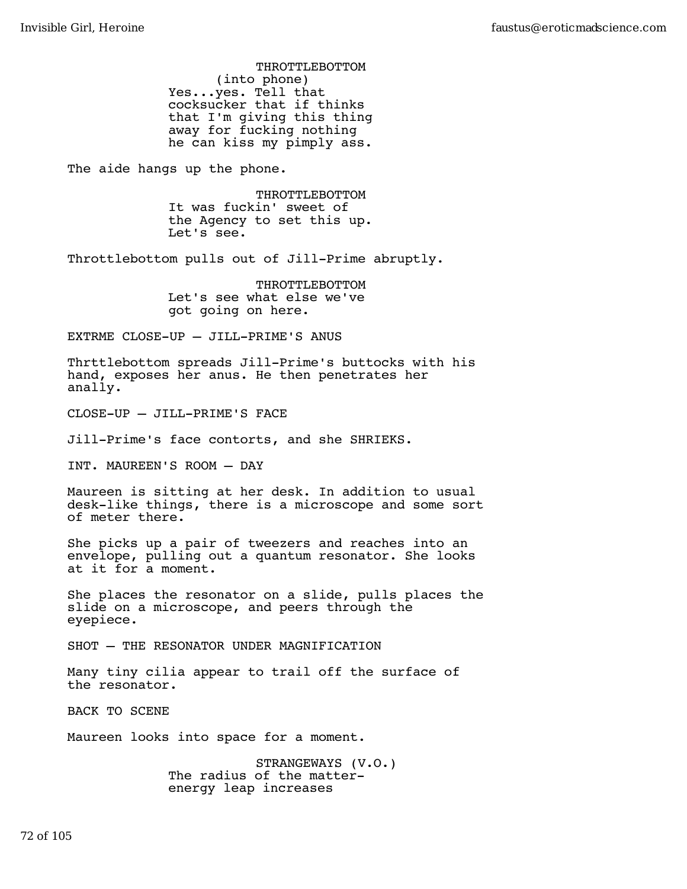THROTTLEBOTTOM (into phone) Yes...yes. Tell that cocksucker that if thinks that I'm giving this thing away for fucking nothing he can kiss my pimply ass.

The aide hangs up the phone.

THROTTLEBOTTOM It was fuckin' sweet of the Agency to set this up. Let's see.

Throttlebottom pulls out of Jill-Prime abruptly.

THROTTLEBOTTOM Let's see what else we've got going on here.

EXTRME CLOSE-UP – JILL-PRIME'S ANUS

Thrttlebottom spreads Jill-Prime's buttocks with his hand, exposes her anus. He then penetrates her anally.

CLOSE-UP – JILL-PRIME'S FACE

Jill-Prime's face contorts, and she SHRIEKS.

INT. MAUREEN'S ROOM – DAY

Maureen is sitting at her desk. In addition to usual desk-like things, there is a microscope and some sort of meter there.

She picks up a pair of tweezers and reaches into an envelope, pulling out a quantum resonator. She looks at it for a moment.

She places the resonator on a slide, pulls places the slide on a microscope, and peers through the eyepiece.

SHOT – THE RESONATOR UNDER MAGNIFICATION

Many tiny cilia appear to trail off the surface of the resonator.

BACK TO SCENE

Maureen looks into space for a moment.

STRANGEWAYS (V.O.) The radius of the matterenergy leap increases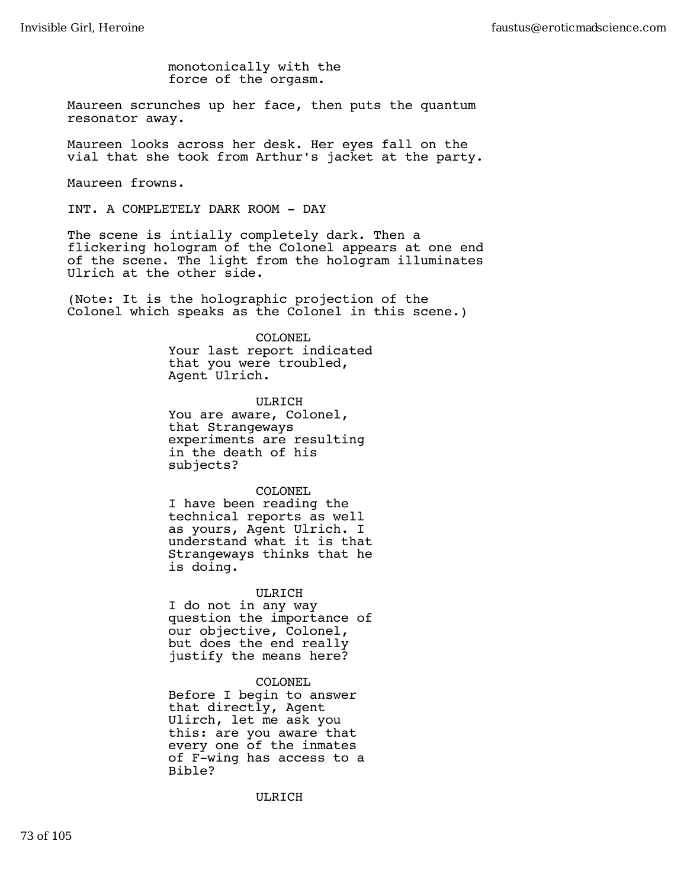monotonically with the force of the orgasm.

Maureen scrunches up her face, then puts the quantum resonator away.

Maureen looks across her desk. Her eyes fall on the vial that she took from Arthur's jacket at the party.

Maureen frowns.

INT. A COMPLETELY DARK ROOM - DAY

The scene is intially completely dark. Then a flickering hologram of the Colonel appears at one end of the scene. The light from the hologram illuminates Ulrich at the other side.

(Note: It is the holographic projection of the Colonel which speaks as the Colonel in this scene.)

> COLONEL Your last report indicated that you were troubled, Agent Ulrich.

ULRICH You are aware, Colonel, that Strangeways experiments are resulting in the death of his subjects?

COLONEL I have been reading the technical reports as well as yours, Agent Ulrich. I understand what it is that Strangeways thinks that he is doing.

ULRICH I do not in any way question the importance of our objective, Colonel, but does the end really justify the means here?

COLONEL Before I begin to answer that directly, Agent Ulirch, let me ask you this: are you aware that every one of the inmates of F-wing has access to a Bible?

ULRICH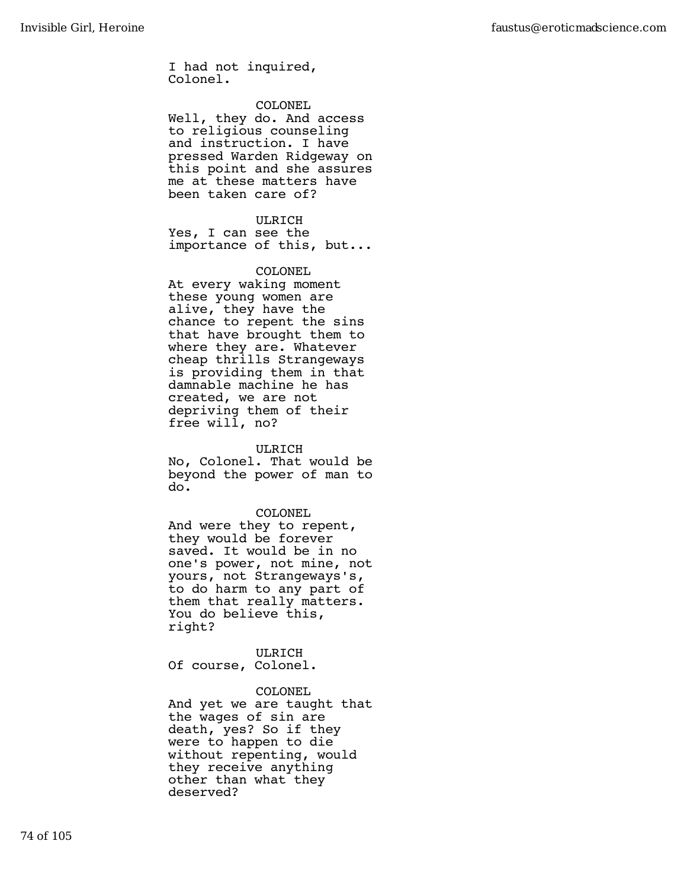I had not inquired, Colonel.

COLONEL Well, they do. And access to religious counseling and instruction. I have pressed Warden Ridgeway on this point and she assures me at these matters have been taken care of?

ULRICH Yes, I can see the importance of this, but...

## COLONEL At every waking moment these young women are alive, they have the

chance to repent the sins that have brought them to where they are. Whatever cheap thrills Strangeways is providing them in that damnable machine he has created, we are not depriving them of their free will, no?

ULRICH No, Colonel. That would be beyond the power of man to do.

COLONEL And were they to repent, they would be forever saved. It would be in no one's power, not mine, not yours, not Strangeways's, to do harm to any part of them that really matters. You do believe this, right?

ULRICH Of course, Colonel.

COLONEL And yet we are taught that the wages of sin are death, yes? So if they were to happen to die without repenting, would they receive anything other than what they deserved?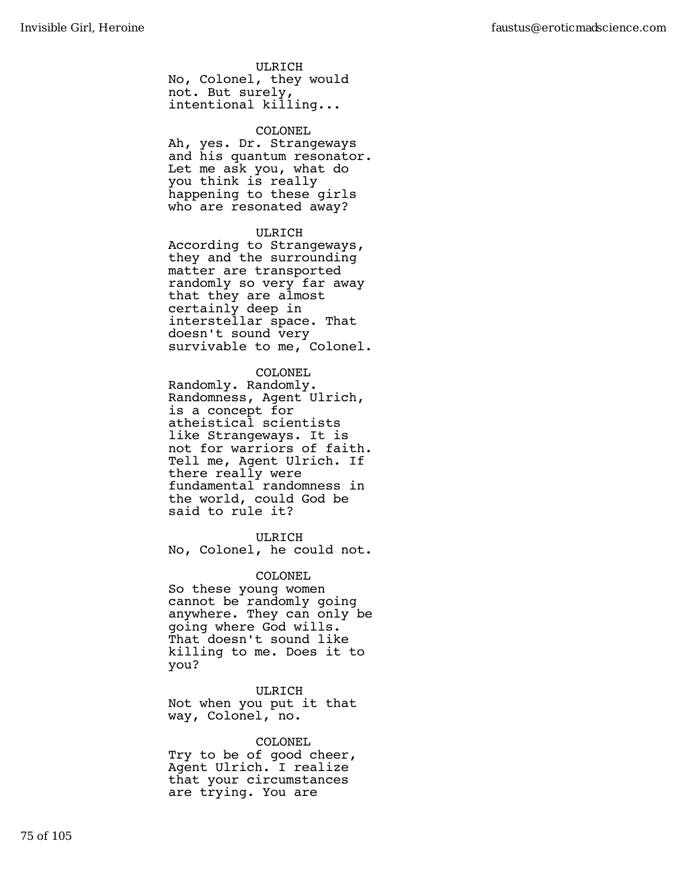ULRICH No, Colonel, they would not. But surely, intentional killing... COLONEL Ah, yes. Dr. Strangeways and his quantum resonator. Let me ask you, what do you think is really happening to these girls who are resonated away? ULRICH According to Strangeways, they and the surrounding matter are transported randomly so very far away that they are almost certainly deep in interstellar space. That doesn't sound very survivable to me, Colonel. COLONEL<br>Randomly. Randomly. Randomness, Agent Ulrich, is a concept for atheistical scientists like Strangeways. It is not for warriors of faith. Tell me, Agent Ulrich. If there really were fundamental randomness in the world, could God be said to rule it?

ULRICH No, Colonel, he could not.

COLONEL So these young women cannot be randomly going anywhere. They can only be going where God wills. That doesn't sound like killing to me. Does it to you?

ULRICH Not when you put it that way, Colonel, no.

COLONEL Try to be of good cheer, Agent Ulrich. I realize that your circumstances are trying. You are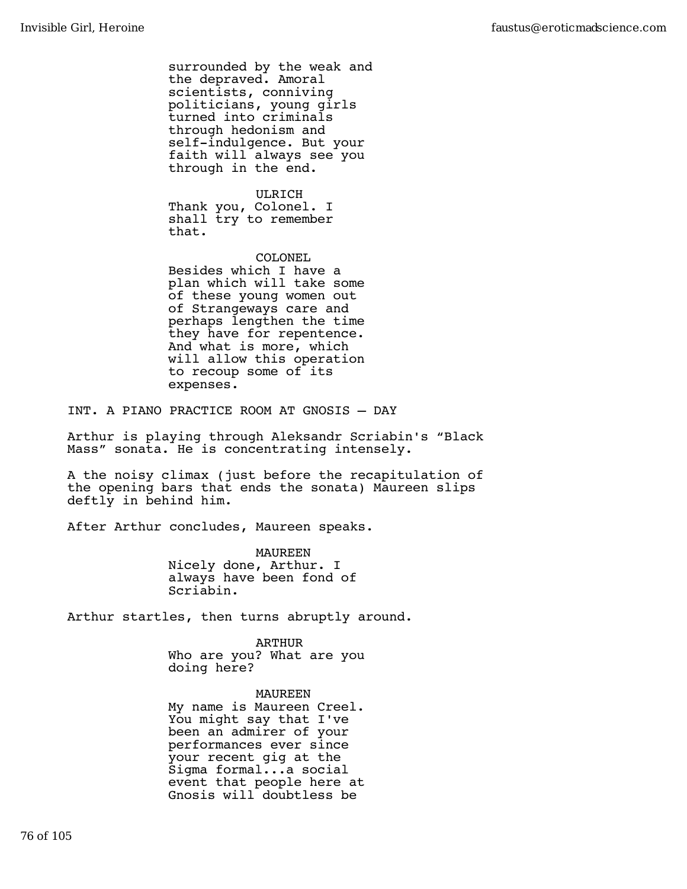surrounded by the weak and the depraved. Amoral scientists, conniving politicians, young girls turned into criminals through hedonism and self-indulgence. But your faith will always see you through in the end.

ULRICH Thank you, Colonel. I shall try to remember that.

COLONEL Besides which I have a plan which will take some of these young women out of Strangeways care and perhaps lengthen the time they have for repentence. And what is more, which will allow this operation to recoup some of its expenses.

INT. A PIANO PRACTICE ROOM AT GNOSIS – DAY

Arthur is playing through Aleksandr Scriabin's "Black Mass" sonata. He is concentrating intensely.

A the noisy climax (just before the recapitulation of the opening bars that ends the sonata) Maureen slips deftly in behind him.

After Arthur concludes, Maureen speaks.

MAUREEN Nicely done, Arthur. I always have been fond of Scriabin.

Arthur startles, then turns abruptly around.

ARTHUR Who are you? What are you doing here?

MAUREEN My name is Maureen Creel. You might say that I've been an admirer of your performances ever since your recent gig at the Sigma formal...a social event that people here at Gnosis will doubtless be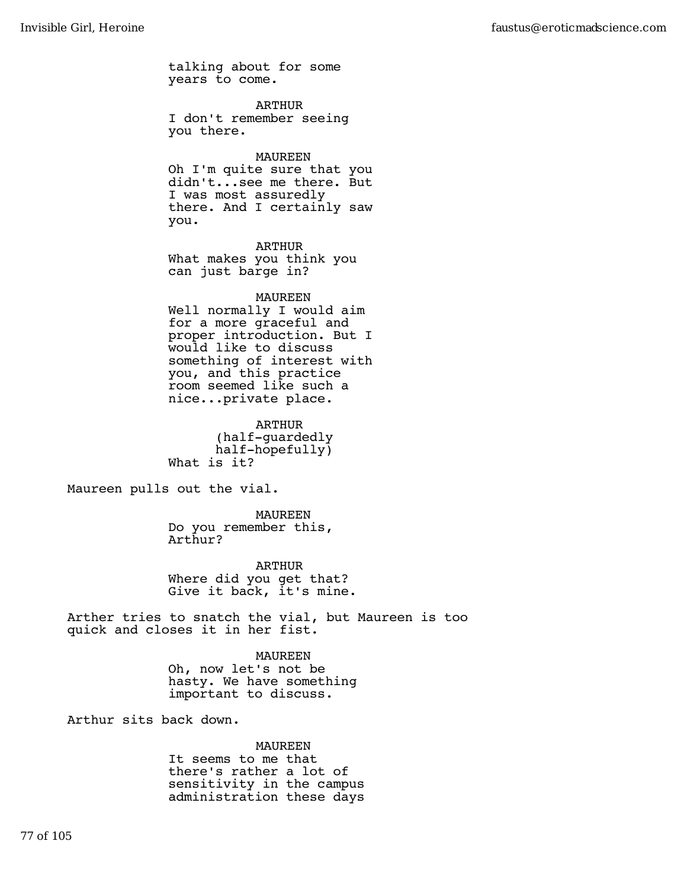talking about for some years to come.

ARTHUR I don't remember seeing you there.

MAUREEN Oh I'm quite sure that you didn't...see me there. But I was most assuredly there. And I certainly saw you.

ARTHUR What makes you think you can just barge in?

MAUREEN Well normally I would aim for a more graceful and proper introduction. But I would like to discuss something of interest with you, and this practice room seemed like such a nice...private place.

ARTHUR (half-guardedly half-hopefully) What is it?

Maureen pulls out the vial.

MAUREEN Do you remember this, Arthur?

ARTHUR Where did you get that? Give it back, it's mine.

Arther tries to snatch the vial, but Maureen is too quick and closes it in her fist.

> MAUREEN Oh, now let's not be hasty. We have something important to discuss.

Arthur sits back down.

MAUREEN It seems to me that there's rather a lot of sensitivity in the campus administration these days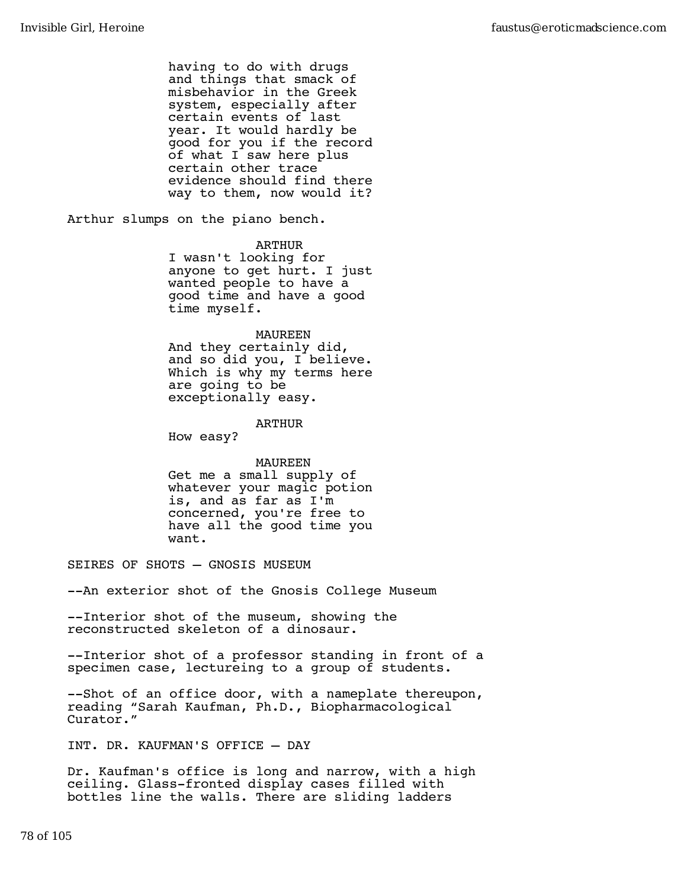having to do with drugs and things that smack of misbehavior in the Greek system, especially after certain events of last year. It would hardly be good for you if the record of what I saw here plus certain other trace evidence should find there way to them, now would it?

Arthur slumps on the piano bench.

ARTHUR I wasn't looking for anyone to get hurt. I just wanted people to have a good time and have a good time myself.

MAUREEN And they certainly did, and so did you, I believe. Which is why my terms here are going to be exceptionally easy.

ARTHUR

How easy?

MAUREEN Get me a small supply of whatever your magic potion is, and as far as I'm concerned, you're free to have all the good time you want.

SEIRES OF SHOTS – GNOSIS MUSEUM

--An exterior shot of the Gnosis College Museum

--Interior shot of the museum, showing the reconstructed skeleton of a dinosaur.

--Interior shot of a professor standing in front of a specimen case, lectureing to a group of students.

--Shot of an office door, with a nameplate thereupon, reading "Sarah Kaufman, Ph.D., Biopharmacological Curator."

INT. DR. KAUFMAN'S OFFICE – DAY

Dr. Kaufman's office is long and narrow, with a high ceiling. Glass-fronted display cases filled with bottles line the walls. There are sliding ladders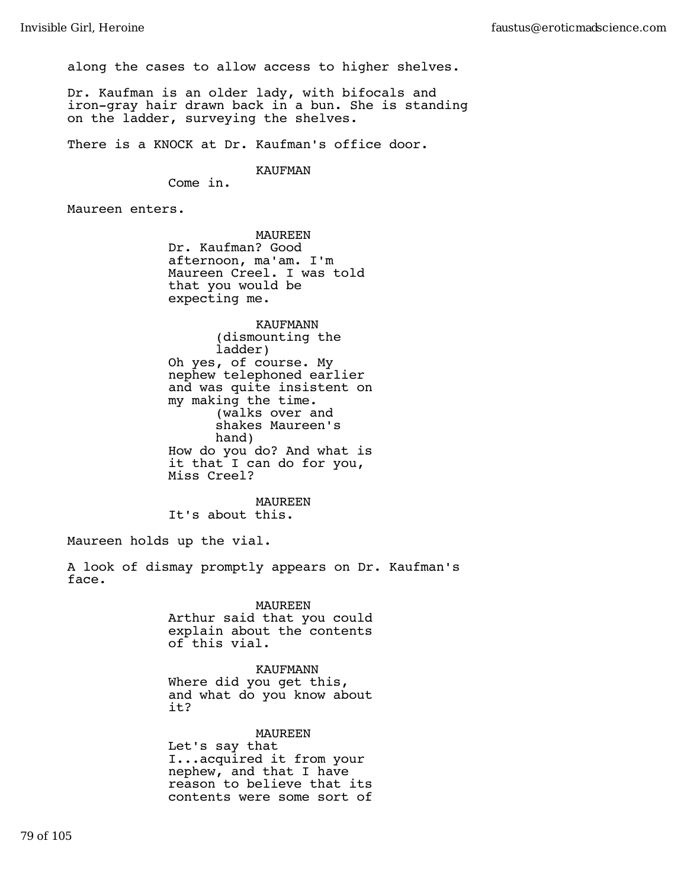along the cases to allow access to higher shelves.

Dr. Kaufman is an older lady, with bifocals and iron-gray hair drawn back in a bun. She is standing on the ladder, surveying the shelves.

There is a KNOCK at Dr. Kaufman's office door.

KAUFMAN

Come in.

Maureen enters.

MAUREEN Dr. Kaufman? Good afternoon, ma'am. I'm Maureen Creel. I was told that you would be expecting me.

KAUFMANN (dismounting the ladder) Oh yes, of course. My nephew telephoned earlier and was quite insistent on my making the time. (walks over and shakes Maureen's hand) How do you do? And what is it that I can do for you, Miss Creel?

MAUREEN It's about this.

Maureen holds up the vial.

A look of dismay promptly appears on Dr. Kaufman's face.

> MAUREEN Arthur said that you could explain about the contents of this vial.

> KAUFMANN Where did you get this, and what do you know about it?

> MAUREEN Let's say that I...acquired it from your nephew, and that I have reason to believe that its contents were some sort of

79 of 105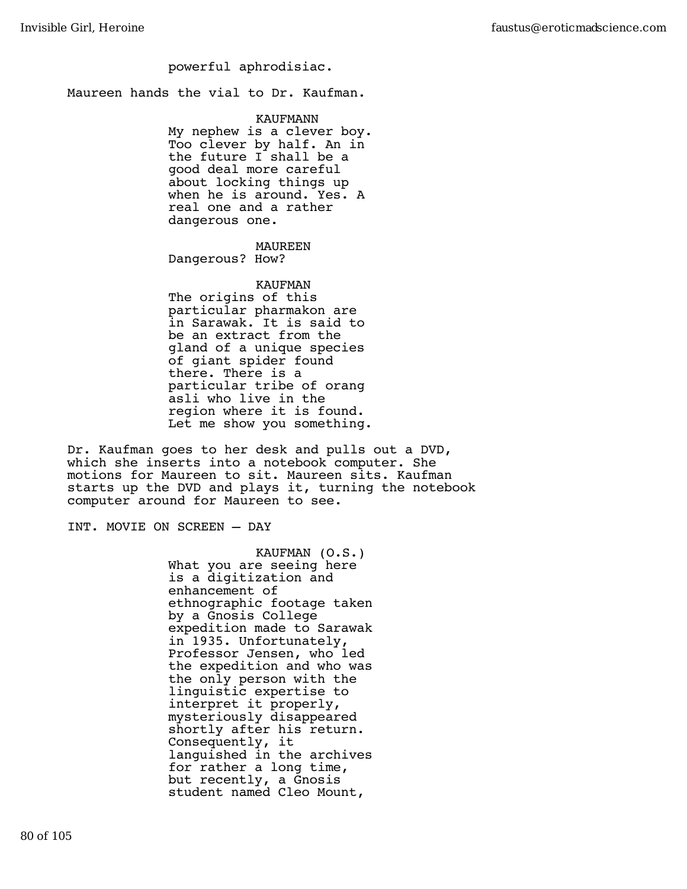powerful aphrodisiac. Maureen hands the vial to Dr. Kaufman. KAUFMANN My nephew is a clever boy. Too clever by half. An in the future I shall be a good deal more careful about locking things up when he is around. Yes. A real one and a rather dangerous one. MAUREEN Dangerous? How? KAUFMAN The origins of this particular pharmakon are in Sarawak. It is said to

be an extract from the gland of a unique species of giant spider found there. There is a particular tribe of orang asli who live in the region where it is found. Let me show you something.

Dr. Kaufman goes to her desk and pulls out a DVD, which she inserts into a notebook computer. She motions for Maureen to sit. Maureen sits. Kaufman starts up the DVD and plays it, turning the notebook computer around for Maureen to see.

INT. MOVIE ON SCREEN – DAY

KAUFMAN (O.S.) What you are seeing here is a digitization and enhancement of ethnographic footage taken by a Gnosis College expedition made to Sarawak in 1935. Unfortunately, Professor Jensen, who led the expedition and who was the only person with the linguistic expertise to interpret it properly, mysteriously disappeared shortly after his return. Consequently, it languished in the archives for rather a long time, but recently, a Gnosis student named Cleo Mount,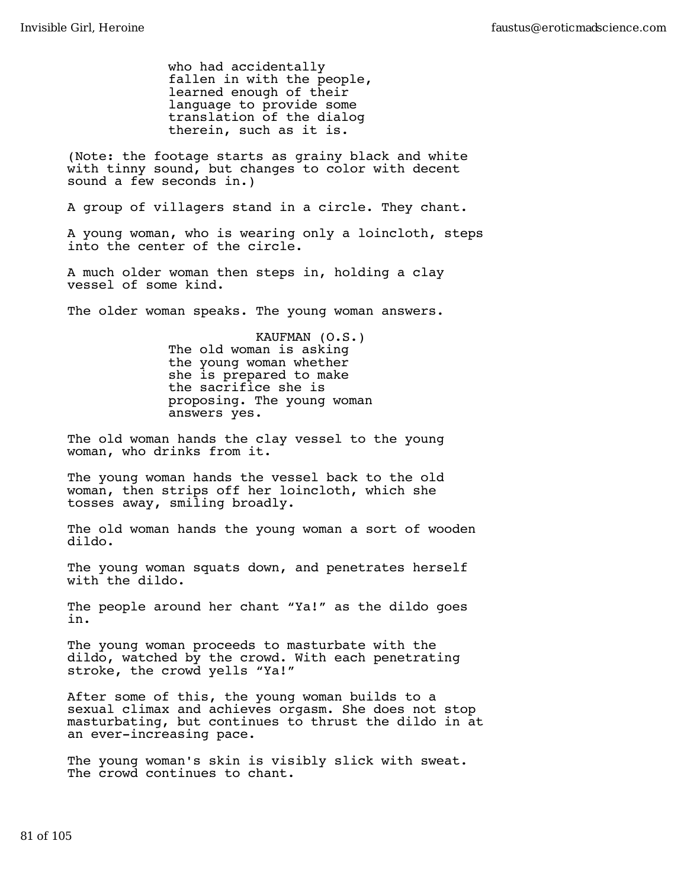who had accidentally fallen in with the people, learned enough of their language to provide some translation of the dialog therein, such as it is.

(Note: the footage starts as grainy black and white with tinny sound, but changes to color with decent sound a few seconds in.)

A group of villagers stand in a circle. They chant.

A young woman, who is wearing only a loincloth, steps into the center of the circle.

A much older woman then steps in, holding a clay vessel of some kind.

The older woman speaks. The young woman answers.

KAUFMAN (O.S.) The old woman is asking the young woman whether she is prepared to make the sacrifice she is proposing. The young woman answers yes.

The old woman hands the clay vessel to the young woman, who drinks from it.

The young woman hands the vessel back to the old woman, then strips off her loincloth, which she tosses away, smiling broadly.

The old woman hands the young woman a sort of wooden dildo.

The young woman squats down, and penetrates herself with the dildo.

The people around her chant "Ya!" as the dildo goes in.

The young woman proceeds to masturbate with the dildo, watched by the crowd. With each penetrating stroke, the crowd yells "Ya!"

After some of this, the young woman builds to a sexual climax and achieves orgasm. She does not stop masturbating, but continues to thrust the dildo in at an ever-increasing pace.

The young woman's skin is visibly slick with sweat. The crowd continues to chant.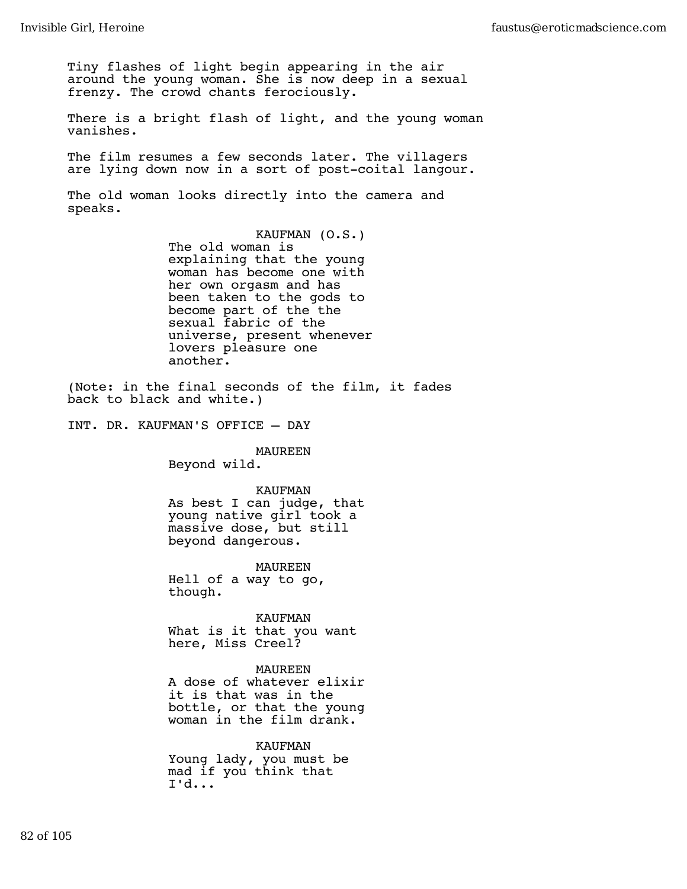Tiny flashes of light begin appearing in the air around the young woman. She is now deep in a sexual frenzy. The crowd chants ferociously. There is a bright flash of light, and the young woman vanishes. The film resumes a few seconds later. The villagers are lying down now in a sort of post-coital langour. The old woman looks directly into the camera and speaks. KAUFMAN (O.S.) The old woman is explaining that the young woman has become one with her own orgasm and has been taken to the gods to become part of the the sexual fabric of the universe, present whenever lovers pleasure one another. (Note: in the final seconds of the film, it fades back to black and white.) INT. DR. KAUFMAN'S OFFICE – DAY MAUREEN Beyond wild. KAUFMAN As best I can judge, that young native girl took a massive dose, but still beyond dangerous. MAUREEN Hell of a way to go, though. KAUFMAN What is it that you want here, Miss Creel? MAUREEN A dose of whatever elixir it is that was in the bottle, or that the young woman in the film drank. KAUFMAN Young lady, you must be mad if you think that I'd...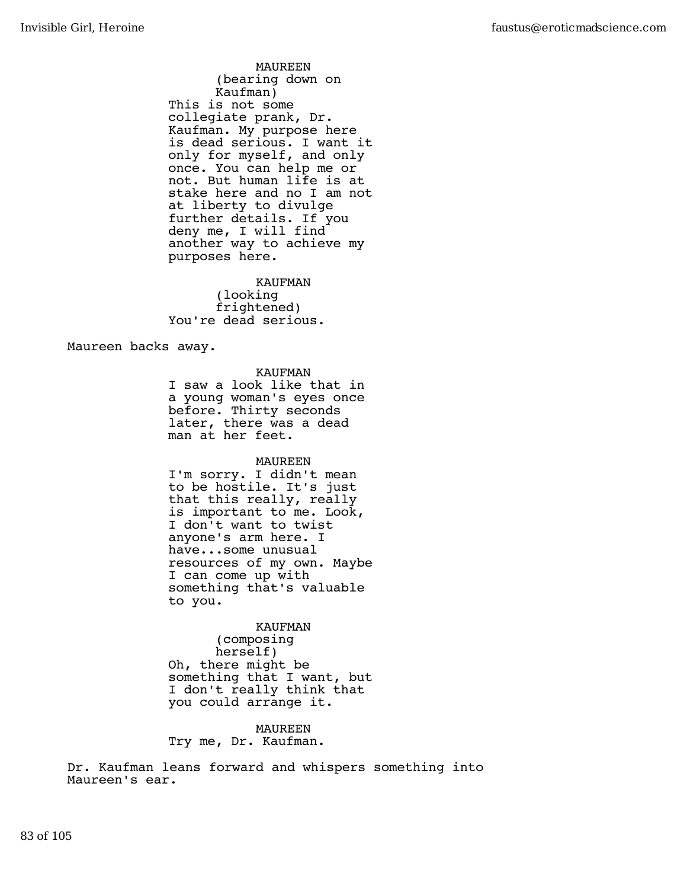MAUREEN (bearing down on Kaufman) This is not some collegiate prank, Dr. Kaufman. My purpose here is dead serious. I want it only for myself, and only once. You can help me or not. But human life is at stake here and no I am not at liberty to divulge further details. If you deny me, I will find another way to achieve my purposes here.

KAUFMAN (looking frightened) You're dead serious.

Maureen backs away.

KAUFMAN I saw a look like that in a young woman's eyes once before. Thirty seconds later, there was a dead man at her feet.

MAUREEN I'm sorry. I didn't mean to be hostile. It's just that this really, really is important to me. Look, I don't want to twist anyone's arm here. I have...some unusual resources of my own. Maybe I can come up with something that's valuable to you.

KAUFMAN (composing herself) Oh, there might be something that I want, but I don't really think that you could arrange it.

MAUREEN Try me, Dr. Kaufman.

Dr. Kaufman leans forward and whispers something into Maureen's ear.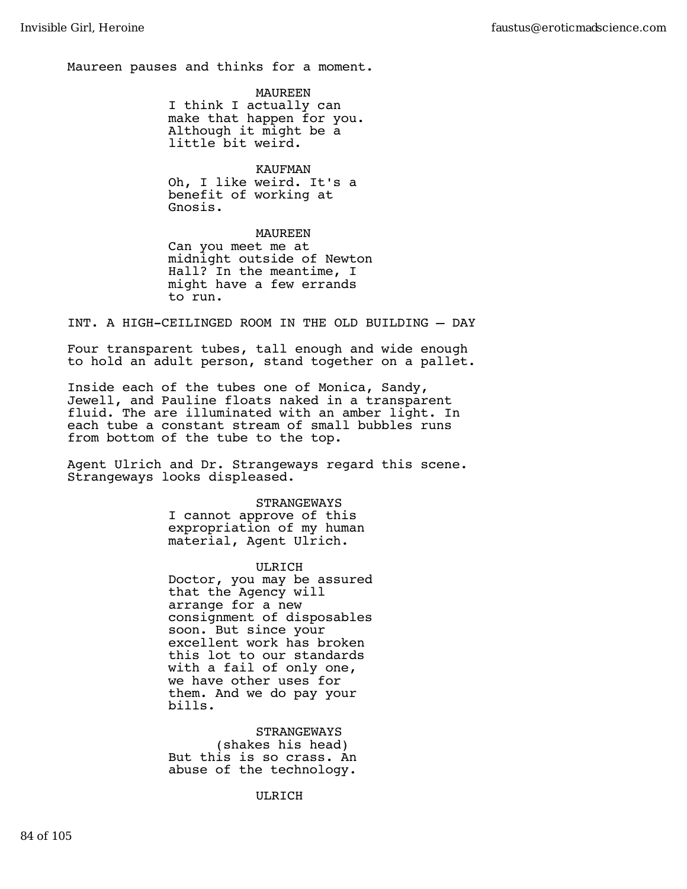Maureen pauses and thinks for a moment.

MAUREEN I think I actually can make that happen for you. Although it might be a little bit weird.

KAUFMAN Oh, I like weird. It's a benefit of working at Gnosis.

MAUREEN Can you meet me at midnight outside of Newton Hall? In the meantime, I might have a few errands to run.

INT. A HIGH-CEILINGED ROOM IN THE OLD BUILDING – DAY

Four transparent tubes, tall enough and wide enough to hold an adult person, stand together on a pallet.

Inside each of the tubes one of Monica, Sandy, Jewell, and Pauline floats naked in a transparent fluid. The are illuminated with an amber light. In each tube a constant stream of small bubbles runs from bottom of the tube to the top.

Agent Ulrich and Dr. Strangeways regard this scene. Strangeways looks displeased.

> STRANGEWAYS I cannot approve of this expropriation of my human material, Agent Ulrich.

ULRICH Doctor, you may be assured that the Agency will arrange for a new consignment of disposables soon. But since your excellent work has broken this lot to our standards with a fail of only one, we have other uses for them. And we do pay your bills.

STRANGEWAYS (shakes his head) But this is so crass. An abuse of the technology.

ULRICH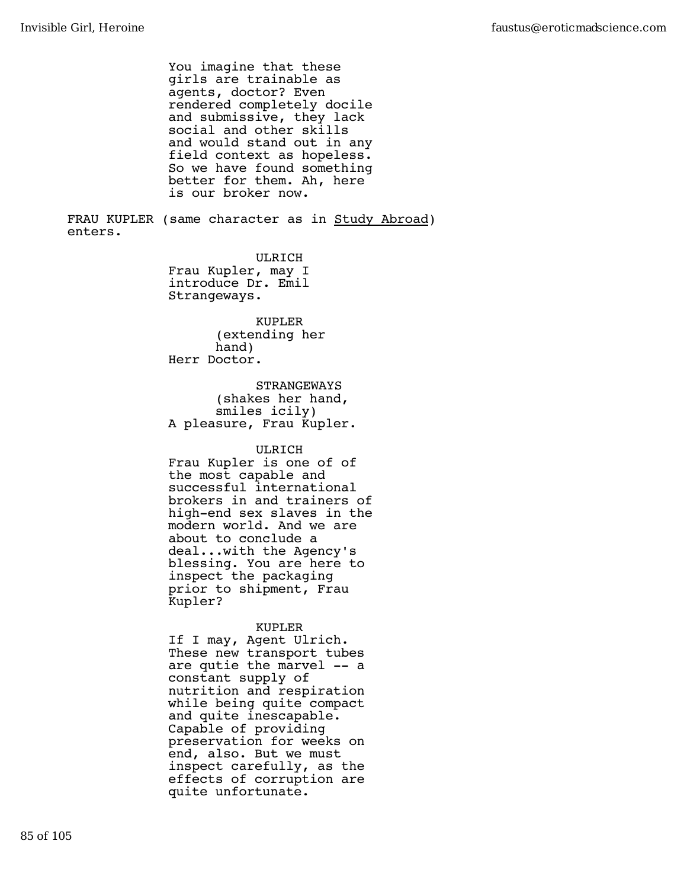You imagine that these girls are trainable as agents, doctor? Even rendered completely docile and submissive, they lack social and other skills and would stand out in any field context as hopeless. So we have found something better for them. Ah, here is our broker now.

FRAU KUPLER (same character as in Study Abroad) enters.

> ULRICH Frau Kupler, may I introduce Dr. Emil Strangeways.

KUPLER (extending her hand) Herr Doctor.

STRANGEWAYS (shakes her hand, smiles icily) A pleasure, Frau Kupler.

ULRICH Frau Kupler is one of of the most capable and successful international brokers in and trainers of high-end sex slaves in the modern world. And we are about to conclude a deal...with the Agency's blessing. You are here to inspect the packaging prior to shipment, Frau Kupler?

KUPLER

If I may, Agent Ulrich. These new transport tubes are qutie the marvel -- a constant supply of nutrition and respiration while being quite compact and quite inescapable. Capable of providing preservation for weeks on end, also. But we must inspect carefully, as the effects of corruption are quite unfortunate.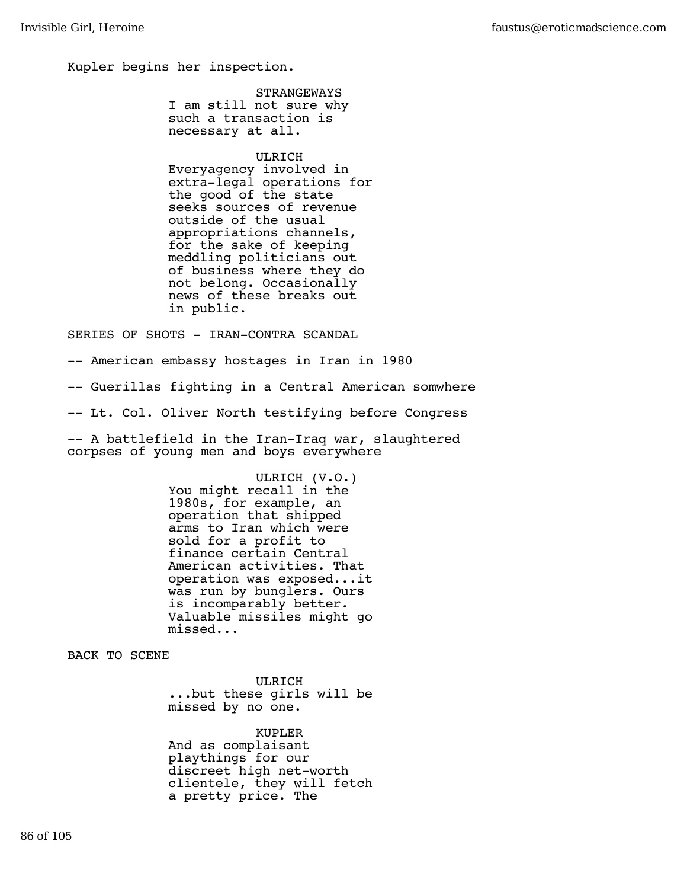Kupler begins her inspection.

STRANGEWAYS I am still not sure why such a transaction is necessary at all.

ULRICH Everyagency involved in extra-legal operations for the good of the state seeks sources of revenue outside of the usual appropriations channels, for the sake of keeping meddling politicians out of business where they do not belong. Occasionally news of these breaks out in public.

SERIES OF SHOTS - IRAN-CONTRA SCANDAL

-- American embassy hostages in Iran in 1980

-- Guerillas fighting in a Central American somwhere

-- Lt. Col. Oliver North testifying before Congress

-- A battlefield in the Iran-Iraq war, slaughtered corpses of young men and boys everywhere

> ULRICH (V.O.) You might recall in the 1980s, for example, an operation that shipped arms to Iran which were sold for a profit to finance certain Central American activities. That operation was exposed...it was run by bunglers. Ours is incomparably better. Valuable missiles might go missed...

BACK TO SCENE

ULRICH ...but these girls will be missed by no one.

KUPLER And as complaisant playthings for our discreet high net-worth clientele, they will fetch a pretty price. The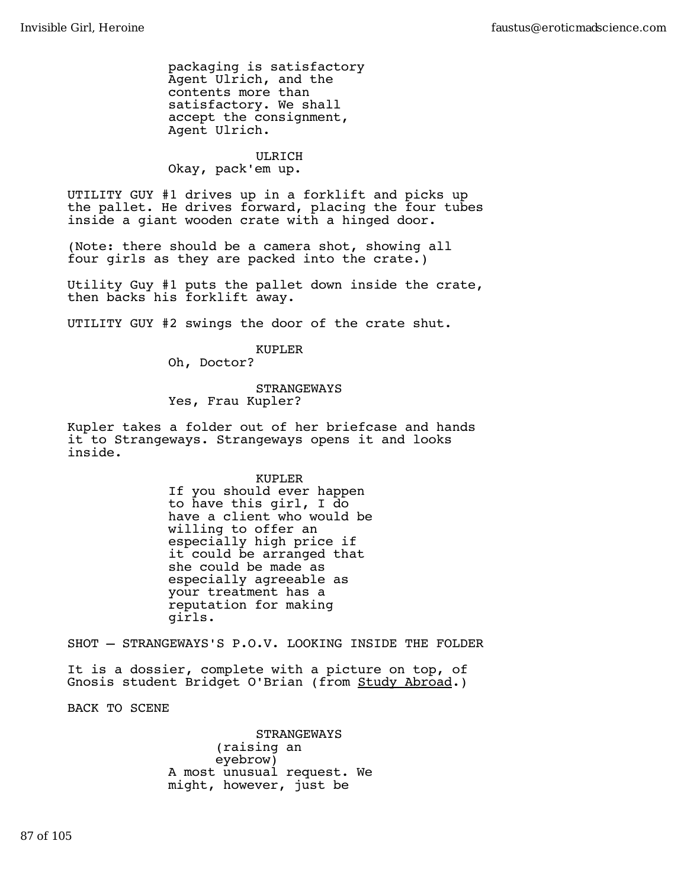packaging is satisfactory Agent Ulrich, and the contents more than satisfactory. We shall accept the consignment, Agent Ulrich.

ULRICH Okay, pack'em up.

UTILITY GUY #1 drives up in a forklift and picks up the pallet. He drives forward, placing the four tubes inside a giant wooden crate with a hinged door.

(Note: there should be a camera shot, showing all four girls as they are packed into the crate.)

Utility Guy #1 puts the pallet down inside the crate, then backs his forklift away.

UTILITY GUY #2 swings the door of the crate shut.

KUPLER

Oh, Doctor?

STRANGEWAYS Yes, Frau Kupler?

Kupler takes a folder out of her briefcase and hands it to Strangeways. Strangeways opens it and looks inside.

> KUPLER If you should ever happen to have this girl, I do have a client who would be willing to offer an especially high price if it could be arranged that she could be made as especially agreeable as your treatment has a reputation for making girls.

SHOT – STRANGEWAYS'S P.O.V. LOOKING INSIDE THE FOLDER

It is a dossier, complete with a picture on top, of Gnosis student Bridget O'Brian (from Study Abroad.)

BACK TO SCENE

STRANGEWAYS (raising an eyebrow) A most unusual request. We might, however, just be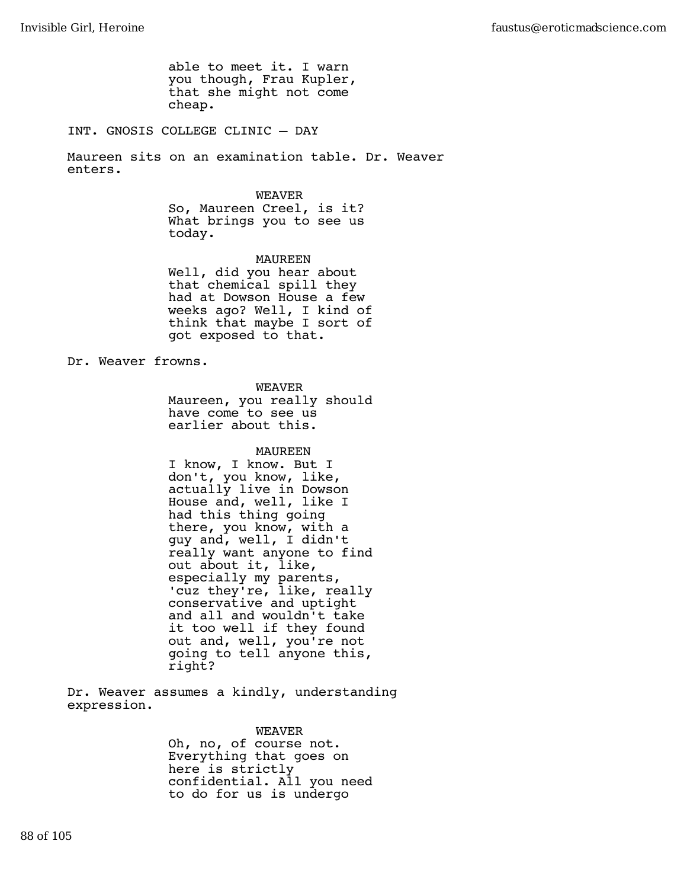able to meet it. I warn you though, Frau Kupler, that she might not come cheap.

INT. GNOSIS COLLEGE CLINIC – DAY

Maureen sits on an examination table. Dr. Weaver enters.

> WEAVER So, Maureen Creel, is it? What brings you to see us today.

MAUREEN Well, did you hear about that chemical spill they had at Dowson House a few weeks ago? Well, I kind of think that maybe I sort of got exposed to that.

Dr. Weaver frowns.

WEAVER Maureen, you really should have come to see us earlier about this.

## MAUREEN

I know, I know. But I don't, you know, like, actually live in Dowson House and, well, like I had this thing going there, you know, with a guy and, well, I didn't really want anyone to find out about it, like,<br>especially my parents, 'cuz they're, like, really conservative and uptight and all and wouldn't take it too well if they found out and, well, you're not going to tell anyone this, right?

Dr. Weaver assumes a kindly, understanding expression.

> WEAVER Oh, no, of course not. Everything that goes on here is strictly confidential. All you need to do for us is undergo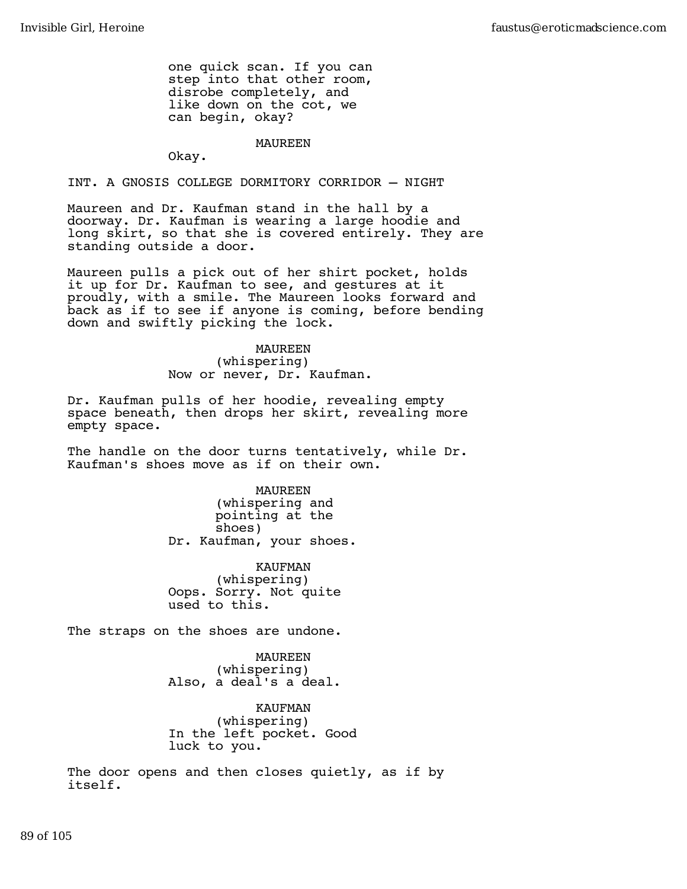one quick scan. If you can step into that other room, disrobe completely, and like down on the cot, we can begin, okay?

MAUREEN

Okay.

## INT. A GNOSIS COLLEGE DORMITORY CORRIDOR – NIGHT

Maureen and Dr. Kaufman stand in the hall by a doorway. Dr. Kaufman is wearing a large hoodie and long skirt, so that she is covered entirely. They are standing outside a door.

Maureen pulls a pick out of her shirt pocket, holds it up for Dr. Kaufman to see, and gestures at it proudly, with a smile. The Maureen looks forward and back as if to see if anyone is coming, before bending down and swiftly picking the lock.

> MAUREEN (whispering) Now or never, Dr. Kaufman.

Dr. Kaufman pulls of her hoodie, revealing empty space beneath, then drops her skirt, revealing more empty space.

The handle on the door turns tentatively, while Dr. Kaufman's shoes move as if on their own.

> MAUREEN (whispering and pointing at the shoes) Dr. Kaufman, your shoes.

KAUFMAN (whispering) Oops. Sorry. Not quite used to this.

The straps on the shoes are undone.

MAUREEN (whispering) Also, a deal's a deal.

KAUFMAN (whispering) In the left pocket. Good luck to you.

The door opens and then closes quietly, as if by itself.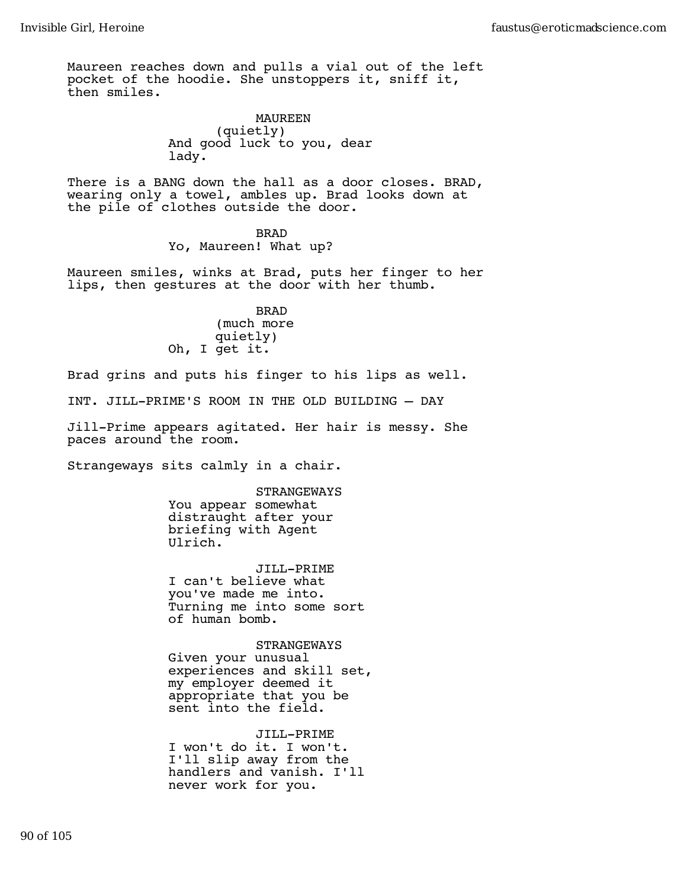Maureen reaches down and pulls a vial out of the left pocket of the hoodie. She unstoppers it, sniff it, then smiles.

> MAUREEN (quietly) And good luck to you, dear lady.

There is a BANG down the hall as a door closes. BRAD, wearing only a towel, ambles up. Brad looks down at the pile of clothes outside the door.

> BRAD Yo, Maureen! What up?

Maureen smiles, winks at Brad, puts her finger to her lips, then gestures at the door with her thumb.

> BRAD (much more quietly) Oh, I get it.

Brad grins and puts his finger to his lips as well.

INT. JILL-PRIME'S ROOM IN THE OLD BUILDING – DAY

Jill-Prime appears agitated. Her hair is messy. She paces around the room.

Strangeways sits calmly in a chair.

STRANGEWAYS You appear somewhat distraught after your briefing with Agent Ulrich.

JILL-PRIME I can't believe what you've made me into. Turning me into some sort of human bomb.

STRANGEWAYS Given your unusual experiences and skill set, my employer deemed it appropriate that you be sent into the field.

JILL-PRIME I won't do it. I won't. I'll slip away from the handlers and vanish. I'll never work for you.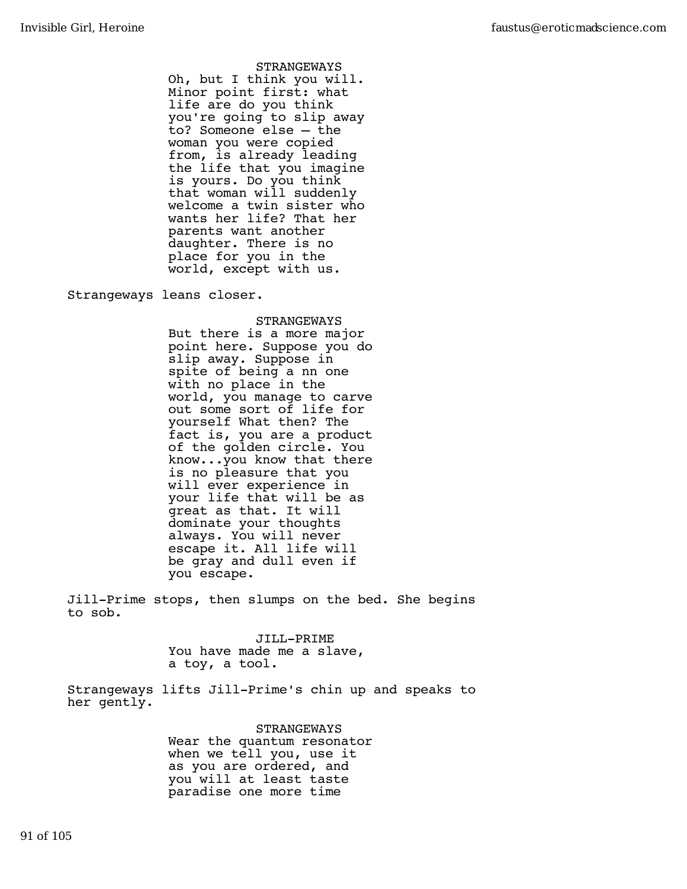STRANGEWAYS Oh, but I think you will. Minor point first: what life are do you think you're going to slip away to? Someone else – the woman you were copied from, is already leading the life that you imagine is yours. Do you think that woman will suddenly welcome a twin sister who wants her life? That her parents want another daughter. There is no place for you in the world, except with us.

Strangeways leans closer.

STRANGEWAYS But there is a more major point here. Suppose you do slip away. Suppose in spite of being a nn one with no place in the world, you manage to carve out some sort of life for yourself What then? The fact is, you are a product of the golden circle. You know...you know that there is no pleasure that you will ever experience in your life that will be as great as that. It will dominate your thoughts always. You will never escape it. All life will be gray and dull even if you escape.

Jill-Prime stops, then slumps on the bed. She begins to sob.

> JILL-PRIME You have made me a slave, a toy, a tool.

Strangeways lifts Jill-Prime's chin up and speaks to her gently.

> STRANGEWAYS Wear the quantum resonator when we tell you, use it as you are ordered, and you will at least taste paradise one more time

91 of 105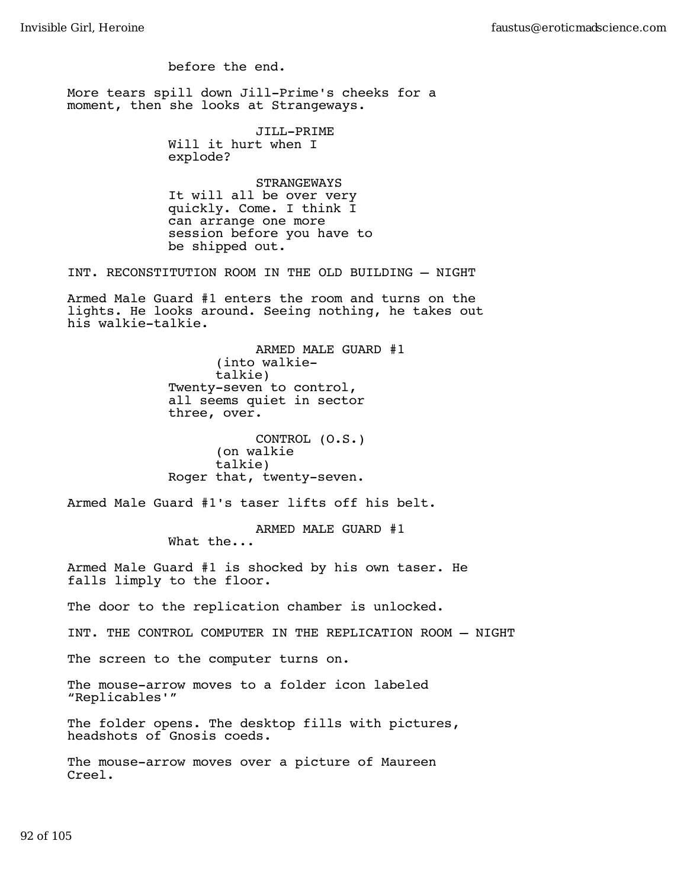before the end.

More tears spill down Jill-Prime's cheeks for a moment, then she looks at Strangeways.

> JILL-PRIME Will it hurt when I explode?

STRANGEWAYS It will all be over very quickly. Come. I think I can arrange one more session before you have to be shipped out.

INT. RECONSTITUTION ROOM IN THE OLD BUILDING – NIGHT

Armed Male Guard #1 enters the room and turns on the lights. He looks around. Seeing nothing, he takes out his walkie-talkie.

> ARMED MALE GUARD #1 (into walkietalkie) Twenty-seven to control, all seems quiet in sector three, over.

CONTROL (O.S.) (on walkie talkie) Roger that, twenty-seven.

Armed Male Guard #1's taser lifts off his belt.

ARMED MALE GUARD #1

What the...

Armed Male Guard #1 is shocked by his own taser. He falls limply to the floor.

The door to the replication chamber is unlocked.

INT. THE CONTROL COMPUTER IN THE REPLICATION ROOM – NIGHT

The screen to the computer turns on.

The mouse-arrow moves to a folder icon labeled "Replicables'"

The folder opens. The desktop fills with pictures, headshots of Gnosis coeds.

The mouse-arrow moves over a picture of Maureen Creel.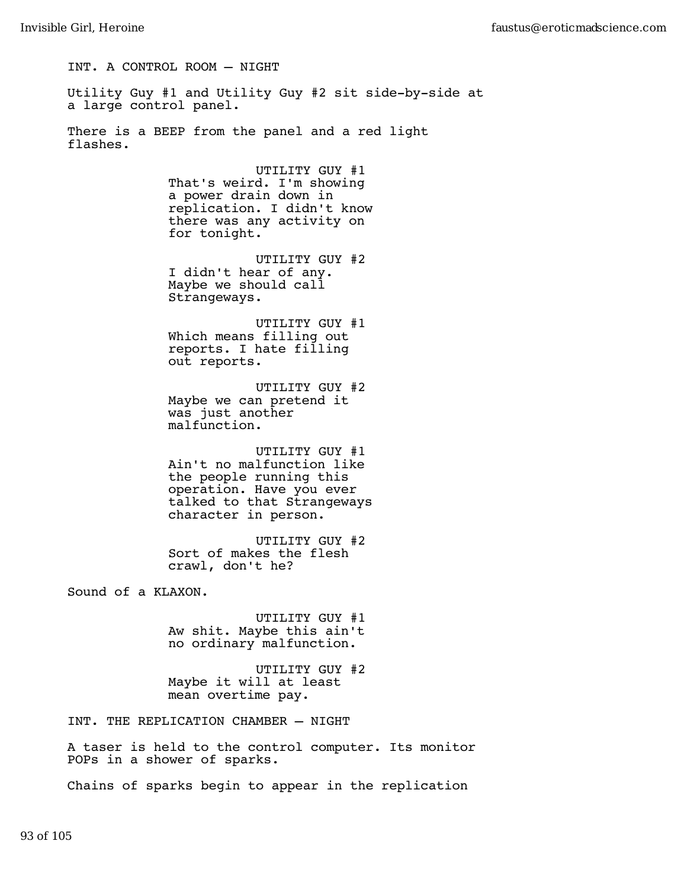INT. A CONTROL ROOM – NIGHT Utility Guy #1 and Utility Guy #2 sit side-by-side at a large control panel. There is a BEEP from the panel and a red light flashes. UTILITY GUY #1 That's weird. I'm showing a power drain down in replication. I didn't know there was any activity on for tonight. UTILITY GUY #2 I didn't hear of any. Maybe we should call Strangeways. UTILITY GUY #1 Which means filling out reports. I hate filling out reports. UTILITY GUY #2 Maybe we can pretend it was just another malfunction. UTILITY GUY #1 Ain't no malfunction like the people running this operation. Have you ever talked to that Strangeways character in person. UTILITY GUY #2 Sort of makes the flesh crawl, don't he? Sound of a KLAXON. UTILITY GUY #1 Aw shit. Maybe this ain't no ordinary malfunction. UTILITY GUY #2 Maybe it will at least mean overtime pay. INT. THE REPLICATION CHAMBER – NIGHT A taser is held to the control computer. Its monitor POPs in a shower of sparks.

Chains of sparks begin to appear in the replication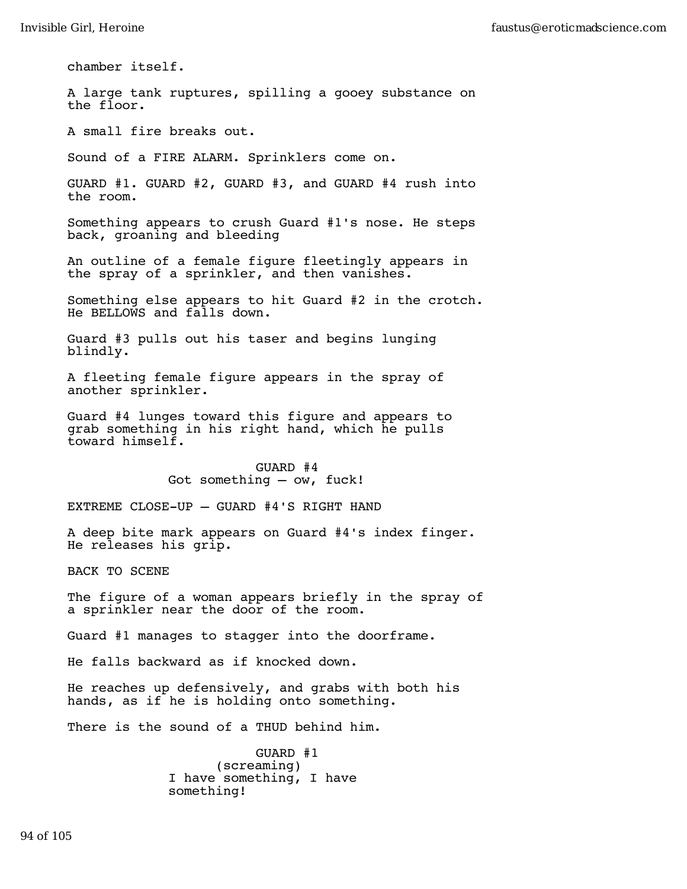chamber itself. A large tank ruptures, spilling a gooey substance on the floor. A small fire breaks out. Sound of a FIRE ALARM. Sprinklers come on. GUARD #1. GUARD #2, GUARD #3, and GUARD #4 rush into the room. Something appears to crush Guard #1's nose. He steps back, groaning and bleeding An outline of a female figure fleetingly appears in the spray of a sprinkler, and then vanishes. Something else appears to hit Guard #2 in the crotch. He BELLOWS and falls down. Guard #3 pulls out his taser and begins lunging blindly. A fleeting female figure appears in the spray of another sprinkler. Guard #4 lunges toward this figure and appears to grab something in his right hand, which he pulls toward himself. GUARD #4 Got something – ow, fuck! EXTREME CLOSE-UP – GUARD #4'S RIGHT HAND A deep bite mark appears on Guard #4's index finger. He releases his grip. BACK TO SCENE The figure of a woman appears briefly in the spray of a sprinkler near the door of the room. Guard #1 manages to stagger into the doorframe. He falls backward as if knocked down. He reaches up defensively, and grabs with both his hands, as if he is holding onto something. There is the sound of a THUD behind him. GUARD #1 (screaming) I have something, I have something!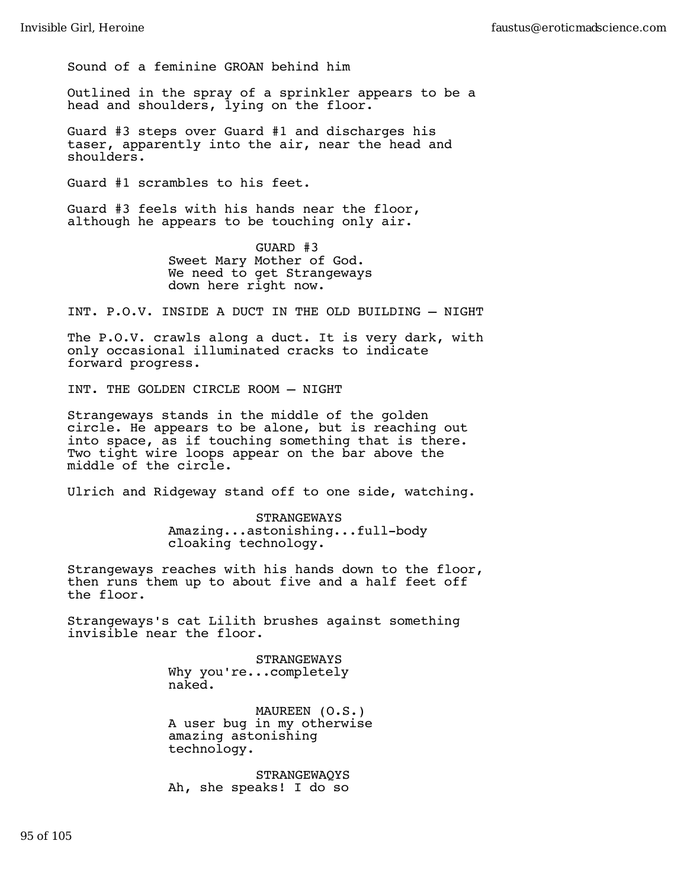Sound of a feminine GROAN behind him

Outlined in the spray of a sprinkler appears to be a head and shoulders, lying on the floor.

Guard #3 steps over Guard #1 and discharges his taser, apparently into the air, near the head and shoulders.

Guard #1 scrambles to his feet.

Guard #3 feels with his hands near the floor, although he appears to be touching only air.

> GUARD #3 Sweet Mary Mother of God. We need to get Strangeways down here right now.

INT. P.O.V. INSIDE A DUCT IN THE OLD BUILDING – NIGHT

The P.O.V. crawls along a duct. It is very dark, with only occasional illuminated cracks to indicate forward progress.

INT. THE GOLDEN CIRCLE ROOM – NIGHT

Strangeways stands in the middle of the golden circle. He appears to be alone, but is reaching out into space, as if touching something that is there. Two tight wire loops appear on the bar above the middle of the circle.

Ulrich and Ridgeway stand off to one side, watching.

STRANGEWAYS Amazing...astonishing...full-body cloaking technology.

Strangeways reaches with his hands down to the floor, then runs them up to about five and a half feet off the floor.

Strangeways's cat Lilith brushes against something invisible near the floor.

> STRANGEWAYS Why you're...completely naked.

MAUREEN (O.S.) A user bug in my otherwise amazing astonishing technology.

STRANGEWAQYS Ah, she speaks! I do so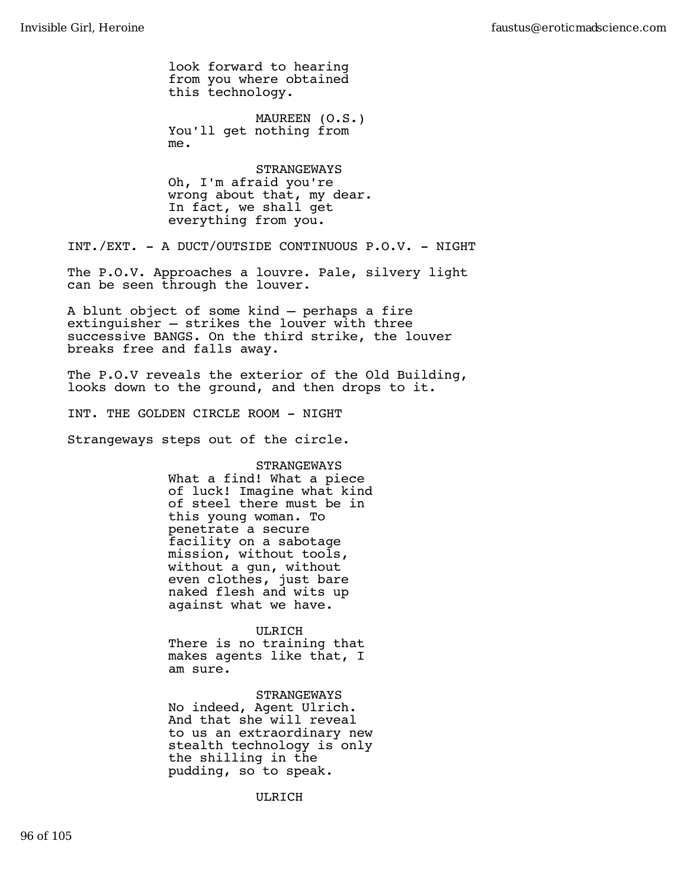look forward to hearing from you where obtained this technology.

MAUREEN (O.S.) You'll get nothing from me.

STRANGEWAYS Oh, I'm afraid you're wrong about that, my dear. In fact, we shall get everything from you.

INT./EXT. - A DUCT/OUTSIDE CONTINUOUS P.O.V. - NIGHT

The P.O.V. Approaches a louvre. Pale, silvery light can be seen through the louver.

A blunt object of some kind – perhaps a fire extinguisher – strikes the louver with three successive BANGS. On the third strike, the louver breaks free and falls away.

The P.O.V reveals the exterior of the Old Building, looks down to the ground, and then drops to it.

INT. THE GOLDEN CIRCLE ROOM - NIGHT

Strangeways steps out of the circle.

STRANGEWAYS What a find! What a piece of luck! Imagine what kind of steel there must be in this young woman. To penetrate a secure facility on a sabotage mission, without tools, without a gun, without even clothes, just bare naked flesh and wits up against what we have.

ULRICH There is no training that makes agents like that, I am sure.

STRANGEWAYS No indeed, Agent Ulrich. And that she will reveal to us an extraordinary new stealth technology is only the shilling in the pudding, so to speak.

ULRICH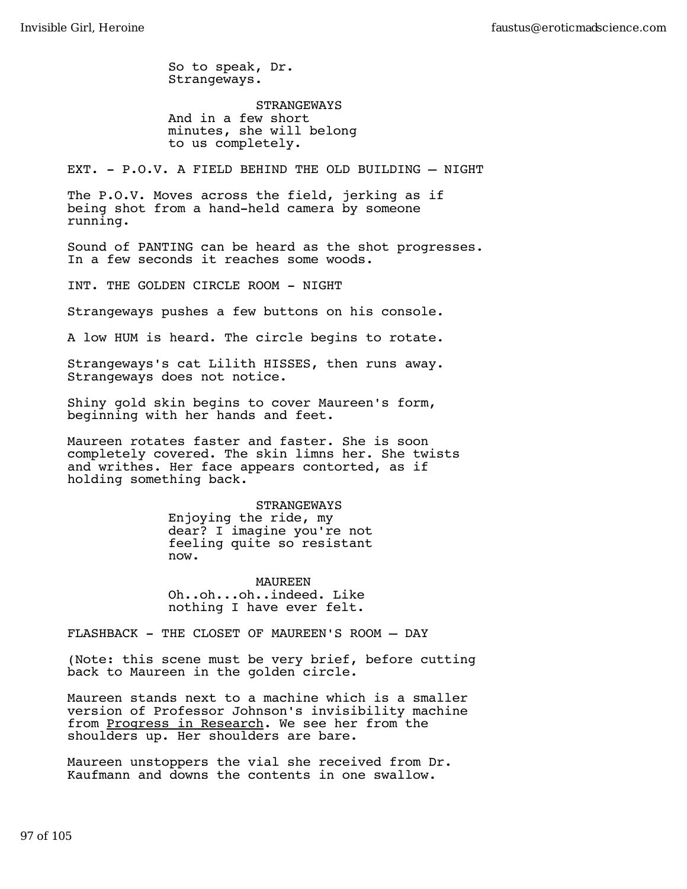So to speak, Dr. Strangeways.

STRANGEWAYS And in a few short minutes, she will belong to us completely.

EXT. - P.O.V. A FIELD BEHIND THE OLD BUILDING – NIGHT

The P.O.V. Moves across the field, jerking as if being shot from a hand-held camera by someone running.

Sound of PANTING can be heard as the shot progresses. In a few seconds it reaches some woods.

INT. THE GOLDEN CIRCLE ROOM - NIGHT

Strangeways pushes a few buttons on his console.

A low HUM is heard. The circle begins to rotate.

Strangeways's cat Lilith HISSES, then runs away. Strangeways does not notice.

Shiny gold skin begins to cover Maureen's form, beginning with her hands and feet.

Maureen rotates faster and faster. She is soon completely covered. The skin limns her. She twists and writhes. Her face appears contorted, as if holding something back.

> STRANGEWAYS Enjoying the ride, my dear? I imagine you're not feeling quite so resistant now.

MAUREEN Oh..oh...oh..indeed. Like nothing I have ever felt.

FLASHBACK - THE CLOSET OF MAUREEN'S ROOM – DAY

(Note: this scene must be very brief, before cutting back to Maureen in the golden circle.

Maureen stands next to a machine which is a smaller version of Professor Johnson's invisibility machine from Progress in Research. We see her from the shoulders up. Her shoulders are bare.

Maureen unstoppers the vial she received from Dr. Kaufmann and downs the contents in one swallow.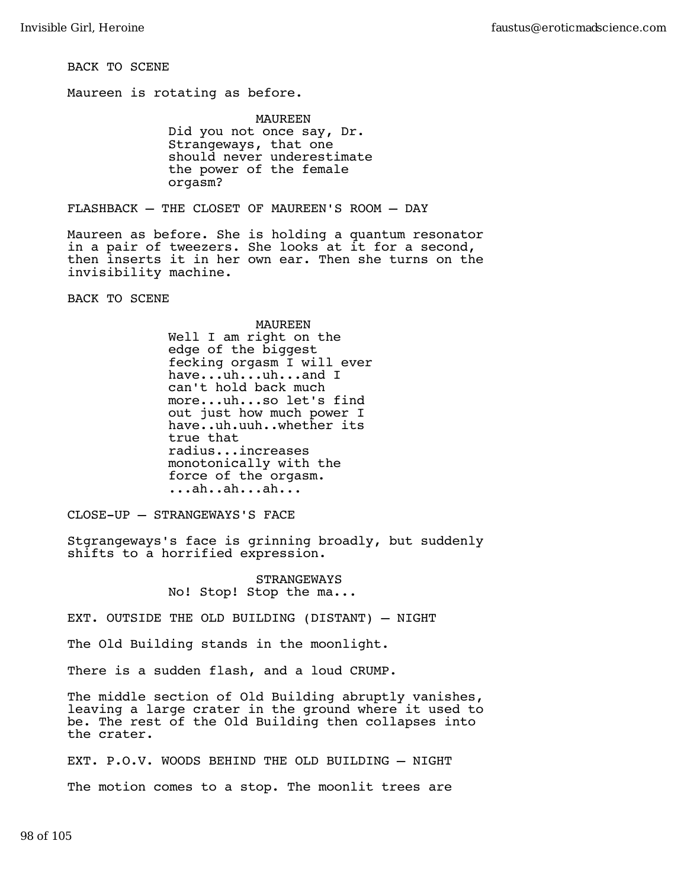BACK TO SCENE

Maureen is rotating as before.

MAUREEN Did you not once say, Dr. Strangeways, that one should never underestimate the power of the female orgasm?

FLASHBACK – THE CLOSET OF MAUREEN'S ROOM – DAY

Maureen as before. She is holding a quantum resonator in a pair of tweezers. She looks at it for a second, then inserts it in her own ear. Then she turns on the invisibility machine.

BACK TO SCENE

MAUREEN Well I am right on the edge of the biggest fecking orgasm I will ever have...uh...uh...and I can't hold back much more...uh...so let's find out just how much power I have..uh.uuh..whether its true that radius...increases monotonically with the force of the orgasm. ...ah..ah...ah...

CLOSE-UP – STRANGEWAYS'S FACE

Stgrangeways's face is grinning broadly, but suddenly shifts to a horrified expression.

> STRANGEWAYS No! Stop! Stop the ma...

EXT. OUTSIDE THE OLD BUILDING (DISTANT) – NIGHT

The Old Building stands in the moonlight.

There is a sudden flash, and a loud CRUMP.

The middle section of Old Building abruptly vanishes, leaving a large crater in the ground where it used to be. The rest of the Old Building then collapses into the crater.

EXT. P.O.V. WOODS BEHIND THE OLD BUILDING – NIGHT

The motion comes to a stop. The moonlit trees are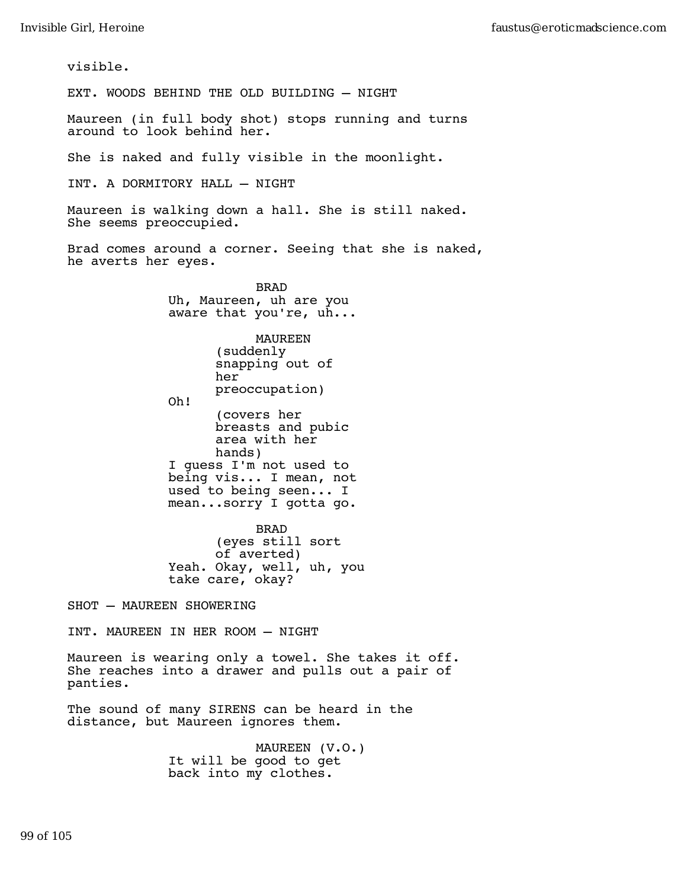visible.

EXT. WOODS BEHIND THE OLD BUILDING – NIGHT

Maureen (in full body shot) stops running and turns around to look behind her.

She is naked and fully visible in the moonlight.

INT. A DORMITORY HALL – NIGHT

Maureen is walking down a hall. She is still naked. She seems preoccupied.

Brad comes around a corner. Seeing that she is naked, he averts her eyes.

> BRAD Uh, Maureen, uh are you aware that you're, uh... MAUREEN (suddenly snapping out of her preoccupation) Oh! (covers her breasts and pubic area with her hands) I guess I'm not used to being vis... I mean, not used to being seen... I mean...sorry I gotta go. BRAD (eyes still sort of averted) Yeah. Okay, well, uh, you

SHOT – MAUREEN SHOWERING

INT. MAUREEN IN HER ROOM – NIGHT

Maureen is wearing only a towel. She takes it off. She reaches into a drawer and pulls out a pair of panties.

The sound of many SIRENS can be heard in the distance, but Maureen ignores them.

take care, okay?

MAUREEN (V.O.) It will be good to get back into my clothes.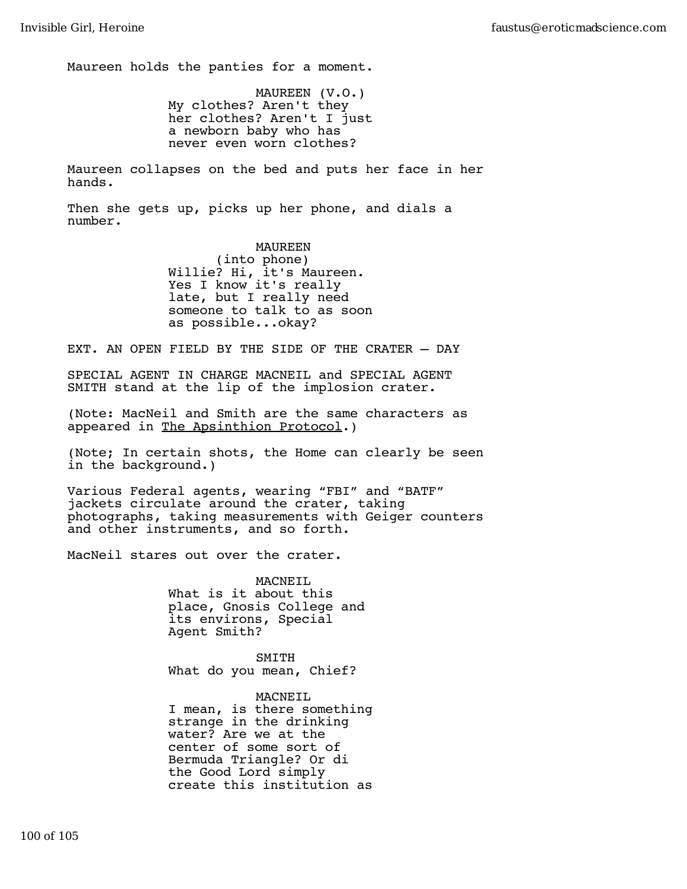Maureen holds the panties for a moment.

MAUREEN (V.O.) My clothes? Aren't they her clothes? Aren't I just a newborn baby who has never even worn clothes?

Maureen collapses on the bed and puts her face in her hands.

Then she gets up, picks up her phone, and dials a number.

> MAUREEN (into phone) Willie? Hi, it's Maureen. Yes I know it's really late, but I really need someone to talk to as soon as possible...okay?

EXT. AN OPEN FIELD BY THE SIDE OF THE CRATER – DAY

SPECIAL AGENT IN CHARGE MACNEIL and SPECIAL AGENT SMITH stand at the lip of the implosion crater.

(Note: MacNeil and Smith are the same characters as appeared in The Apsinthion Protocol.)

(Note; In certain shots, the Home can clearly be seen in the background.)

Various Federal agents, wearing "FBI" and "BATF" jackets circulate around the crater, taking photographs, taking measurements with Geiger counters and other instruments, and so forth.

MacNeil stares out over the crater.

MACNEIL What is it about this place, Gnosis College and its environs, Special Agent Smith?

SMITH What do you mean, Chief?

MACNEIL I mean, is there something strange in the drinking water? Are we at the center of some sort of Bermuda Triangle? Or di the Good Lord simply create this institution as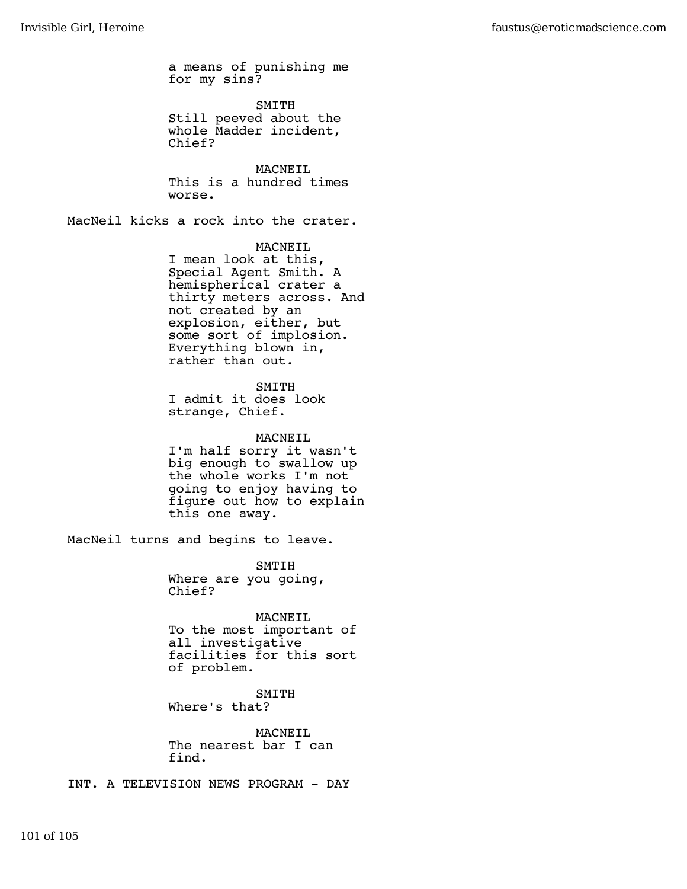a means of punishing me for my sins? SMITH Still peeved about the whole Madder incident, Chief? **MACNEIL** This is a hundred times worse. MacNeil kicks a rock into the crater. MACNEIL I mean look at this, Special Agent Smith. A hemispherical crater a thirty meters across. And not created by an explosion, either, but some sort of implosion. Everything blown in, rather than out. SMITH I admit it does look strange, Chief. MACNEIL I'm half sorry it wasn't big enough to swallow up the whole works I'm not going to enjoy having to figure out how to explain this one away. MacNeil turns and begins to leave. SMTIH Where are you going, Chief? MACNEIL To the most important of all investigative facilities for this sort of problem. SMITH Where's that? MACNEIL The nearest bar I can find. INT. A TELEVISION NEWS PROGRAM - DAY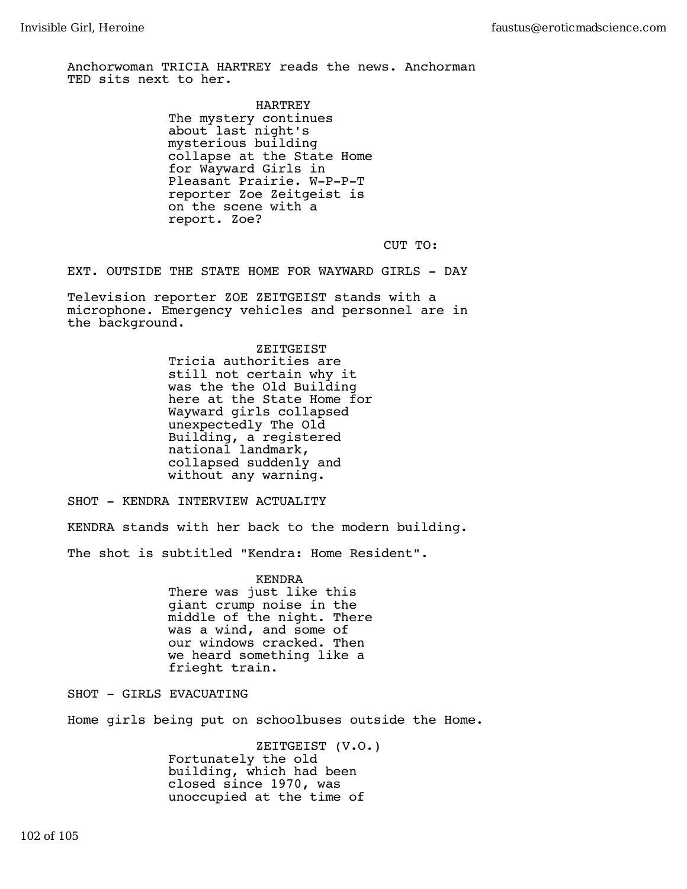Anchorwoman TRICIA HARTREY reads the news. Anchorman TED sits next to her.

> HARTREY The mystery continues about last night's mysterious building collapse at the State Home for Wayward Girls in Pleasant Prairie. W-P-P-T reporter Zoe Zeitgeist is on the scene with a report. Zoe?

> > CUT TO:

EXT. OUTSIDE THE STATE HOME FOR WAYWARD GIRLS - DAY

Television reporter ZOE ZEITGEIST stands with a microphone. Emergency vehicles and personnel are in the background.

> ZEITGEIST Tricia authorities are still not certain why it was the the Old Building here at the State Home for Wayward girls collapsed unexpectedly The Old Building, a registered national landmark, collapsed suddenly and without any warning.

SHOT - KENDRA INTERVIEW ACTUALITY

KENDRA stands with her back to the modern building.

The shot is subtitled "Kendra: Home Resident".

KENDRA There was just like this giant crump noise in the middle of the night. There was a wind, and some of our windows cracked. Then we heard something like a frieght train.

SHOT - GIRLS EVACUATING

Home girls being put on schoolbuses outside the Home.

ZEITGEIST (V.O.) Fortunately the old building, which had been closed since 1970, was unoccupied at the time of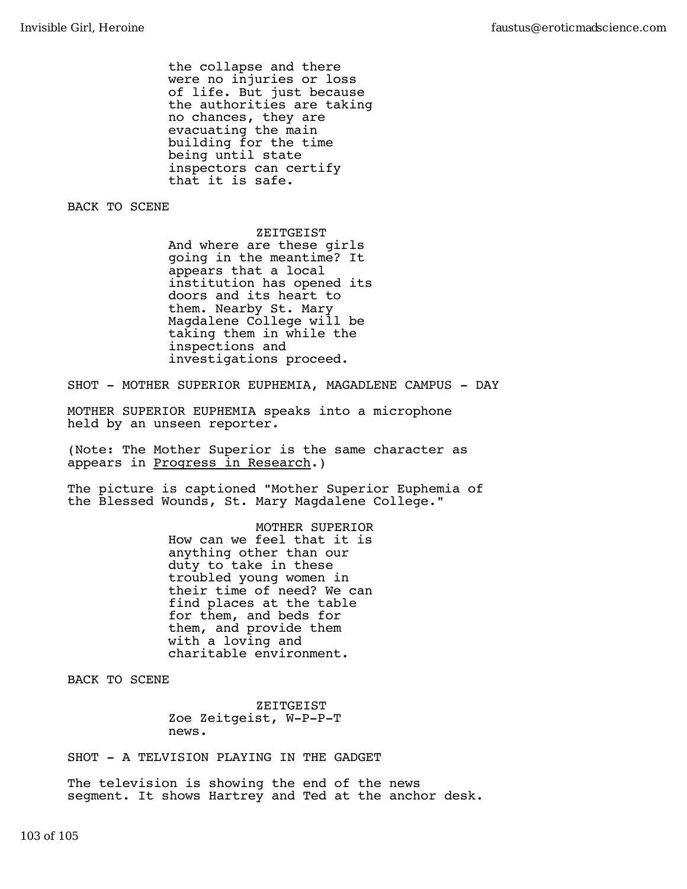the collapse and there were no injuries or loss of life. But just because the authorities are taking no chances, they are evacuating the main building for the time being until state inspectors can certify that it is safe.

BACK TO SCENE

ZEITGEIST

And where are these girls going in the meantime? It appears that a local institution has opened its doors and its heart to them. Nearby St. Mary Magdalene College will be taking them in while the inspections and investigations proceed.

SHOT - MOTHER SUPERIOR EUPHEMIA, MAGADLENE CAMPUS - DAY

MOTHER SUPERIOR EUPHEMIA speaks into a microphone held by an unseen reporter.

(Note: The Mother Superior is the same character as appears in Progress in Research.)

The picture is captioned "Mother Superior Euphemia of the Blessed Wounds, St. Mary Magdalene College."

MOTHER SUPERIOR

How can we feel that it is anything other than our duty to take in these troubled young women in their time of need? We can find places at the table for them, and beds for them, and provide them with a loving and charitable environment.

BACK TO SCENE

ZEITGEIST Zoe Zeitgeist, W-P-P-T news.

SHOT - A TELVISION PLAYING IN THE GADGET

The television is showing the end of the news segment. It shows Hartrey and Ted at the anchor desk.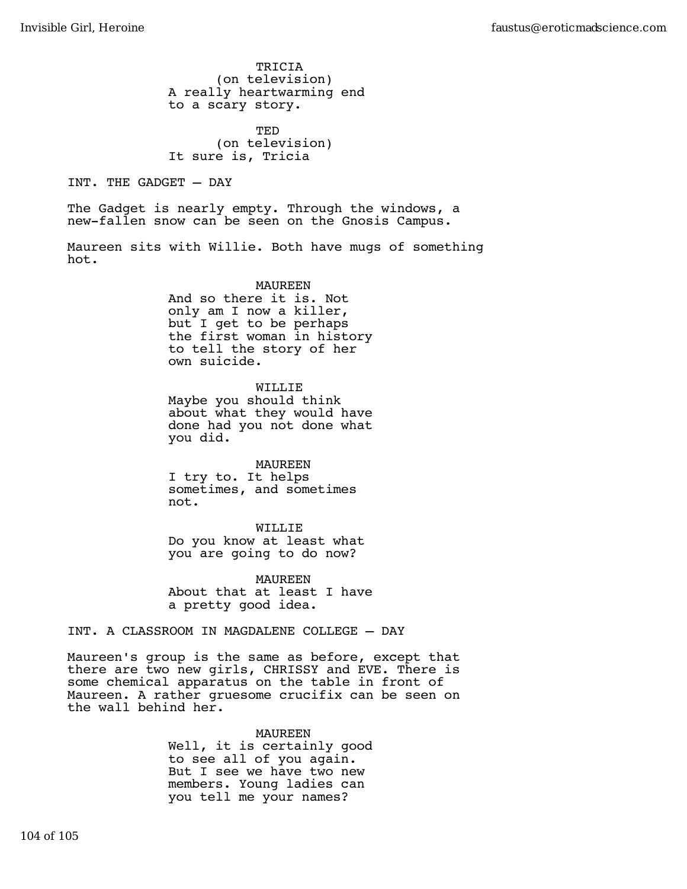TRICIA (on television) A really heartwarming end to a scary story.

TED (on television) It sure is, Tricia

INT. THE GADGET – DAY

The Gadget is nearly empty. Through the windows, a new-fallen snow can be seen on the Gnosis Campus.

Maureen sits with Willie. Both have mugs of something hot.

> MAUREEN And so there it is. Not only am I now a killer, but I get to be perhaps the first woman in history to tell the story of her own suicide.

> WILLIE Maybe you should think about what they would have done had you not done what you did.

MAUREEN I try to. It helps sometimes, and sometimes not.

WILLIE Do you know at least what you are going to do now?

MAUREEN About that at least I have a pretty good idea.

INT. A CLASSROOM IN MAGDALENE COLLEGE – DAY

Maureen's group is the same as before, except that there are two new girls, CHRISSY and EVE. There is some chemical apparatus on the table in front of Maureen. A rather gruesome crucifix can be seen on the wall behind her.

> MAUREEN Well, it is certainly good to see all of you again. But I see we have two new members. Young ladies can you tell me your names?